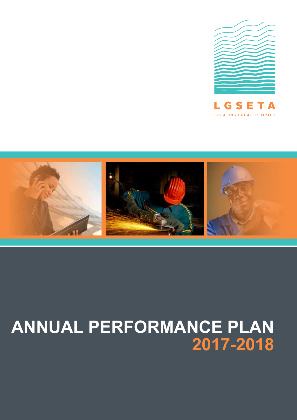



# **ANNUAL PERFORMANCE PLAN 2017-2018**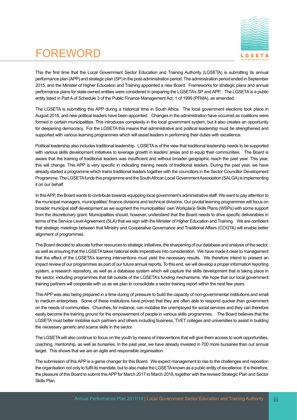# FOREWORD



This the first time that the Local Government Sector Education and Training Authority (LGSETA) is submitting its annual performance plan (APP) and strategic plan (SP) in the post-administration period. The administration period ended in September 2015, and the Minister of Higher Education and Training appointed a new Board. Frameworks for strategic plans and annual performance plans for state-owned entities were considered in preparing the LGSETA's SP and APP. The LGSETA is a public entity listed in Part A of Schedule 3 of the Public Finance Management Act, 1 of 1999 (PFMA), as amended.

The LGSETA is submitting this APP during a historical time in South Africa. The local government elections took place in August 2016, and new political leaders have been appointed. Changes in the administration have occurred as coalitions were formed in certain municipalities. This introduces complexity in the local government system, but it also creates an opportunity for deepening democracy. For the LGSETA this means that administrative and political leadership must be strengthened and supported with various learning programmes which will assist leaders in performing their duties with excellence.

Political leadership also includes traditional leadership. LGSETA is of the view that traditional leadership needs to be supported with various skills development initiatives to leverage growth in leaders' areas and to equip their communities. The Board is aware that the training of traditional leaders was insufficient and without broader geographic reach the past year. This year, this will change. This APP is very specific in indicating training needs of traditional leaders. During the past year, we have already started a programme which trains traditional leaders together with the councillors in the Sector Councillor Development Programme. The LGSETA funds this programme and the South African Local Government Association (SALGA) is implementing it on our behalf.

In this APP, the Board wants to contribute towards equipping local government's administrative staff. We want to pay attention to the municipal managers, municipalities' finance divisions and technical divisions. Our pivotal learning programmes will focus on broader municipal staff development as we augment the municipalities' own Workplace Skills Plans (WSPs) with some support from the discretionary grant. Municipalities should, however, understand that the Board needs to drive specific deliverables in terms of the Service Level Agreement (SLA) that we sign with the Minister of Higher Education and Training. We are confident that strategic meetings between that Ministry and Cooperative Governance and Traditional Affairs (COGTA) will enable better alignment of programmes.

The Board decided to allocate further resources to strategic initiatives, the sharpening of our database and analysis of the sector, as well as ensuring that the LGSETA takes national skills imperatives into consideration. We have made it clear to management that the effect of the LGSETA's learning interventions must yield the necessary results. We therefore intend to present an impact review of our programmes as part of our future annual reports. To this end, we will develop a proper information reporting system, a research repository, as well as a database system which will capture the skills development that is taking place in the sector, including programmes that fall outside of the LGSETA's funding mechanisms. We hope that our local government training partners will cooperate with us as we plan to consolidate a sector training report within the next few years.

This APP was also being prepared in a time during of pressure to build the capacity of non-governmental institutions and small to medium enterprises. Some of these institutions have proved that they are often able to respond quicker than government on the needs of communities. Churches, for instance, can mobilise the unemployed for social services and they can therefore easily become the training ground for the empowerment of people in various skills programmes. The Board believes that the LGSETA must better mobilise such partners and others including business, TVET colleges and universities to assist in building the necessary generic and scarce skills in the sector.

The LGSETA will also continue to focus on the youth by means of interventions that will give them access to work opportunities, coaching, mentorship, as well as bursaries. In the past year, we have already invested in 700 more bursaries than our annual target. This shows that we are an agile and responsible organisation.

The submission of this APP is a game changer for this Board. We expect management to rise to the challenges and reposition the organisation not only to fulfil its mandate, but to also make the LGSETA known as a public entity of excellence. It is therefore, the pleasure of this Board to submit this APP for March 2017 to March 2018, together with the revised Strategic Plan and Sector Skills Plan.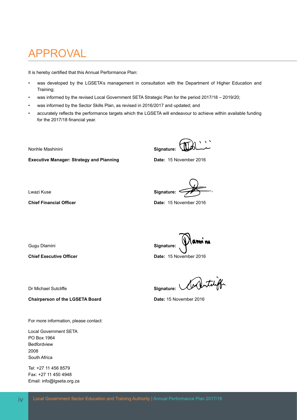## APPROVAL

It is hereby certified that this Annual Performance Plan:

- was developed by the LGSETA's management in consultation with the Department of Higher Education and Training;
- was informed by the revised Local Government SETA Strategic Plan for the period 2017/18 2019/20;
- was informed by the Sector Skills Plan, as revised in 2016/2017 and updated; and
- accurately reflects the performance targets which the LGSETA will endeavour to achieve within available funding for the 2017/18 financial year.

**Nonhle Mashinini Signature: Signature: Signature: Signature:** 

**Executive Manager: Strategy and Planning Date:** 15 November 2016

Lwazi Kuse **Signature:** 

**Chief Financial Officer Date: 15 November 2016** 

Gugu Dlamini **Signature: Signature: Signature: Signature:** 

**Chief Executive Officer Date:** 15 November 2016

Dr Michael Sutcliffe **Superinter Container Signature:**  $\sqrt{\frac{1}{2}}$ 

**Chairperson of the LGSETA Board Date: 15 November 2016** 

For more information, please contact:

Local Government SETA PO Box 1964 Bedfordview 2008 South Africa

Tel: +27 11 456 8579 Fax: +27 11 450 4948 Email: info@lgseta.org.za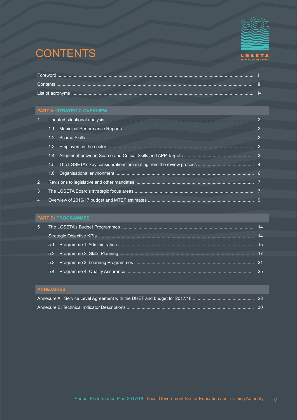# **CONTENTS**



|                | 1.1 |  |
|----------------|-----|--|
|                |     |  |
|                | 1.3 |  |
|                | 1.4 |  |
|                |     |  |
|                | 1.6 |  |
| 2.             |     |  |
| 3              |     |  |
| $\overline{4}$ |     |  |

| 5.1 |  |
|-----|--|
|     |  |
| 5.3 |  |
| 54  |  |
|     |  |

| <b>ANNEAUNECT</b> |  |
|-------------------|--|
|                   |  |
|                   |  |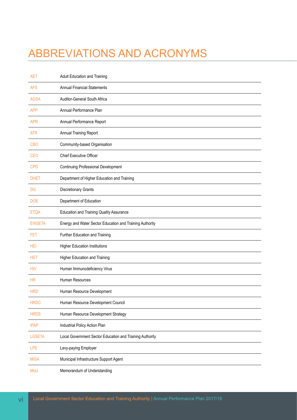# ABBREVIATIONS AND ACRONYMS

| <b>AET</b>    | <b>Adult Education and Training</b>                      |
|---------------|----------------------------------------------------------|
| <b>AFS</b>    | <b>Annual Financial Statements</b>                       |
| <b>AGSA</b>   | Auditor-General South Africa                             |
| <b>APP</b>    | Annual Performance Plan                                  |
| <b>APR</b>    | Annual Performance Report                                |
| <b>ATR</b>    | Annual Training Report                                   |
| <b>CBO</b>    | Community-based Organisation                             |
| <b>CEO</b>    | Chief Executive Officer                                  |
| <b>CPD</b>    | <b>Continuing Professional Development</b>               |
| <b>DHET</b>   | Department of Higher Education and Training              |
| DG            | <b>Discretionary Grants</b>                              |
| <b>DOE</b>    | Department of Education                                  |
| <b>ETQA</b>   | <b>Education and Training Quality Assurance</b>          |
| <b>EWSETA</b> | Energy and Water Sector Education and Training Authority |
| FET           | Further Education and Training                           |
| <b>HEI</b>    | <b>Higher Education Institutions</b>                     |
| <b>HET</b>    | Higher Education and Training                            |
| <b>HIV</b>    | Human Immunodeficiency Virus                             |
| HR            | Human Resources                                          |
| <b>HRD</b>    | Human Resource Development                               |
| <b>HRDC</b>   | Human Resource Development Council                       |
| <b>HRDS</b>   | Human Resource Development Strategy                      |
| <b>IPAP</b>   | Industrial Policy Action Plan                            |
| <b>LGSETA</b> | Local Government Sector Education and Training Authority |
| <b>LPE</b>    | Levy-paying Employer                                     |
| <b>MISA</b>   | Municipal Infrastructure Support Agent                   |
| MoU           | Memorandum of Understanding                              |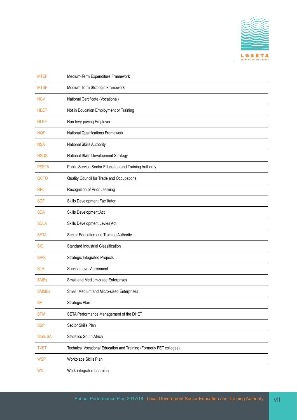

| <b>MTEF</b>     | Medium-Term Expenditure Framework                                   |
|-----------------|---------------------------------------------------------------------|
| <b>MTSF</b>     | Medium-Term Strategic Framework                                     |
| <b>NCV</b>      | National Certificate (Vocational)                                   |
| <b>NEET</b>     | Not in Education Employment or Training                             |
| <b>NLPE</b>     | Non-levy-paying Employer                                            |
| <b>NQF</b>      | <b>National Qualifications Framework</b>                            |
| <b>NSA</b>      | National Skills Authority                                           |
| <b>NSDS</b>     | National Skills Development Strategy                                |
| <b>PSETA</b>    | Public Service Sector Education and Training Authority              |
| QCTO            | Quality Council for Trade and Occupations                           |
| <b>RPL</b>      | Recognition of Prior Learning                                       |
| <b>SDF</b>      | Skills Development Facilitator                                      |
| <b>SDA</b>      | Skills Development Act                                              |
| <b>SDLA</b>     | Skills Development Levies Act                                       |
| <b>SETA</b>     | Sector Education and Training Authority                             |
| <b>SIC</b>      | Standard Industrial Classification                                  |
| <b>SIPS</b>     | Strategic Integrated Projects                                       |
| <b>SLA</b>      | Service Level Agreement                                             |
| <b>SMEs</b>     | Small and Medium-sized Enterprises                                  |
| <b>SMMEs</b>    | Small, Medium and Micro-sized Enterprises                           |
| <b>SP</b>       | Strategic Plan                                                      |
| <b>SPM</b>      | SETA Performance Management of the DHET                             |
| <b>SSP</b>      | Sector Skills Plan                                                  |
| <b>Stats SA</b> | <b>Statistics South Africa</b>                                      |
| <b>TVET</b>     | Technical Vocational Education and Training (Formerly FET colleges) |
| <b>WSP</b>      | Workplace Skills Plan                                               |
| WIL             | Work-integrated Learning                                            |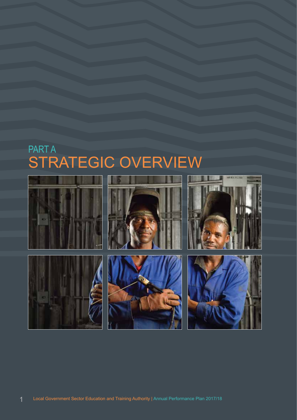# PART A STRATEGIC OVERVIEW

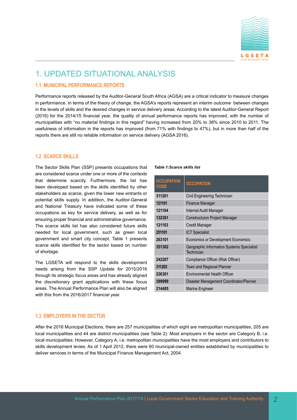

### 1. UPDATED SITUATIONAL ANALYSIS

#### **1.1 MUNICIPAL PERFORMANCE REPORTS**

Performance reports released by the Auditor-General South Africa (AGSA) are a critical indicator to measure changes in performance. In terms of the theory of change, the AGSA's reports represent an interim outcome between changes in the levels of skills and the desired changes in service delivery areas. According to the latest Auditor-General Report (2016) for the 2014/15 financial year, the quality of annual performance reports has improved, with the number of municipalities with "no material findings in this regard" having increased from 20% to 38% since 2010 to 2011. The usefulness of information in the reports has improved (from 71% with findings to 47%), but in more than half of the reports there are still no reliable information on service delivery (AGSA 2016).

#### **1.2 SCARCE SKILLS**

The Sector Skills Plan (SSP) presents occupations that are considered scarce under one or more of the contexts that determine scarcity. Furthermore, the list has been developed based on the skills identified by other stakeholders as scarce, given the lower new entrants or potential skills supply. In addition, the Auditor-General and National Treasury have indicated some of these occupations as key for service delivery, as well as for ensuring proper financial and administrative governance. The scarce skills list has also considered future skills needed for local government, such as green local government and smart city concept. Table 1 presents scarce skills identified for the sector based on number of shortage.

The LGSETA will respond to the skills development needs arising from the SSP Update for 2015/2016 through its strategic focus areas and has already aligned the discretionary grant applications with these focus areas. The Annual Performance Plan will also be aligned with this from the 2016/2017 financial year.

#### *Table 1:Scarce skills list*

| <b>OCCUPATION</b><br><b>CODE</b> | <b>OCCUPATION</b>                                        |
|----------------------------------|----------------------------------------------------------|
| 311201                           | Civil Engineering Technician                             |
| 121101                           | <b>Finance Manager</b>                                   |
| 121104                           | Internal Audit Manager                                   |
| 132301                           | <b>Constructuion Project Manager</b>                     |
| 121103                           | Credit Manager                                           |
| 251101                           | <b>ICT Specialist</b>                                    |
| 263101                           | <b>Economics or Development Economics</b>                |
| 351302                           | Geographic Information Systems Specialist/<br>Technician |
| 242207                           | Compliance Officer (Risk Officer)                        |
| 311203                           | Town and Regional Planner                                |
| 226301                           | <b>Environmental Health Officer</b>                      |
| 399999                           | Disaster Management Coordinator/Planner                  |
| 214405                           | <b>Marine Engineer</b>                                   |

#### **1.3 EMPLOYERS IN THE SECTOR**

After the 2016 Municipal Elections, there are 257 municipalities of which eight are metropolitan municipalities, 205 are local municipalities and 44 are district municipalities (see Table 2). Most employers in the sector are Category B, i.e. local municipalities. However, Category A, i.e. metropolitan municipalities have the most employers and contributors to skills development levies. As of 1 April 2012, there were 60 municipal-owned entities established by municipalities to deliver services in terms of the Municipal Finance Management Act, 2004.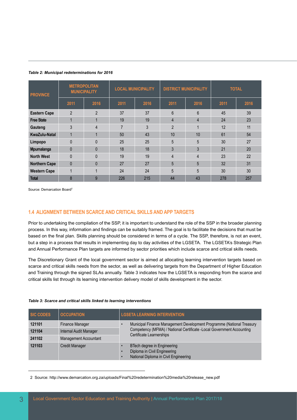| <b>PROVINCE</b>      | <b>METROPOLITAN</b><br><b>MUNICIPALITY</b> |                | <b>LOCAL MUNICIPALITY</b> |      | <b>DISTRICT MUNICIPALITY</b> |      | <b>TOTAL</b> |      |
|----------------------|--------------------------------------------|----------------|---------------------------|------|------------------------------|------|--------------|------|
|                      | 2011                                       | 2016           | 2011                      | 2016 | 2011                         | 2016 | 2011         | 2016 |
| <b>Eastern Cape</b>  | $\overline{2}$                             | $\overline{2}$ | 37                        | 37   | $6\phantom{1}$               | 6    | 45           | 39   |
| <b>Free State</b>    |                                            |                | 19                        | 19   | 4                            | 4    | 24           | 23   |
| Gauteng              | 3                                          | 4              | $\overline{7}$            | 3    | $\overline{2}$               |      | 12           | 11   |
| <b>KwaZulu-Natal</b> |                                            | $\overline{A}$ | 50                        | 43   | 10                           | 10   | 61           | 54   |
| Limpopo              | $\Omega$                                   | $\Omega$       | 25                        | 25   | 5                            | 5    | 30           | 27   |
| Mpumalanga           | $\Omega$                                   | $\Omega$       | 18                        | 18   | 3                            | 3    | 21           | 20   |
| <b>North West</b>    | $\Omega$                                   | $\Omega$       | 19                        | 19   | $\overline{4}$               | 4    | 23           | 22   |
| <b>Northern Cape</b> | $\mathbf{0}$                               | $\mathbf{0}$   | 27                        | 27   | 5                            | 5    | 32           | 31   |
| <b>Western Cape</b>  |                                            |                | 24                        | 24   | 5                            | 5    | 30           | 30   |
| <b>Total</b>         | 8                                          | 9              | 226                       | 215  | 44                           | 43   | 278          | 257  |

#### *Table 2: Municipal redeterminations for 2016*

Source: Demarcation Board<sup>2</sup>

#### **1.4 ALIGNMENT BETWEEN SCARCE AND CRITICAL SKILLS AND APP TARGETS**

Prior to undertaking the compilation of the SSP, it is important to understand the role of the SSP in the broader planning process. In this way, information and findings can be suitably framed. The goal is to facilitate the decisions that must be based on the final plan. Skills planning should be considered in terms of a cycle. The SSP, therefore, is not an event, but a step in a process that results in implementing day to day activities of the LGSETA. The LGSETA's Strategic Plan and Annual Performance Plan targets are informed by sector priorities which include scarce and critical skills needs.

The Discretionary Grant of the local government sector is aimed at allocating learning intervention targets based on scarce and critical skills needs from the sector, as well as delivering targets from the Department of Higher Education and Training through the signed SLAs annually. Table 3 indicates how the LGSETA is responding from the scarce and critical skills list through its learning intervention delivery model of skills development in the sector.

#### *Table 3: Scarce and critical skills linked to learning interventions*

| <b>SIC CODES</b> | <b>OCCUPATION</b>             | <b>LGSETA LEARNING INTERVENTION</b>                                                                  |
|------------------|-------------------------------|------------------------------------------------------------------------------------------------------|
| 121101           | Finance Manager               | Municipal Finance Management Development Programme (National Treasury                                |
| 121104           | <b>Internal Audit Manager</b> | Competency (MFMA) / National Certificate -Local Government Accounting<br>Certificate Learnerships    |
| 241102           | <b>Management Accountant</b>  |                                                                                                      |
| 121103           | <b>Credit Manager</b>         | BTech degree in Engineering<br>Diploma in Civil Engineering<br>National Diploma in Civil Engineering |

2 Source: http://www.demarcation.org.za/uploads/Final%20redetermination%20media%20release\_new.pdf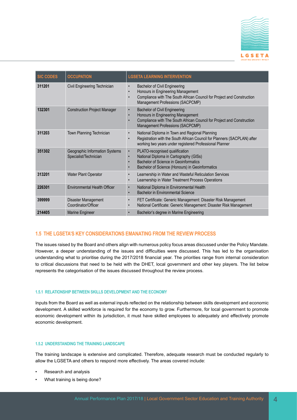

| <b>SIC CODES</b> | <b>OCCUPATION</b>                                       | <b>LGSETA LEARNING INTERVENTION</b>                                                                                                                                                                                            |
|------------------|---------------------------------------------------------|--------------------------------------------------------------------------------------------------------------------------------------------------------------------------------------------------------------------------------|
| 311201           | Civil Engineering Technician                            | <b>Bachelor of Civil Engineering</b><br>$\bullet$<br>Honours in Engineering Management<br>$\bullet$<br>Compliance with The South African Council for Project and Construction<br>$\bullet$<br>Management Professions (SACPCMP) |
| 132301           | <b>Construction Project Manager</b>                     | <b>Bachelor of Civil Engineering</b><br>$\bullet$<br>Honours in Engineering Management<br>$\bullet$<br>Compliance with The South African Council for Project and Construction<br>$\bullet$<br>Management Professions (SACPCMP) |
| 311203           | Town Planning Technician                                | National Diploma in Town and Regional Planning<br>$\bullet$<br>Registration with the South African Council for Planners (SACPLAN) after<br>working two years under registered Professional Planner                             |
| 351302           | Geographic Information Systems<br>Specialist/Technician | PLATO-recognised qualification<br>$\bullet$<br>National Diploma in Cartography (GISs)<br>$\bullet$<br>Bachelor of Science in Geoinformatics<br>Bachelor of Science (Honours) in Geoinformatics<br>$\bullet$                    |
| 313201           | Water Plant Operator                                    | Learnership in Water and Wasteful Reticulation Services<br>$\bullet$<br>Learnership in Water Treatment Process Operations<br>$\bullet$                                                                                         |
| 226301           | <b>Environmental Health Officer</b>                     | National Diploma in Environmental Health<br>$\bullet$<br><b>Bachelor in Environmental Science</b><br>$\bullet$                                                                                                                 |
| 399999           | Disaster Management<br>Coordinator/Officer              | FET Certificate: Generic Management: Disaster Risk Management<br>$\bullet$<br>National Certificate: Generic Management: Disaster Risk Management<br>$\bullet$                                                                  |
| 214405           | Marine Engineer                                         | Bachelor's degree in Marine Engineering<br>$\bullet$                                                                                                                                                                           |

#### **1.5 THE LGSETA'S KEY CONSIDERATIONS EMANATING FROM THE REVIEW PROCESS**

The issues raised by the Board and others align with numerous policy focus areas discussed under the Policy Mandate. However, a deeper understanding of the issues and difficulties were discussed. This has led to the organisation understanding what to prioritise during the 2017/2018 financial year. The priorities range from internal consideration to critical discussions that need to be held with the DHET, local government and other key players. The list below represents the categorisation of the issues discussed throughout the review process.

#### **1.5.1 RELATIONSHIP BETWEEN SKILLS DEVELOPMENT AND THE ECONOMY**

Inputs from the Board as well as external inputs reflected on the relationship between skills development and economic development. A skilled workforce is required for the economy to grow. Furthermore, for local government to promote economic development within its jurisdiction, it must have skilled employees to adequately and effectively promote economic development.

#### **1.5.2 UNDERSTANDING THE TRAINING LANDSCAPE**

The training landscape is extensive and complicated. Therefore, adequate research must be conducted regularly to allow the LGSETA and others to respond more effectively. The areas covered include:

- Research and analysis
- What training is being done?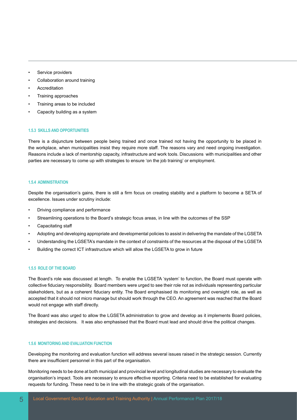- Service providers
- Collaboration around training
- **Accreditation**
- Training approaches
- Training areas to be included
- Capacity building as a system

#### **1.5.3 SKILLS AND OPPORTUNITIES**

There is a disjuncture between people being trained and once trained not having the opportunity to be placed in the workplace, when municipalities insist they require more staff. The reasons vary and need ongoing investigation. Reasons include a lack of mentorship capacity, infrastructure and work tools. Discussions with municipalities and other parties are necessary to come up with strategies to ensure 'on the job training' or employment.

#### **1.5.4 ADMINISTRATION**

Despite the organisation's gains, there is still a firm focus on creating stability and a platform to become a SETA of excellence. Issues under scrutiny include:

- Driving compliance and performance
- Streamlining operations to the Board's strategic focus areas, in line with the outcomes of the SSP
- Capacitating staff
- Adopting and developing appropriate and developmental policies to assist in delivering the mandate of the LGSETA
- Understanding the LGSETA's mandate in the context of constraints of the resources at the disposal of the LGSETA
- Building the correct ICT infrastructure which will allow the LGSETA to grow in future

#### **1.5.5 ROLE OF THE BOARD**

The Board's role was discussed at length. To enable the LGSETA 'system' to function, the Board must operate with collective fiduciary responsibility. Board members were urged to see their role not as individuals representing particular stakeholders, but as a coherent fiduciary entity. The Board emphasised its monitoring and oversight role, as well as accepted that it should not micro manage but should work through the CEO. An agreement was reached that the Board would not engage with staff directly.

The Board was also urged to allow the LGSETA administration to grow and develop as it implements Board policies, strategies and decisions. It was also emphasised that the Board must lead and should drive the political changes.

#### **1.5.6 MONITORING AND EVALUATION FUNCTION**

Developing the monitoring and evaluation function will address several issues raised in the strategic session. Currently there are insufficient personnel in this part of the organisation.

Monitoring needs to be done at both municipal and provincial level and longitudinal studies are necessary to evaluate the organisation's impact. Tools are necessary to ensure effective reporting. Criteria need to be established for evaluating requests for funding. These need to be in line with the strategic goals of the organisation.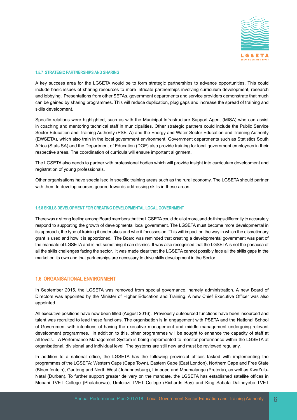

#### **1.5.7 STRATEGIC PARTNERSHIPS AND SHARING**

A key success area for the LGSETA would be to form strategic partnerships to advance opportunities. This could include basic issues of sharing resources to more intricate partnerships involving curriculum development, research and lobbying. Presentations from other SETAs, government departments and service providers demonstrate that much can be gained by sharing programmes. This will reduce duplication, plug gaps and increase the spread of training and skills development.

Specific relations were highlighted, such as with the Municipal Infrastructure Support Agent (MISA) who can assist in coaching and mentoring technical staff in municipalities. Other strategic partners could include the Public Service Sector Education and Training Authority (PSETA) and the Energy and Water Sector Education and Training Authority (EWSETA), which also train in the local government environment. Government departments such as Statistics South Africa (Stats SA) and the Department of Education (DOE) also provide training for local government employees in their respective areas. The coordination of curricula will ensure important alignment.

The LGSETA also needs to partner with professional bodies which will provide insight into curriculum development and registration of young professionals.

Other organisations have specialised in specific training areas such as the rural economy. The LGSETA should partner with them to develop courses geared towards addressing skills in these areas.

#### **1.5.8 SKILLS DEVELOPMENT FOR CREATING DEVELOPMENTAL LOCAL GOVERNMENT**

There was a strong feeling among Board members that the LGSETA could do a lot more, and do things differently to accurately respond to supporting the growth of developmental local government. The LGSETA must become more developmental in its approach, the type of training it undertakes and who it focusses on. This will impact on the way in which the discretionary grant is used and how it is apportioned. The Board was reminded that creating a developmental government was part of the mandate of LGSETA and is not something it can dismiss. It was also recognised that the LGSETA is not the panacea of all the skills challenges facing the sector. It was made clear that the LGSETA cannot possibly face all the skills gaps in the market on its own and that partnerships are necessary to drive skills development in the Sector.

#### **1.6 ORGANISATIONAL ENVIRONMENT**

In September 2015, the LGSETA was removed from special governance, namely administration. A new Board of Directors was appointed by the Minister of Higher Education and Training. A new Chief Executive Officer was also appointed.

All executive positions have now been filled (August 2016). Previously outsourced functions have been insourced and talent was recruited to lead these functions. The organisation is in engagement with PSETA and the National School of Government with intentions of having the executive management and middle management undergoing relevant development programmes. In addition to this, other programmes will be sought to enhance the capacity of staff at all levels. A Performance Management System is being implemented to monitor performance within the LGSETA at organisational, divisional and individual level. The systems are still new and must be reviewed regularly.

In addition to a national office, the LGSETA has the following provincial offices tasked with implementing the programmes of the LGSETA: Western Cape (Cape Town), Eastern Cape (East London), Northern Cape and Free State (Bloemfontein), Gauteng and North West (Johannesburg), Limpopo and Mpumalanga (Pretoria), as well as KwaZulu-Natal (Durban). To further support greater delivery on the mandate, the LGSETA has established satellite offices in Mopani TVET College (Phalaborwa), Umfolozi TVET College (Richards Bay) and King Sabata Dalindyebo TVET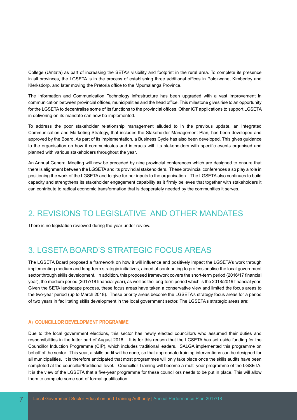College (Umtata) as part of increasing the SETA's visibility and footprint in the rural area. To complete its presence in all provinces, the LGSETA is in the process of establishing three additional offices in Polokwane, Kimberley and Klerksdorp, and later moving the Pretoria office to the Mpumalanga Province.

The Information and Communication Technology infrastructure has been upgraded with a vast improvement in communication between provincial offices, municipalities and the head office. This milestone gives rise to an opportunity for the LGSETA to decentralise some of its functions to the provincial offices. Other ICT applications to support LGSETA in delivering on its mandate can now be implemented.

To address the poor stakeholder relationship management alluded to in the previous update, an Integrated Communication and Marketing Strategy, that includes the Stakeholder Management Plan, has been developed and approved by the Board. As part of its implementation, a Business Cycle has also been developed. This gives guidance to the organisation on how it communicates and interacts with its stakeholders with specific events organised and planned with various stakeholders throughout the year.

An Annual General Meeting will now be preceded by nine provincial conferences which are designed to ensure that there is alignment between the LGSETA and its provincial stakeholders. These provincial conferences also play a role in positioning the work of the LGSETA and to give further inputs to the organisation. The LGSETA also continues to build capacity and strengthens its stakeholder engagement capability as it firmly believes that together with stakeholders it can contribute to radical economic transformation that is desperately needed by the communities it serves.

### 2. REVISIONS TO LEGISLATIVE AND OTHER MANDATES

There is no legislation reviewed during the year under review.

### 3. LGSETA BOARD'S STRATEGIC FOCUS AREAS

The LGSETA Board proposed a framework on how it will influence and positively impact the LGSETA's work through implementing medium and long-term strategic initiatives, aimed at contributing to professionalise the local government sector through skills development. In addition, this proposed framework covers the short-term period (2016/17 financial year), the medium period (2017/18 financial year), as well as the long-term period which is the 2018/2019 financial year. Given the SETA landscape process, these focus areas have taken a conservative view and limited the focus areas to the two-year period (up to March 2018). These priority areas become the LGSETA's strategy focus areas for a period of two years in facilitating skills development in the local government sector. The LGSETA's strategic areas are:

#### **A) COUNCILLOR DEVELOPMENT PROGRAMME**

Due to the local government elections, this sector has newly elected councillors who assumed their duties and responsibilities in the latter part of August 2016. It is for this reason that the LGSETA has set aside funding for the Councillor Induction Programme (CIP), which includes traditional leaders. SALGA implemented this programme on behalf of the sector. This year, a skills audit will be done, so that appropriate training interventions can be designed for all municipalities. It is therefore anticipated that most programmes will only take place once the skills audits have been completed at the councillor/traditional level. Councillor Training will become a multi-year programme of the LGSETA. It is the view of the LGSETA that a five-year programme for these councillors needs to be put in place. This will allow them to complete some sort of formal qualification.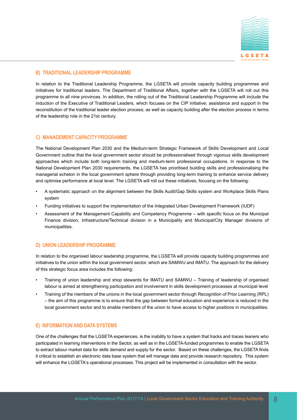

#### **B) TRADITIONAL LEADERSHIP PROGRAMME**

In relation to the Traditional Leadership Programme, the LGSETA will provide capacity building programmes and initiatives for traditional leaders. The Department of Traditional Affairs, together with the LGSETA will roll out this programme to all nine provinces. In addition, the rolling out of the Traditional Leadership Programme will include the induction of the Executive of Traditional Leaders, which focuses on the CIP initiative; assistance and support in the reconstitution of the traditional leader election process; as well as capacity building after the election process in terms of the leadership role in the 21st century.

#### **C) MANAGEMENT CAPACITY PROGRAMME**

The National Development Plan 2030 and the Medium-term Strategic Framework of Skills Development and Local Government outline that the local government sector should be professionalised through vigorous skills development approaches which include both long-term training and medium-term professional occupations. In response to the National Development Plan 2030 requirements, the LGSETA has prioritised building skills and professionalising the managerial echelon in the local government sphere through providing long-term training to enhance service delivery and optimise performance at local level. The LGSETA will roll out these initiatives, focusing on the following:

- A systematic approach on the alignment between the Skills Audit/Gap Skills system and Workplace Skills Plans system
- Funding initiatives to support the implementation of the Integrated Urban Development Framework (IUDF)
- Assessment of the Management Capability and Competency Programme with specific focus on the Municipal Finance division, Infrastructure/Technical division in a Municipality and Municipal/City Manager divisions of municipalities.

#### **D) UNION LEADERSHIP PROGRAMME**

In relation to the organised labour leadership programme, the LGSETA will provide capacity building programmes and initiatives to the union within the local government sector, which are SAMWU and IMATU. The approach for the delivery of this strategic focus area includes the following:

- Training of union leadership and shop stewards for IMATU and SAMWU Training of leadership of organised labour is aimed at strengthening participation and involvement in skills development processes at municipal level
- Training of the members of the unions in the local government sector through Recognition of Prior Learning (RPL) – the aim of this programme is to ensure that the gap between formal education and experience is reduced in the local government sector and to enable members of the union to have access to higher positions in municipalities.

#### **E) INFORMATION AND DATA SYSTEMS**

One of the challenges that the LGSETA experiences, is the inability to have a system that tracks and traces leaners who participated in learning interventions in the Sector, as well as in the LGSETA-funded programmes to enable the LGSETA to extract labour market data for skills demand and supply for the sector. Based on these challenges, the LGSETA finds it critical to establish an electronic data base system that will manage data and provide research repository. This system will enhance the LGSETA's operational processes. This project will be implemented in consultation with the sector.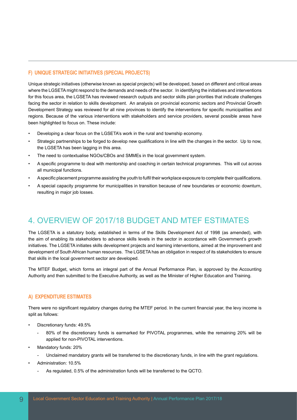#### **F) UNIQUE STRATEGIC INITIATIVES (SPECIAL PROJECTS)**

Unique strategic initiatives (otherwise known as special projects) will be developed, based on different and critical areas where the LGSETA might respond to the demands and needs of the sector. In identifying the initiatives and interventions for this focus area, the LGSETA has reviewed research outputs and sector skills plan priorities that indicate challenges facing the sector in relation to skills development. An analysis on provincial economic sectors and Provincial Growth Development Strategy was reviewed for all nine provinces to identify the interventions for specific municipalities and regions. Because of the various interventions with stakeholders and service providers, several possible areas have been highlighted to focus on. These include:

- Developing a clear focus on the LGSETA's work in the rural and township economy.
- Strategic partnerships to be forged to develop new qualifications in line with the changes in the sector. Up to now, the LGSETA has been lagging in this area.
- The need to contextualise NGOs/CBOs and SMMEs in the local government system.
- A specific programme to deal with mentorship and coaching in certain technical programmes. This will cut across all municipal functions.
- A specific placement programme assisting the youth to fulfil their workplace exposure to complete their qualifications.
- A special capacity programme for municipalities in transition because of new boundaries or economic downturn, resulting in major job losses.

### 4. OVERVIEW OF 2017/18 BUDGET AND MTEF ESTIMATES

The LGSETA is a statutory body, established in terms of the Skills Development Act of 1998 (as amended), with the aim of enabling its stakeholders to advance skills levels in the sector in accordance with Government's growth initiatives. The LGSETA initiates skills development projects and learning interventions, aimed at the improvement and development of South African human resources. The LGSETA has an obligation in respect of its stakeholders to ensure that skills in the local government sector are developed.

The MTEF Budget, which forms an integral part of the Annual Performance Plan, is approved by the Accounting Authority and then submitted to the Executive Authority, as well as the Minister of Higher Education and Training.

#### **A) EXPENDITURE ESTIMATES**

There were no significant regulatory changes during the MTEF period. In the current financial year, the levy income is split as follows:

- Discretionary funds: 49.5%
	- 80% of the discretionary funds is earmarked for PIVOTAL programmes, while the remaining 20% will be applied for non-PIVOTAL interventions.
- Mandatory funds: 20%
	- Unclaimed mandatory grants will be transferred to the discretionary funds, in line with the grant regulations.
- Administration: 10.5%
	- As regulated, 0.5% of the administration funds will be transferred to the QCTO.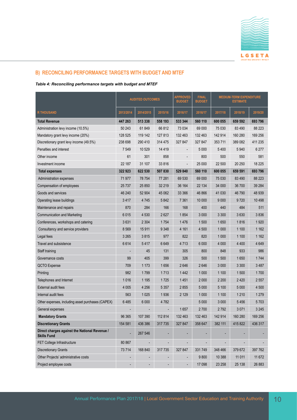

#### **B) RECONCILING PERFORMANCE TARGETS WITH BUDGET AND MTEF**

*Table 4: Reconciling performance targets with budget and MTEF*

|                                                                     | <b>AUDITED OUTCOMES</b> |           | <b>APPROVED</b><br><b>BUDGET</b> | <b>FINAL</b><br><b>BUDGET</b> | <b>MEDIUM-TERM EXPENDITURE</b><br><b>ESTIMATE</b> |         |         |         |
|---------------------------------------------------------------------|-------------------------|-----------|----------------------------------|-------------------------------|---------------------------------------------------|---------|---------|---------|
| <b>R THOUSAND</b>                                                   | 2013/2014               | 2014/2015 | 2015/16                          | 2016/17                       | 2016/17                                           | 2017/18 | 2018/19 | 2019/20 |
| <b>Total Revenue</b>                                                | 447 263                 | 513 338   | 558 193                          | 533 344                       | 560 110                                           | 600 055 | 659 592 | 693 796 |
| Administration levy income (10.5%)                                  | 50 243                  | 61849     | 66812                            | 73 0 34                       | 69 000                                            | 75 0 30 | 83 490  | 88 223  |
| Mandatory grant levy income (20%)                                   | 128 525                 | 119 142   | 127813                           | 132 463                       | 132 463                                           | 142 914 | 160 280 | 169 256 |
| Discretionary grant levy income (49.5%)                             | 238 698                 | 290 410   | 314 475                          | 327 847                       | 327 847                                           | 353711  | 389 082 | 411 235 |
| Penalties and interest                                              | 7 5 4 9                 | 10 529    | 14 4 19                          |                               | 5 0 0 0                                           | 5 4 0 0 | 5 9 4 0 | 6 277   |
| Other income                                                        | 61                      | 301       | 858                              |                               | 800                                               | 500     | 550     | 581     |
| Investment income                                                   | 22 187                  | 31 107    | 33 816                           |                               | 25 000                                            | 22 500  | 20 250  | 18 2 25 |
| <b>Total expenses</b>                                               | 322 923                 | 622 530   | 507830                           | 529 840                       | 560 110                                           | 600 055 | 659 591 | 693 796 |
| Administration expenses                                             | 71 977                  | 78 754    | 77 281                           | 69 530                        | 69 000                                            | 75 030  | 83 490  | 88 223  |
| Compensation of employees                                           | 25 7 37                 | 25 850    | 32 219                           | 36 164                        | 22 134                                            | 34 000  | 36 700  | 39 284  |
| Goods and services                                                  | 46 240                  | 52 904    | 45 062                           | 33 366                        | 46 866                                            | 41 0 30 | 46790   | 48 939  |
| Operating lease buildings                                           | 3417                    | 4745      | 5842                             | 7 3 6 1                       | 10 000                                            | 9 0 0 0 | 9720    | 10 4 98 |
| Maintenance and repairs                                             | 870                     | 284       | 166                              | 168                           | 400                                               | 440     | 484     | 511     |
| <b>Communication and Marketing</b>                                  | 6015                    | 4 5 3 0   | 2627                             | 1854                          | 3 0 0 0                                           | 3 3 0 0 | 3630    | 3836    |
| Conferences, workshops and catering                                 | 3631                    | 2 3 0 4   | 1754                             | 1476                          | 1500                                              | 1650    | 1816    | 1920    |
| Consultancy and service providers                                   | 8 5 6 9                 | 15 911    | 9 3 4 8                          | 4 1 6 1                       | 4 500                                             | 1 0 0 0 | 1 100   | 1 1 6 2 |
| Legal fees                                                          | 3 2 6 5                 | 3815      | 977                              | 822                           | 820                                               | 1 0 0 0 | 1 100   | 1 1 6 2 |
| Travel and subsistence                                              | 6614                    | 5417      | 6649                             | 4713                          | 6 0 0 0                                           | 4 0 0 0 | 4 4 0 0 | 4649    |
| Staff training                                                      |                         | 45        | 131                              | 305                           | 800                                               | 848     | 933     | 986     |
| Governance costs                                                    | 99                      | 405       | 399                              | 326                           | 500                                               | 1 500   | 1650    | 1744    |
| QCTO Expense                                                        | 709                     | 1 1 7 3   | 1656                             | 2646                          | 2646                                              | 3 0 0 0 | 3 3 0 0 | 3487    |
| Printing                                                            | 982                     | 1799      | 1713                             | 1442                          | 1 0 0 0                                           | 1 100   | 1500    | 1700    |
| Telephones and Internet                                             | 1016                    | 1 1 9 5   | 1725                             | 1451                          | 2 0 0 0                                           | 2 2 0 0 | 2 4 2 0 | 2 5 5 7 |
| External audit fees                                                 | 4 0 0 5                 | 4 2 5 6   | 5 3 5 7                          | 2855                          | 5 0 0 0                                           | 5 100   | 5 0 0 0 | 4 500   |
| Internal audit fees                                                 | 563                     | 1 0 2 5   | 1936                             | 2 1 2 9                       | 1 0 0 0                                           | 1 100   | 1 2 1 0 | 1 2 7 9 |
| Other expenses, including asset purchases (CAPEX)                   | 6485                    | 6 0 0 0   | 4782                             |                               | 5 0 0 0                                           | 3 0 0 0 | 5456    | 5703    |
| General expenses                                                    |                         |           |                                  | 1657                          | 2700                                              | 2792    | 3071    | 3 2 4 5 |
| <b>Mandatory Grants</b>                                             | 96 365                  | 107 390   | 112814                           | 132 463                       | 132 463                                           | 142914  | 160 280 | 169 256 |
| <b>Discretionary Grants</b>                                         | 154 581                 | 436 386   | 317 735                          | 327 847                       | 358 647                                           | 382 111 | 415 822 | 436 317 |
| Direct charges against the National Revenue /<br><b>Skills Fund</b> |                         | 267 546   |                                  |                               |                                                   |         |         |         |
| FET College Infrastructure                                          | 80 867                  |           |                                  |                               |                                                   |         |         |         |
| <b>Discretionary Grants</b>                                         | 73 714                  | 168 840   | 317 735                          | 327 847                       | 331749                                            | 348 466 | 379 672 | 397 762 |
| Other Projects' administrative costs                                |                         |           |                                  |                               | 9800                                              | 10 388  | 11 011  | 11 672  |
| Project employee costs                                              |                         |           |                                  | $\overline{a}$                | 17 098                                            | 23 258  | 25 138  | 26 883  |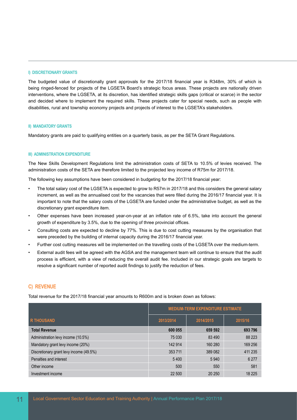#### **I) DISCRETIONARY GRANTS**

The budgeted value of discretionally grant approvals for the 2017/18 financial year is R348m, 30% of which is being ringed-fenced for projects of the LGSETA Board's strategic focus areas. These projects are nationally driven interventions, where the LGSETA, at its discretion, has identified strategic skills gaps (critical or scarce) in the sector and decided where to implement the required skills. These projects cater for special needs, such as people with disabilities, rural and township economy projects and projects of interest to the LGSETA's stakeholders.

#### **II) MANDATORY GRANTS**

Mandatory grants are paid to qualifying entities on a quarterly basis, as per the SETA Grant Regulations.

#### **III) ADMINISTRATION EXPENDITURE**

The New Skills Development Regulations limit the administration costs of SETA to 10.5% of levies received. The administration costs of the SETA are therefore limited to the projected levy income of R75m for 2017/18.

The following key assumptions have been considered in budgeting for the 2017/18 financial year:

- The total salary cost of the LGSETA is expected to grow to R57m in 2017/18 and this considers the general salary increment, as well as the annualised cost for the vacancies that were filled during the 2016/17 financial year. It is important to note that the salary costs of the LGSETA are funded under the administrative budget, as well as the discretionary grant expenditure item.
- Other expenses have been increased year-on-year at an inflation rate of 6.5%, take into account the general growth of expenditure by 3.5%, due to the opening of three provincial offices.
- Consulting costs are expected to decline by 77%. This is due to cost cutting measures by the organisation that were preceded by the building of internal capacity during the 2016/17 financial year.
- Further cost cutting measures will be implemented on the travelling costs of the LGSETA over the medium-term.
- External audit fees will be agreed with the AGSA and the management team will continue to ensure that the audit process is efficient, with a view of reducing the overall audit fee. Included in our strategic goals are targets to resolve a significant number of reported audit findings to justify the reduction of fees.

#### **C) REVENUE**

Total revenue for the 2017/18 financial year amounts to R600m and is broken down as follows:

|                                         | <b>MEDIUM-TERM EXPENDITURE ESTIMATE</b> |           |         |  |  |  |
|-----------------------------------------|-----------------------------------------|-----------|---------|--|--|--|
| <b>R THOUSAND</b>                       | 2013/2014                               | 2014/2015 | 2015/16 |  |  |  |
| <b>Total Revenue</b>                    | 600 055                                 | 659 592   | 693 796 |  |  |  |
| Administration levy income (10.5%)      | 75 030                                  | 83 4 90   | 88 223  |  |  |  |
| Mandatory grant levy income (20%)       | 142 914                                 | 160 280   | 169 256 |  |  |  |
| Discretionary grant levy income (49.5%) | 353 711                                 | 389 082   | 411 235 |  |  |  |
| Penalties and interest                  | 5400                                    | 5 9 4 0   | 6 2 7 7 |  |  |  |
| Other income                            | 500                                     | 550       | 581     |  |  |  |
| Investment income                       | 22 500                                  | 20 250    | 18 2 25 |  |  |  |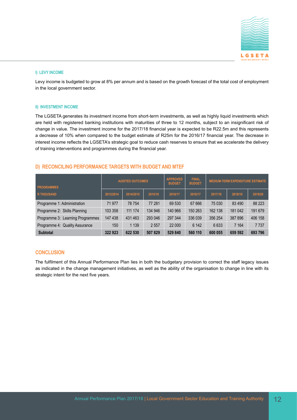

#### **I) LEVY INCOME**

Levy income is budgeted to grow at 8% per annum and is based on the growth forecast of the total cost of employment in the local government sector.

#### **II) INVESTMENT INCOME**

The LGSETA generates its investment income from short-term investments, as well as highly liquid investments which are held with registered banking institutions with maturities of three to 12 months, subject to an insignificant risk of change in value. The investment income for the 2017/18 financial year is expected to be R22.5m and this represents a decrease of 10% when compared to the budget estimate of R25m for the 2016/17 financial year. The decrease in interest income reflects the LGSETA's strategic goal to reduce cash reserves to ensure that we accelerate the delivery of training interventions and programmes during the financial year.

#### **D) RECONCILING PERFORMANCE TARGETS WITH BUDGET AND MTEF**

| <b>PROGRAMMES</b>                |           | <b>AUDITED OUTCOMES</b> |         | <b>APPROVED</b><br><b>BUDGET</b> | <b>FINAL</b><br><b>BUDGET</b> | <b>MEDIUM-TERM EXPENDITURE ESTIMATE</b> |         |         |  |
|----------------------------------|-----------|-------------------------|---------|----------------------------------|-------------------------------|-----------------------------------------|---------|---------|--|
| <b>R THOUSAND</b>                | 2013/2014 | 2014/2015               | 2015/16 | 2016/17                          | 2016/17                       | 2017/18                                 | 2018/19 | 2019/20 |  |
| Programme 1: Administration      | 71 977    | 78754                   | 77 281  | 69 530                           | 67 666                        | 75 030                                  | 83 4 90 | 88 223  |  |
| Programme 2: Skills Planning     | 103 358   | 111 174                 | 134 946 | 140 966                          | 150 263                       | 162 138                                 | 181 042 | 191 679 |  |
| Programme 3: Learning Programmes | 147 438   | 431 463                 | 293 046 | 297 344                          | 336 039                       | 356 254                                 | 387 896 | 406 158 |  |
| Programme 4: Quality Assurance   | 150       | 1 1 3 9                 | 2 5 5 7 | 22 000                           | 6 142                         | 6633                                    | 7 1 6 4 | 7 7 3 7 |  |
| <b>Subtotal</b>                  | 322 923   | 622 530                 | 507829  | 529 840                          | 560 110                       | 600 055                                 | 659 592 | 693 796 |  |

#### **CONCLUSION**

The fulfilment of this Annual Performance Plan lies in both the budgetary provision to correct the staff legacy issues as indicated in the change management initiatives, as well as the ability of the organisation to change in line with its strategic intent for the next five years.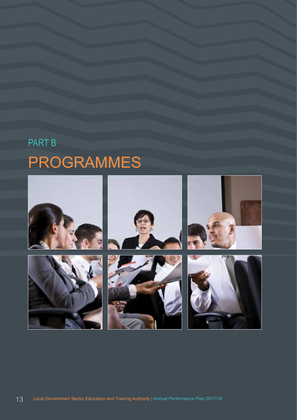# PART B PROGRAMMES

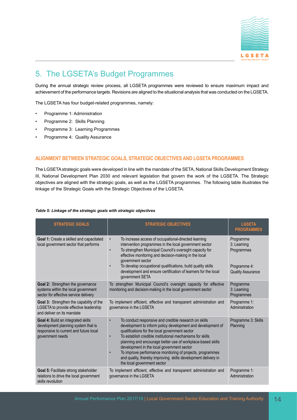

### 5. The LGSETA's Budget Programmes

During the annual strategic review process, all LGSETA programmes were reviewed to ensure maximum impact and achievement of the performance targets. Revisions are aligned to the situational analysis that was conducted on the LGSETA.

The LGSETA has four budget-related programmes, namely:

- Programme 1: Administration
- Programme 2: Skills Planning
- Programme 3: Learning Programmes
- Programme 4: Quality Assurance

#### **ALIGNMENT BETWEEN STRATEGIC GOALS, STRATEGIC OBJECTIVES AND LGSETA PROGRAMMES**

The LGSETA strategic goals were developed in line with the mandate of the SETA, National Skills Development Strategy III, National Development Plan 2030 and relevant legislation that govern the work of the LGSETA. The Strategic objectives are aligned with the strategic goals, as well as the LGSETA programmes. The following table illustrates the linkage of the Strategic Goals with the Strategic Objectives of the LGSETA.

#### *Table 5: Linkage of the strategic goals with strategic objectives*

| <b>STRATEGIC GOALS</b>                                                                                                                  | <b>STRATEGIC OBJECTIVES</b>                                                                                                                                                                                                                                                                                                                                                                                                                                                                                   | <b>LGSETA</b><br><b>PROGRAMMES</b>                                                 |
|-----------------------------------------------------------------------------------------------------------------------------------------|---------------------------------------------------------------------------------------------------------------------------------------------------------------------------------------------------------------------------------------------------------------------------------------------------------------------------------------------------------------------------------------------------------------------------------------------------------------------------------------------------------------|------------------------------------------------------------------------------------|
| Goal 1: Create a skilled and capacitated<br>local government sector that performs                                                       | To increase access of occupational-directed learning<br>$\bullet$<br>intervention programmes in the local government sector<br>To strengthen Municipal Council's oversight capacity for<br>$\bullet$<br>effective monitoring and decision-making in the local<br>government sector<br>To develop occupational qualifications, build quality skills<br>development and ensure certification of learners for the local<br>government SETA                                                                       | Programme<br>3: Learning<br>Programmes<br>Programme 4:<br><b>Quality Assurance</b> |
| Goal 2: Strengthen the governance<br>systems within the local government<br>sector for effective service delivery                       | To strengthen Municipal Council's oversight capacity for effective<br>monitoring and decision-making in the local government sector                                                                                                                                                                                                                                                                                                                                                                           | Programme<br>3: Learning<br>Programmes                                             |
| Goal 3: Strengthen the capability of the<br>LGSETA to provide effective leadership<br>and deliver on its mandate                        | To implement efficient, effective and transparent administration and<br>governance in the LGSETA                                                                                                                                                                                                                                                                                                                                                                                                              | Programme 1:<br>Administration                                                     |
| Goal 4: Build an integrated skills<br>development planning system that is<br>responsive to current and future local<br>government needs | To conduct responsive and credible research on skills<br>development to inform policy development and development of<br>qualifications for the local government sector<br>To establish credible institutional mechanisms for skills<br>planning and encourage better use of workplace-based skills<br>development in the local government sector<br>To improve performance monitoring of projects, programmes<br>and quality, thereby improving skills development delivery in<br>the local government sector | Programme 3: Skills<br>Planning                                                    |
| Goal 5: Facilitate strong stakeholder<br>relations to drive the local government<br>skills revolution                                   | To implement efficient, effective and transparent administration and<br>governance in the LGSETA                                                                                                                                                                                                                                                                                                                                                                                                              | Programme 1:<br>Administration                                                     |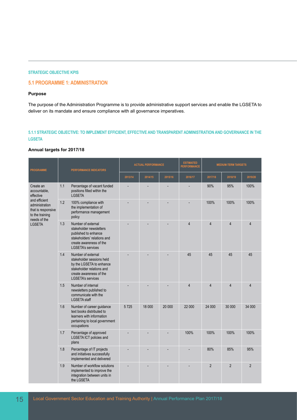#### **STRATEGIC OBJECTIVE KPIS**

#### **5.1 PROGRAMME 1: ADMINISTRATION**

#### **Purpose**

The purpose of the Administration Programme is to provide administrative support services and enable the LGSETA to deliver on its mandate and ensure compliance with all governance imperatives.

#### **5.1.1 STRATEGIC OBJECTIVE: TO IMPLEMENT EFFICIENT, EFFECTIVE AND TRANSPARENT ADMINISTRATION AND GOVERNANCE IN THE LGSETA**

#### **Annual targets for 2017/18**

| <b>PROGRAMME</b>                                                                         | PERFORMANCE INDICATORS |                                                                                                                                                                 |         | <b>ACTUAL PERFORMANCE</b> |         | <b>ESTIMATED</b><br><b>PERFORMANCE</b> |                | <b>MEDIUM-TERM TARGETS</b> |                |
|------------------------------------------------------------------------------------------|------------------------|-----------------------------------------------------------------------------------------------------------------------------------------------------------------|---------|---------------------------|---------|----------------------------------------|----------------|----------------------------|----------------|
|                                                                                          |                        |                                                                                                                                                                 | 2013/14 | 2014/15                   | 2015/16 | 2016/17                                | 2017/18        | 2018/19                    | 2019/20        |
| Create an<br>accountable,<br>effective                                                   | 1.1                    | Percentage of vacant funded<br>positions filled within the<br><b>LGSETA</b>                                                                                     |         |                           |         |                                        | 90%            | 95%                        | 100%           |
| and efficient<br>administration<br>that is responsive<br>to the training<br>needs of the | 1.2                    | 100% compliance with<br>the implementation of<br>performance management<br>policy                                                                               |         |                           |         |                                        | 100%           | 100%                       | 100%           |
| <b>LGSETA</b>                                                                            | 1.3                    | Number of external<br>stakeholder newsletters<br>published to enhance<br>stakeholders' relations and<br>create awareness of the<br><b>LGSETA's services</b>     |         |                           |         | $\overline{4}$                         | $\overline{4}$ | 4                          | $\overline{4}$ |
|                                                                                          | 1.4                    | Number of external<br>stakeholder sessions held<br>by the LGSETA to enhance<br>stakeholder relations and<br>create awareness of the<br><b>LGSETA's services</b> |         |                           |         | 45                                     | 45             | 45                         | 45             |
|                                                                                          | 1.5                    | Number of internal<br>newsletters published to<br>communicate with the<br><b>LGSETA</b> staff                                                                   |         |                           |         | $\overline{4}$                         | $\overline{4}$ | 4                          | $\overline{4}$ |
|                                                                                          | 1.6                    | Number of career guidance<br>text books distributed to<br>learners with information<br>pertaining to local government<br>occupations                            | 5725    | 18 000                    | 20 000  | 22 000                                 | 24 000         | 30 000                     | 34 000         |
|                                                                                          | 1.7                    | Percentage of approved<br><b>LGSETA ICT policies and</b><br>plans                                                                                               |         |                           |         | 100%                                   | 100%           | 100%                       | 100%           |
|                                                                                          | 1.8                    | Percentage of IT projects<br>and initiatives successfully<br>implemented and delivered                                                                          |         |                           |         |                                        | 80%            | 85%                        | 95%            |
|                                                                                          | 1.9                    | Number of workflow solutions<br>implemented to improve the<br>integration between units in<br>the LGSETA                                                        |         |                           |         |                                        | $\overline{2}$ | $\overline{2}$             | $\overline{2}$ |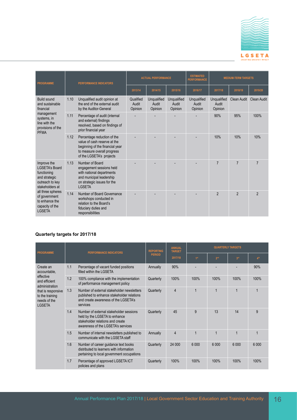

| <b>PROGRAMME</b>                                                                                           |                     | <b>PERFORMANCE INDICATORS</b>                                                                                                                             |                               | <b>ACTUAL PERFORMANCE</b>       |                                 | <b>ESTIMATED</b><br><b>MEDIUM-TERM TARGETS</b><br><b>PERFORMANCE</b> |                                 |                |                    |
|------------------------------------------------------------------------------------------------------------|---------------------|-----------------------------------------------------------------------------------------------------------------------------------------------------------|-------------------------------|---------------------------------|---------------------------------|----------------------------------------------------------------------|---------------------------------|----------------|--------------------|
|                                                                                                            |                     |                                                                                                                                                           | 2013/14                       | 2014/15                         | 2015/16                         | 2016/17                                                              | 2017/18                         | 2018/19        | 2019/20            |
| <b>Build sound</b><br>and sustainable<br>financial                                                         | 1.10                | Unqualified audit opinion at<br>the end of the external audit<br>by the Auditor-General                                                                   | Qualified<br>Audit<br>Opinion | Unqualified<br>Audit<br>Opinion | Unqualified<br>Audit<br>Opinion | Unqualified<br>Audit<br>Opinion                                      | Unqualified<br>Audit<br>Opinion | Clean Audit    | <b>Clean Audit</b> |
| management<br>systems, in<br>line with the<br>provisions of the                                            | 1.11                | Percentage of audit (internal<br>and external) findings<br>resolved, based on findings of<br>prior financial year                                         |                               |                                 |                                 |                                                                      | 90%                             | 95%            | 100%               |
|                                                                                                            | <b>PFMA</b><br>1.12 | Percentage reduction of the<br>value of cash reserve at the<br>beginning of the financial year<br>to measure overall progress<br>of the LGSETA's projects |                               |                                 |                                 |                                                                      | 10%                             | 10%            | 10%                |
| Improve the<br><b>LGSETA's Board</b><br>functioning<br>and strategic<br>outreach to key<br>stakeholders at | 1.13                | Number of Board<br>engagement sessions held<br>with national departments<br>and municipal leadership<br>on strategic issues for the<br><b>LGSETA</b>      |                               |                                 |                                 |                                                                      | $\overline{7}$                  | $\overline{7}$ | 7                  |
| all three spheres<br>of government<br>to enhance the<br>capacity of the<br><b>LGSETA</b>                   | 1.14                | Number of Board Governance<br>workshops conducted in<br>relation to the Board's<br>fiduciary duties and<br>responsibilities                               |                               |                                 |                                 |                                                                      | $\overline{2}$                  | $\mathfrak{p}$ | $\mathfrak{p}$     |

| <b>PROGRAMME</b>                                                                                                       |     | <b>PERFORMANCE INDICATORS</b>                                                                                                                      | <b>REPORTING</b> | <b>ANNUAL</b><br><b>TARGET</b> | <b>QUARTERLY TARGETS</b> |                 |                 |                 |  |
|------------------------------------------------------------------------------------------------------------------------|-----|----------------------------------------------------------------------------------------------------------------------------------------------------|------------------|--------------------------------|--------------------------|-----------------|-----------------|-----------------|--|
|                                                                                                                        |     |                                                                                                                                                    | <b>PERIOD</b>    | 2017/18                        | 1 <sup>st</sup>          | 2 <sup>nd</sup> | 3 <sup>rd</sup> | 4 <sup>th</sup> |  |
| Create an<br>accountable,                                                                                              | 1.1 | Percentage of vacant funded positions<br>filled within the LGSETA                                                                                  | Annually         | 90%                            |                          |                 |                 | 90%             |  |
| effective<br>and efficient<br>administration<br>that is responsive<br>to the training<br>needs of the<br><b>LGSETA</b> | 1.2 | 100% compliance with the implementation<br>of performance management policy                                                                        | Quarterly        | 100%                           | 100%                     | 100%            | 100%            | 100%            |  |
|                                                                                                                        | 1.3 | Number of external stakeholder newsletters<br>published to enhance stakeholder relations<br>and create awareness of the LGSETA's<br>services       | Quarterly        | $\overline{4}$                 | 1                        |                 | $\mathbf{1}$    |                 |  |
|                                                                                                                        | 1.4 | Number of external stakeholder sessions<br>held by the LGSETA to enhance<br>stakeholder relations and create<br>awareness of the LGSETA's services | Quarterly        | 45                             | 9                        | 13              | 14              | 9               |  |
|                                                                                                                        | 1.5 | Number of internal newsletters published to<br>communicate with the LGSETA staff                                                                   | Annually         | $\overline{4}$                 | 1                        |                 |                 |                 |  |
|                                                                                                                        | 1.6 | Number of career guidance text books<br>distributed to learners with information<br>pertaining to local government occupations                     | Quarterly        | 24 000                         | 6 0 0 0                  | 6 0 0 0         | 6 0 0 0         | 6.000           |  |
|                                                                                                                        | 1.7 | Percentage of approved LGSETA ICT<br>policies and plans                                                                                            | Quarterly        | 100%                           | 100%                     | 100%            | 100%            | 100%            |  |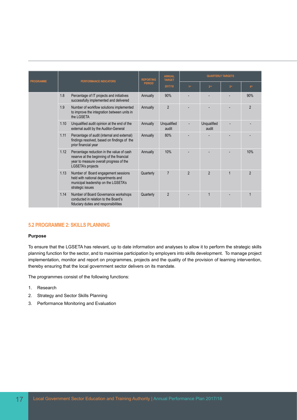| <b>PROGRAMME</b> |      | <b>PERFORMANCE INDICATORS</b>                                                                                                                          | <b>REPORTING</b> | <b>ANNUAL</b><br><b>TARGET</b> |                 |                      | <b>QUARTERLY TARGETS</b><br>3 <sup>rd</sup><br>4 <sup>th</sup><br>90%<br>$\overline{2}$ |                |  |  |  |
|------------------|------|--------------------------------------------------------------------------------------------------------------------------------------------------------|------------------|--------------------------------|-----------------|----------------------|-----------------------------------------------------------------------------------------|----------------|--|--|--|
|                  |      |                                                                                                                                                        | <b>PERIOD</b>    | 2017/18                        | 1 <sup>st</sup> | 2 <sup>nd</sup>      |                                                                                         |                |  |  |  |
|                  | 1.8  | Percentage of IT projects and initiatives<br>successfully implemented and delivered                                                                    | Annually         | 90%                            |                 |                      |                                                                                         |                |  |  |  |
|                  | 1.9  | Number of workflow solutions implemented<br>to improve the integration between units in<br>the LGSETA                                                  | Annually         | $\overline{2}$                 |                 |                      |                                                                                         |                |  |  |  |
|                  | 1.10 | Unqualified audit opinion at the end of the<br>external audit by the Auditor-General                                                                   | Annually         | Unqualified<br>audit           |                 | Unqualified<br>audit |                                                                                         |                |  |  |  |
|                  | 1.11 | Percentage of audit (internal and external)<br>findings resolved, based on findings of the<br>prior financial year                                     | Annually         | 80%                            |                 |                      |                                                                                         |                |  |  |  |
|                  | 1.12 | Percentage reduction in the value of cash<br>reserve at the beginning of the financial<br>year to measure overall progress of the<br>LGSETA's projects | Annually         | 10%                            |                 |                      |                                                                                         | 10%            |  |  |  |
|                  | 1.13 | Number of Board engagement sessions<br>held with national departments and<br>municipal leadership on the LGSETA's<br>strategic issues                  | Quarterly        | $\overline{7}$                 | $\overline{2}$  | $\mathfrak{p}$       | 1                                                                                       | $\mathfrak{p}$ |  |  |  |
|                  | 1.14 | Number of Board Governance workshops<br>conducted in relation to the Board's<br>fiduciary duties and responsibilities                                  | Quarterly        | $\overline{2}$                 |                 |                      |                                                                                         |                |  |  |  |

#### **5.2 PROGRAMME 2: SKILLS PLANNING**

#### **Purpose**

To ensure that the LGSETA has relevant, up to date information and analyses to allow it to perform the strategic skills planning function for the sector, and to maximise participation by employers into skills development. To manage project implementation, monitor and report on programmes, projects and the quality of the provision of learning intervention, thereby ensuring that the local government sector delivers on its mandate.

The programmes consist of the following functions:

- 1. Research
- 2. Strategy and Sector Skills Planning
- 3. Performance Monitoring and Evaluation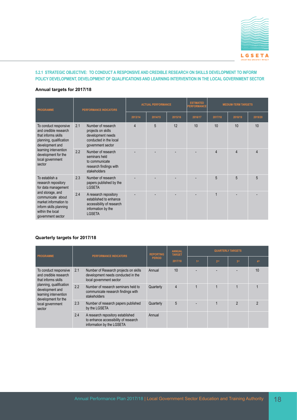

#### **5.2.1 STRATEGIC OBJECTIVE: TO CONDUCT A RESPONSIVE AND CREDIBLE RESEARCH ON SKILLS DEVELOPMENT TO INFORM POLICY DEVELOPMENT, DEVELOPMENT OF QUALIFICATIONS AND LEARNING INTERVENTION IN THE LOCAL GOVERNMENT SECTOR**

#### **Annual targets for 2017/18**

| <b>PROGRAMME</b>                                                                                                                  |     | <b>PERFORMANCE INDICATORS</b>                                                                                       |         | <b>ACTUAL PERFORMANCE</b> |         | <b>ESTIMATED</b><br><b>PERFORMANCE</b> | <b>MEDIUM-TERM TARGETS</b> |         |         |  |
|-----------------------------------------------------------------------------------------------------------------------------------|-----|---------------------------------------------------------------------------------------------------------------------|---------|---------------------------|---------|----------------------------------------|----------------------------|---------|---------|--|
|                                                                                                                                   |     |                                                                                                                     | 2013/14 | 2014/15                   | 2015/16 | 2016/17                                | 2017/18                    | 2018/19 | 2019/20 |  |
| To conduct responsive<br>and credible research<br>that informs skills<br>planning, qualification<br>development and               | 2.1 | Number of research<br>projects on skills<br>development needs<br>conducted in the local<br>government sector        | 4       | 5                         | 12      | 10                                     | 10                         | 10      | 10      |  |
| learning intervention<br>development for the<br>local government<br>sector                                                        | 2.2 | Number of research<br>seminars held<br>to communicate<br>research findings with<br>stakeholders                     |         |                           |         | 4                                      | $\overline{4}$             | 4       |         |  |
| To establish a<br>research repository<br>for data management                                                                      | 2.3 | Number of research<br>papers published by the<br><b>LGSETA</b>                                                      |         |                           |         |                                        | 5                          | 5       | 5       |  |
| and storage, and<br>communicate about<br>market information to<br>inform skills planning<br>within the local<br>government sector | 2.4 | A research repository<br>established to enhance<br>accessibility of research<br>information by the<br><b>LGSETA</b> |         |                           |         |                                        |                            |         |         |  |

| <b>PROGRAMME</b>                                                                                                                                                                                  |     | <b>PERFORMANCE INDICATORS</b>                                                                          | <b>REPORTING</b> | <b>ANNUAL</b><br><b>TARGET</b> | <b>QUARTERLY TARGETS</b> |                 |                 |                 |  |
|---------------------------------------------------------------------------------------------------------------------------------------------------------------------------------------------------|-----|--------------------------------------------------------------------------------------------------------|------------------|--------------------------------|--------------------------|-----------------|-----------------|-----------------|--|
|                                                                                                                                                                                                   |     |                                                                                                        | <b>PERIOD</b>    | 2017/18                        | 1st                      | 2 <sup>nd</sup> | 3 <sup>rd</sup> | 4 <sup>th</sup> |  |
| To conduct responsive<br>and credible research<br>that informs skills<br>planning, qualification<br>development and<br>learning intervention<br>development for the<br>local government<br>sector | 2.1 | Number of Research projects on skills<br>development needs conducted in the<br>local government sector | Annual           | 10                             |                          |                 |                 | 10              |  |
|                                                                                                                                                                                                   | 2.2 | Number of research seminars held to<br>communicate research findings with<br>stakeholders              | Quarterly        | $\overline{4}$                 | $\overline{1}$           |                 |                 |                 |  |
|                                                                                                                                                                                                   | 2.3 | Number of research papers published<br>by the LGSETA                                                   | Quarterly        | 5                              |                          |                 | 2               | c               |  |
|                                                                                                                                                                                                   | 2.4 | A research repository established<br>to enhance accessibility of research<br>information by the LGSETA | Annual           |                                |                          |                 |                 |                 |  |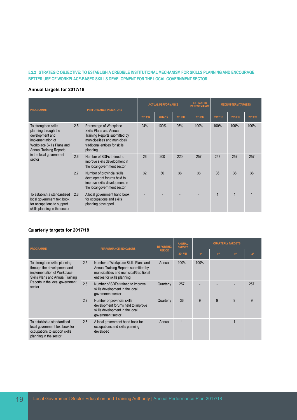#### **5.2.2 STRATEGIC OBJECTIVE: TO ESTABLISH A CREDIBLE INSTITUTIONAL MECHANISM FOR SKILLS PLANNING AND ENCOURAGE BETTER USE OF WORKPLACE-BASED SKILLS DEVELOPMENT FOR THE LOCAL GOVERNMENT SECTOR**

#### **Annual targets for 2017/18**

| <b>PROGRAMME</b>                                                                                                                                     |     | <b>PERFORMANCE INDICATORS</b>                                                                                                                                       |         | <b>ACTUAL PERFORMANCE</b> |         | <b>ESTIMATED</b><br><b>MEDIUM-TERM TARGETS</b><br><b>PERFORMANCE</b> |         |         |         |
|------------------------------------------------------------------------------------------------------------------------------------------------------|-----|---------------------------------------------------------------------------------------------------------------------------------------------------------------------|---------|---------------------------|---------|----------------------------------------------------------------------|---------|---------|---------|
|                                                                                                                                                      |     |                                                                                                                                                                     | 2013/14 | 2014/15                   | 2015/16 | 2016/17                                                              | 2017/18 | 2018/19 | 2019/20 |
| To strengthen skills<br>planning through the<br>development and<br>implementation of<br>Workplace Skills Plans and<br><b>Annual Training Reports</b> | 2.5 | Percentage of Workplace<br>Skills Plans and Annual<br>Training Reports submitted by<br>municipalities and municipal/<br>traditional entities for skills<br>planning | 94%     | 100%                      | 96%     | 100%                                                                 | 100%    | 100%    | 100%    |
| in the local government<br>sector                                                                                                                    | 2.6 | Number of SDFs trained to<br>improve skills development in<br>the local government sector                                                                           | 26      | 200                       | 220     | 257                                                                  | 257     | 257     | 257     |
|                                                                                                                                                      | 2.7 | Number of provincial skills<br>development forums held to<br>improve skills development in<br>the local government sector                                           | 32      | 36                        | 36      | 36                                                                   | 36      | 36      | 36      |
| To establish a standardised<br>local government text book<br>for occupations to support<br>skills planning in the sector                             | 2.8 | A local government hand book<br>for occupations and skills<br>planning developed                                                                                    |         |                           |         |                                                                      | 1       |         |         |

| <b>PROGRAMME</b>                                                                                                                |     | <b>PERFORMANCE INDICATORS</b>                                                                                                                            | <b>REPORTING</b> | <b>ANNUAL</b><br><b>TARGET</b> | <b>QUARTERLY TARGETS</b> |                 |                 |                 |  |
|---------------------------------------------------------------------------------------------------------------------------------|-----|----------------------------------------------------------------------------------------------------------------------------------------------------------|------------------|--------------------------------|--------------------------|-----------------|-----------------|-----------------|--|
|                                                                                                                                 |     |                                                                                                                                                          | <b>PERIOD</b>    | 2017/18                        | 1 <sup>st</sup>          | 2 <sup>nd</sup> | 3 <sup>rd</sup> | 4 <sup>th</sup> |  |
| To strengthen skills planning<br>through the development and<br>implementation of Workplace<br>Skills Plans and Annual Training | 2.5 | Number of Workplace Skills Plans and<br>Annual Training Reports submitted by<br>municipalities and municipal/traditional<br>entities for skills planning | Annual           | 100%                           | 100%                     |                 |                 |                 |  |
| Reports in the local government<br>sector                                                                                       | 2.6 | Number of SDFs trained to improve<br>skills development in the local<br>government sector                                                                | Quarterly        | 257                            |                          |                 |                 | 257             |  |
|                                                                                                                                 | 2.7 | Number of provincial skills<br>development forums held to improve<br>skills development in the local<br>government sector                                | Quarterly        | 36                             | 9                        | 9               | 9               | 9               |  |
| To establish a standardised<br>local government text book for<br>occupations to support skills<br>planning in the sector        | 2.8 | A local government hand book for<br>occupations and skills planning<br>developed                                                                         | Annual           |                                |                          |                 |                 |                 |  |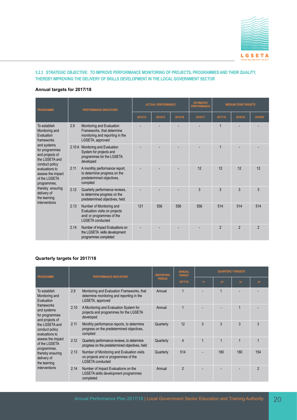

#### **5.2.3 STRATEGIC OBJECTIVE: TO IMPROVE PERFORMANCE MONITORING OF PROJECTS, PROGRAMMES AND THEIR QUALITY, THEREBY IMPROVING THE DELIVERY OF SKILLS DEVELOPMENT IN THE LOCAL GOVERNMENT SECTOR**

#### **Annual targets for 2017/18**

| <b>PROGRAMME</b>                                                                                                                                            |       | <b>PERFORMANCE INDICATORS</b>                                                                                     | <b>ACTUAL PERFORMANCE</b> |         |         | <b>ESTIMATED</b><br><b>PERFORMANCE</b> | <b>MEDIUM-TERM TARGETS</b> |                |                |
|-------------------------------------------------------------------------------------------------------------------------------------------------------------|-------|-------------------------------------------------------------------------------------------------------------------|---------------------------|---------|---------|----------------------------------------|----------------------------|----------------|----------------|
|                                                                                                                                                             |       |                                                                                                                   | 2013/14                   | 2014/15 | 2015/16 | 2016/17                                | 2017/18                    | 2018/19        | 2019/20        |
| To establish<br>Monitoring and<br>Evaluation<br>frameworks                                                                                                  | 2.9   | Monitoring and Evaluation<br>Frameworks, that determine<br>monitoring and reporting in the<br>LGSETA, approved    |                           |         |         |                                        | 1                          |                |                |
| and systems<br>for programmes<br>and projects of<br>the LGSETA and<br>conduct policy<br>evaluations to<br>assess the impact<br>of the LGSETA<br>programmes, | 2.10A | Monitoring and Evaluation<br>System for projects and<br>programmes for the LGSETA<br>developed                    |                           |         |         |                                        | $\mathbf 1$                |                |                |
|                                                                                                                                                             | 2.11  | A monthly performance report,<br>to determine progress on the<br>predetermined objectives,<br>compiled            |                           |         |         | 12                                     | 12                         | 12             | 12             |
| thereby ensuring<br>delivery of<br>the learning                                                                                                             | 2.12  | Quarterly performance reviews,<br>to determine progress on the<br>predetermined objectives, held                  |                           |         |         | 3                                      | 3                          | $\overline{3}$ | 3              |
| interventions                                                                                                                                               | 2.13  | Number of Monitoring and<br>Evaluation visits on projects<br>and/ or programmes of the<br><b>LGSETA</b> conducted | 121                       | 556     | 556     | 556                                    | 514                        | 514            | 514            |
|                                                                                                                                                             | 2.14  | Number of Impact Evaluations on<br>the LGSETA skills development<br>programmes completed                          |                           |         |         |                                        | $\overline{2}$             | $\overline{2}$ | $\overline{2}$ |

|                                                                       |      |                                                                                                               | <b>REPORTING</b> | <b>ANNUAL</b><br><b>TARGET</b> | <b>QUARTERLY TARGETS</b> |                 |                 |                 |  |
|-----------------------------------------------------------------------|------|---------------------------------------------------------------------------------------------------------------|------------------|--------------------------------|--------------------------|-----------------|-----------------|-----------------|--|
| <b>PROGRAMME</b>                                                      |      | <b>PERFORMANCE INDICATORS</b>                                                                                 | <b>PERIOD</b>    | 2017/18                        | 1st                      | 2 <sup>nd</sup> | 3 <sup>rd</sup> | 4 <sup>th</sup> |  |
| To establish<br>Monitoring and<br>Evaluation                          | 2.9  | Monitoring and Evaluation Frameworks, that<br>determine monitoring and reporting in the<br>LGSETA, approved   | Annual           | 1                              |                          | $\overline{1}$  |                 |                 |  |
| frameworks<br>and systems<br>for programmes                           | 2.10 | A Monitoring and Evaluation System for<br>projects and programmes for the LGSETA<br>developed                 | Annual           | 1                              |                          |                 | 1               |                 |  |
| and projects of<br>the LGSETA and<br>conduct policy<br>evaluations to | 2.11 | Monthly performance reports, to determine<br>progress on the predetermined objectives,<br>compiled            | Quarterly        | 12                             | 3                        | 3               | 3               | 3               |  |
| assess the impact<br>of the LGSETA                                    | 2.12 | Quarterly performance reviews, to determine<br>progress on the predetermined objectives, held                 | Quarterly        | 4                              | $\mathbf 1$              | $\overline{1}$  | $\overline{1}$  | $\overline{1}$  |  |
| programmes,<br>thereby ensuring<br>delivery of<br>the learning        | 2.13 | Number of Monitoring and Evaluation visits<br>on projects and or programmes of the<br><b>LGSETA</b> conducted | Quarterly        | 514                            |                          | 180             | 180             | 154             |  |
| interventions                                                         | 2.14 | Number of Impact Evaluations on the<br>LGSETA skills development programmes<br>completed                      | Annual           | $\mathfrak{p}$                 |                          |                 |                 | $\mathfrak{p}$  |  |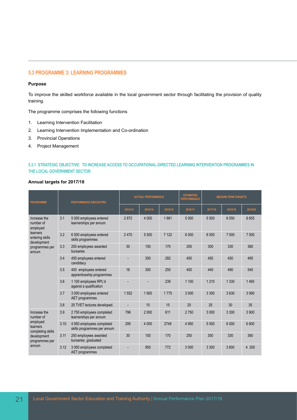#### **5.3 PROGRAMME 3: LEARNING PROGRAMMES**

#### **Purpose**

To improve the skilled workforce available in the local government sector through facilitating the provision of quality training.

The programme comprises the following functions

- 1. Learning Intervention Facilitation
- 2. Learning Intervention Implementation and Co-ordination
- 3. Provincial Operations
- 4. Project Management

#### **5.3.1 STRATEGIC OBJECTIVE: TO INCREASE ACCESS TO OCCUPATIONAL-DIRECTED LEARNING INTERVENTION PROGRAMMES IN THE LOCAL GOVERNMENT SECTOR**

#### **Annual targets for 2017/18**

| <b>PROGRAMME</b>                           |      | <b>PERFORMANCE INDICATORS</b>                            | <b>ACTUAL PERFORMANCE</b> |         |         | <b>ESTIMATED</b><br><b>PERFORMANCE</b> | <b>MEDIUM-TERM TARGETS</b> |         |         |
|--------------------------------------------|------|----------------------------------------------------------|---------------------------|---------|---------|----------------------------------------|----------------------------|---------|---------|
|                                            |      |                                                          | 2013/14                   | 2014/15 | 2015/16 | 2016/17                                | 2017/18                    | 2018/19 | 2019/20 |
| Increase the<br>number of<br>employed      | 3.1  | 5 000 employees entered<br>learnerships per annum        | 2872                      | 4 0 0 0 | 1881    | 5 0 0 0                                | 5 500                      | 6 0 5 0 | 6655    |
| learners<br>entering skills<br>development | 3.2  | 6 000 employees entered<br>skills programmes             | 2470                      | 5 500   | 7 1 2 2 | 6 0 0 0                                | 6 500                      | 7 0 0 0 | 7 500   |
| programmes per<br>annum                    | 3.3  | 250 employees awarded<br>bursaries                       | 30                        | 150     | 170     | 250                                    | 300                        | 330     | 360     |
|                                            | 3.4  | 450 employees entered<br>candidacy                       |                           | 300     | 282     | 450                                    | 450                        | 450     | 495     |
|                                            | 3.5  | 400 employees entered<br>apprenticeship programmes       | 16                        | 300     | 250     | 400                                    | 440                        | 490     | 540     |
|                                            | 3.6  | 1 100 employees RPL'd<br>against a qualification         |                           |         | 239     | 1 100                                  | 1 2 1 0                    | 1 3 3 0 | 1 4 6 5 |
|                                            | 3.7  | 3 000 employees entered<br>AET programmes                | 1552                      | 1 900   | 1775    | 3 0 0 0                                | 3 3 0 0                    | 3630    | 3 9 9 0 |
|                                            | 3.8  | 20 TVET lectures developed.                              |                           | 15      | 15      | 20                                     | 25                         | 30      | 35      |
| Increase the<br>number of                  | 3.9  | 2750 employees completed<br>learnerships per annum       | 796                       | 2 0 0 0 | 611     | 2750                                   | 3 0 0 0                    | 3 3 0 0 | 3 9 0 0 |
| employed<br>learners<br>completing skills  | 3.10 | 4 950 employees completed<br>skills programmes per annum | 295                       | 4 0 0 0 | 2749    | 4 9 5 0                                | 5 500                      | 6 0 0 0 | 6 600   |
| development<br>programmes per              | 3.11 | 250 employees awarded<br>bursaries, graduated            | 30                        | 150     | 170     | 250                                    | 300                        | 330     | 360     |
| annum                                      | 3.12 | 3 000 employees completed<br>AET programmes              |                           | 950     | 772     | 3 0 0 0                                | 3 3 0 0                    | 3600    | 4 200   |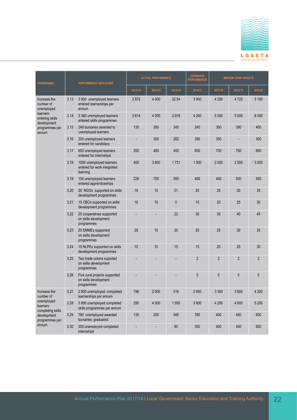

| <b>PROGRAMME</b>                            |      | PERFORMANCE INDICATORS                                               | <b>ACTUAL PERFORMANCE</b> |                |           | <b>ESTIMATED</b><br><b>PERFORMANCE</b> | <b>MEDIUM-TERM TARGETS</b> |                |                |
|---------------------------------------------|------|----------------------------------------------------------------------|---------------------------|----------------|-----------|----------------------------------------|----------------------------|----------------|----------------|
|                                             |      |                                                                      | 2013/14                   | 2014/15        | 2015/16   | 2016/17                                | 2017/18                    | 2018/19        | 2019/20        |
| Increase the<br>number of<br>unemployed     | 3.13 | 3 900 unemployed learners<br>entered learnerships per<br>annum       | 2872                      | 4 0 0 0        | 32 54     | 3 900                                  | 4 2 9 0                    | 4 7 2 0        | 5 1 9 0        |
| learners<br>entering skills<br>development  | 3.14 | 3 360 unemployed learners<br>entered skills programmes               | 3614                      | 4 0 0 0        | 2918      | 4 2 6 0                                | 5 0 0 0                    | 5 500          | 6 0 0 0        |
| programmes per<br>annum                     | 3.15 | 240 bursaries awarded to<br>unemployed learners                      | 135                       | 350            | 345       | 240                                    | 300                        | 350            | 400            |
|                                             | 3.16 | 200 unemployed learners<br>entered for candidacy                     |                           | 300            | 282       | 350                                    | 350                        |                | 300            |
|                                             | 3.17 | 650 unemployed learners<br>entered for internships                   | 350                       | 400            | 400       | 650                                    | 700                        | 750            | 800            |
|                                             | 3.18 | 1000 unemployed learners<br>entered for work integrated<br>learning  | 400                       | 3600           | 1731      | 1500                                   | 2 0 0 0                    | 2 500          | 3 0 0 0        |
|                                             | 3.19 | 150 unemployed learners<br>entered apprenticeships                   | 226                       | 700            | 350       | 400                                    | 450                        | 500            | 550            |
|                                             | 3.20 | 20 NGOs supported on skills<br>development programmes                | 16                        | 15             | 21        | 20                                     | 25                         | 30             | 35             |
|                                             | 3.21 | 15 CBOs supported on skills<br>development programmes                | 16                        | 15             | $\pmb{0}$ | 15                                     | 20                         | 25             | 30             |
|                                             | 3.22 | 20 cooperatives supported<br>on skills development<br>programmes     |                           |                | 22        | 30                                     | 35                         | 40             | 45             |
|                                             | 3.23 | 20 SMMEs supported<br>on skills development<br>programmes            | 29                        | 15             | 20        | 20                                     | 25                         | 30             | 35             |
|                                             | 3.24 | 15 NLPEs supported on skills<br>development programmes               | 10                        | 10             | 15        | 15                                     | 20                         | 25             | 30             |
|                                             | 3.25 | Two trade unions suported<br>on skills development<br>programmes     |                           |                |           | $\overline{2}$                         | $\overline{2}$             | $\overline{2}$ | $\overline{2}$ |
|                                             | 3.26 | Five rural projects supported<br>on skills development<br>programmes |                           |                |           | 5                                      | 5                          | 5              | 5              |
| Increase the<br>number of                   | 3.27 | 2 800 unemployed completed<br>learnerships per annum                 | 796                       | 2 0 0 0        | 516       | 2800                                   | 3 3 0 0                    | 3600           | 4 200          |
| unemployed<br>learners<br>completing skills | 3.28 | 3 800 unemployed completed<br>skills programmes per annum            | 295                       | 4 0 0 0        | 1555      | 3800                                   | 4 200                      | 4 800          | 5 200          |
| development<br>programmes per               | 3.29 | 780 unemployed awarded<br>bursaries, graduated                       | 135                       | 250            | 345       | 780                                    | 400                        | 450            | 500            |
| annum                                       | 3.30 | 350 unemployed completed<br>internships                              | $\overline{a}$            | $\overline{a}$ | $80\,$    | 350                                    | 400                        | 450            | 500            |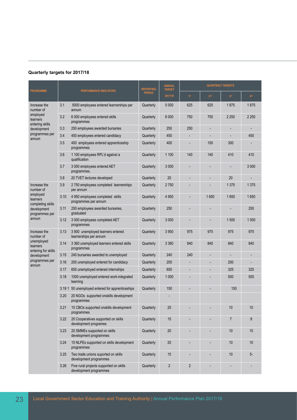|                                               |       |                                                                   | <b>REPORTING</b> | <b>ANNUAL</b><br><b>TARGET</b> |                 | <b>QUARTERLY TARGETS</b> |                 |                 |
|-----------------------------------------------|-------|-------------------------------------------------------------------|------------------|--------------------------------|-----------------|--------------------------|-----------------|-----------------|
| <b>PROGRAMME</b>                              |       | <b>PERFORMANCE INDICATORS</b>                                     | <b>PERIOD</b>    | 2017/18                        | 1 <sup>st</sup> | 2 <sup>nd</sup>          | 3 <sup>rd</sup> | 4 <sup>th</sup> |
| Increase the<br>number of                     | 3.1   | 5000 employees entered learnerships per<br>annum                  | Quarterly        | 5 0 0 0                        | 625             | 625                      | 1875            | 1875            |
| employed<br>learners<br>entering skills       | 3.2   | 6 000 employees entered skills<br>programmes                      | Quarterly        | 6 000                          | 750             | 750                      | 2 2 5 0         | 2 2 5 0         |
| development                                   | 3.3   | 250 employees awarded bursaries                                   | Quarterly        | 250                            | 250             |                          |                 |                 |
| programmes per<br>annum                       | 3.4   | 450 employees entered candidacy                                   | Quarterly        | 450                            |                 |                          |                 | 450             |
|                                               | 3.5   | 400 employees entered apprenticeship<br>programmes                | Quarterly        | 400                            |                 | 100                      | 300             |                 |
|                                               | 3.6   | 1 100 employees RPL'd against a<br>qualification                  | Quarterly        | 1 100                          | 140             | 140                      | 410             | 410             |
|                                               | 3.7   | 3 000 employees entered AET<br>programmes.                        | Quarterly        | 3 0 0 0                        |                 |                          |                 | 3 0 0 0         |
|                                               | 3.8   | 20 TVET lectures developed                                        | Quarterly        | 20                             | ٠               | $\overline{\phantom{a}}$ | 20              |                 |
| Increase the<br>number of                     | 3.9   | 2 750 employees completed learnerships<br>per annum               | Quarterly        | 2750                           |                 |                          | 1 3 7 5         | 1 3 7 5         |
| employed<br>learners<br>completing skills     | 3.10  | 4 950 employees completed skills<br>programmes per annum          | Quarterly        | 4 9 5 0                        |                 | 1650                     | 1650            | 1650            |
| development<br>programmes per                 | 3.11  | 250 employees awarded bursaries,<br>graduated                     | Quarterly        | 250                            |                 |                          |                 | 250             |
| annum                                         | 3.12  | 3 000 employees completed AET<br>programmes                       | Quarterly        | 3 0 0 0                        | ٠               |                          | 1 500           | 1500            |
| 3.13<br>Increase the<br>number of             |       | 3 900 unemployed learners entered<br>learnerships per annum       | Quarterly        | 3 900                          | 975             | 975                      | 975             | 975             |
| unemployed<br>learners<br>entering for skills | 3.14  | 3 360 unemployed learners entered skills<br>programmes            | Quarterly        | 3 3 6 0                        | 840             | 840                      | 840             | 840             |
| development                                   | 3.15  | 240 bursaries awarded to unemployed                               | Quarterly        | 240                            | 240             |                          |                 |                 |
| programmes per<br>annum                       | 3.16  | 200 unemployed entered for candidacy                              | Quarterly        | 200                            |                 |                          | 200             |                 |
|                                               | 3.17  | 650 unemployed entered internships                                | Quarterly        | 650                            |                 |                          | 325             | 325             |
|                                               | 3.18  | 1000 unemployed entered work-integrated<br>learning               | Quarterly        | 1 0 0 0                        |                 |                          | 500             | 500             |
|                                               | 3.191 | 50 unemployed entered for apprenticeships                         | Quarterly        | 150                            |                 |                          | 150             |                 |
|                                               | 3.20  | 20 NGOs supported onskills development<br>programmes              |                  |                                |                 |                          |                 |                 |
|                                               | 3.21  | 15 CBOs supported onskills development<br>programmes              | Quarterly        | 20                             |                 |                          | 10              | 10              |
|                                               | 3.22  | 20 Cooperatives supported on skills<br>development programes      | Quarterly        | 15                             |                 |                          | 7               | 8               |
|                                               | 3.23  | 20 SMMEs supported on skills<br>development programmes            | Quarterly        | 20                             |                 |                          | 10              | 10              |
|                                               | 3.24  | 15 NLPEs supported on skills development<br>programmes            | Quarterly        | 20                             |                 |                          | 10              | 10              |
|                                               | 3.25  | Two trade unions suported on skills<br>development programmes     | Quarterly        | 15                             |                 |                          | 10              | 5-              |
|                                               | 3.26  | Five rural projects supported on skills<br>development programmes | Quarterly        | 2                              | $\overline{2}$  |                          |                 |                 |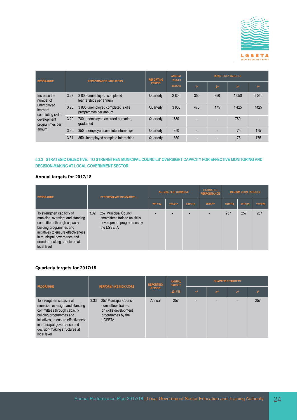

| <b>PROGRAMME</b>                            |      | <b>PERFORMANCE INDICATORS</b>                             | <b>REPORTING</b><br><b>PERIOD</b> | <b>ANNUAL</b><br><b>TARGET</b><br>2017/18 | <b>QUARTERLY TARGETS</b> |                 |                 |                 |  |
|---------------------------------------------|------|-----------------------------------------------------------|-----------------------------------|-------------------------------------------|--------------------------|-----------------|-----------------|-----------------|--|
|                                             |      |                                                           |                                   |                                           | 4 <sup>st</sup>          | 2 <sup>nd</sup> | 3 <sup>rd</sup> | 4 <sup>th</sup> |  |
| Increase the<br>number of                   | 3.27 | 2 800 unemployed completed<br>learnerships per annum      | Quarterly                         | 2800                                      | 350                      | 350             | 1 0 5 0         | 1050            |  |
| unemployed<br>learners<br>completing skills | 3.28 | 3 800 unemployed completed skills<br>programmes per annum | Quarterly                         | 3800                                      | 475                      | 475             | 1425            | 1425            |  |
| development<br>programmes per               | 3.29 | 780 unemployed awarded bursaries,<br>graduated            | Quarterly                         | 780                                       |                          |                 | 780             |                 |  |
| annum                                       | 3.30 | 350 unemployed complete internships                       | Quarterly                         | 350                                       |                          | $\overline{a}$  | 175             | 175             |  |
|                                             | 3.31 | 350 Unemployed complete Internships                       | Quarterly                         | 350                                       |                          |                 | 175             | 175             |  |

#### **5.3.2 STRATEGIC OBJECTIVE: TO STRENGTHEN MUNICIPAL COUNCILS' OVERSIGHT CAPACITY FOR EFFECTIVE MONITORING AND DECISION-MAKING AT LOCAL GOVERNMENT SECTOR**

#### **Annual targets for 2017/18**

| PROGRAMME                                                                                                                                                                                                                                      | <b>PERFORMANCE INDICATORS</b> |                                                                                                  | <b>ACTUAL PERFORMANCE</b> |         |         | <b>ESTIMATED</b><br><b>PERFORMANCE</b> | <b>MEDIUM-TERM TARGETS</b> |         |         |
|------------------------------------------------------------------------------------------------------------------------------------------------------------------------------------------------------------------------------------------------|-------------------------------|--------------------------------------------------------------------------------------------------|---------------------------|---------|---------|----------------------------------------|----------------------------|---------|---------|
|                                                                                                                                                                                                                                                |                               |                                                                                                  | 2013/14                   | 2014/15 | 2015/16 | 2016/17                                | 2017/18                    | 2018/19 | 2019/20 |
| To strengthen capacity of<br>municipal oversight and standing<br>committees through capacity-<br>building programmes and<br>initiatives to ensure effectiveness<br>in municipal governance and<br>decision-making structures at<br>local level | 3.32                          | 257 Municipal Council<br>committees trained on skills<br>development programmes by<br>the LGSETA |                           |         |         |                                        | 257                        | 257     | 257     |

| PROGRAMME                                                                                                                                                                                                                                      | <b>PERFORMANCE INDICATORS</b> |                                                                                                            | <b>REPORTING</b><br><b>PERIOD</b> | <b>ANNUAL</b><br><b>TARGET</b> | <b>QUARTERLY TARGETS</b> |                 |                 |     |  |
|------------------------------------------------------------------------------------------------------------------------------------------------------------------------------------------------------------------------------------------------|-------------------------------|------------------------------------------------------------------------------------------------------------|-----------------------------------|--------------------------------|--------------------------|-----------------|-----------------|-----|--|
|                                                                                                                                                                                                                                                |                               |                                                                                                            |                                   | 2017/18                        | 1 <sup>st</sup>          | 2 <sup>nd</sup> | 3 <sup>rd</sup> |     |  |
| To strengthen capacity of<br>municipal oversight and standing<br>committees through capacity<br>building programmes and<br>initiatives, to ensure effectiveness<br>in municipal governance and<br>decision-making structures at<br>local level | 3.33                          | 257 Municipal Council<br>committees trained<br>on skills development<br>programmes by the<br><b>LGSETA</b> | Annual                            | 257                            |                          |                 |                 | 257 |  |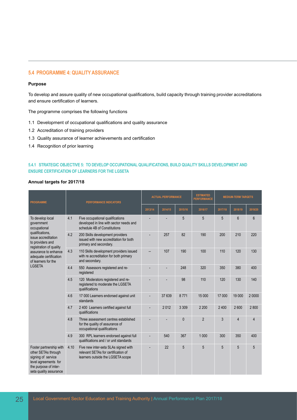#### **5.4 PROGRAMME 4: QUALITY ASSURANCE**

#### **Purpose**

To develop and assure quality of new occupational qualifications, build capacity through training provider accreditations and ensure certification of learners.

The programme comprises the following functions

- 1.1 Development of occupational qualifications and quality assurance
- 1.2 Accreditation of training providers
- 1.3 Quality assurance of learner achievements and certification
- 1.4 Recognition of prior learning

#### **5.4.1 STRATEGIC OBJECTIVE 5: TO DEVELOP OCCUPATIONAL QUALIFICATIONS, BUILD QUALITY SKILLS DEVELOPMENT AND ENSURE CERTIFICATION OF LEARNERS FOR THE LGSETA**

#### **Annual targets for 2017/18**

| <b>PROGRAMME</b>                                                                                                                                                                                                                  | <b>PERFORMANCE INDICATORS</b>                                                                                            | <b>ACTUAL PERFORMANCE</b> |         |              | <b>ESTIMATED</b><br><b>PERFORMANCE</b> | <b>MEDIUM-TERM TARGETS</b> |                |                |
|-----------------------------------------------------------------------------------------------------------------------------------------------------------------------------------------------------------------------------------|--------------------------------------------------------------------------------------------------------------------------|---------------------------|---------|--------------|----------------------------------------|----------------------------|----------------|----------------|
|                                                                                                                                                                                                                                   |                                                                                                                          | 2013/14                   | 2014/15 | 2015/16      | 2016/17                                | 2017/18                    | 2018/19        | 2019/20        |
| To develop local<br>government<br>occupational<br>qualifications,<br>issue accreditation<br>to providers and<br>registration of quality<br>assurance to enhance<br>adequate certification<br>of learners for the<br><b>LGSETA</b> | 4.1<br>Five occupational qualifications<br>developed in line with sector needs and<br>schedule 4B of Constitutions       |                           |         | 5            | 5                                      | 5                          | 6              | $6\phantom{1}$ |
|                                                                                                                                                                                                                                   | 4.2<br>200 Skills development providers<br>issued with new accreditation for both<br>primary and secondary.              |                           | 257     | 82           | 190                                    | 200                        | 210            | 220            |
|                                                                                                                                                                                                                                   | 4.3<br>110 Skills development providers issued<br>with re accreditation for both primary<br>and secondary.               |                           | 107     | 190          | 100                                    | 110                        | 120            | 130            |
|                                                                                                                                                                                                                                   | 4.4<br>550 Assessors registered and re-<br>registered                                                                    |                           |         | 248          | 320                                    | 350                        | 380            | 400            |
|                                                                                                                                                                                                                                   | 4.5<br>120 Moderators registered and re-<br>registered to moderate the LGSETA<br>qualifications                          |                           |         | 98           | 110                                    | 120                        | 130            | 140            |
|                                                                                                                                                                                                                                   | 4.6<br>17 000 Learners endorsed against unit<br>standards                                                                |                           | 37 639  | 8771         | 15 000                                 | 17 000                     | 19 000         | 2 0000         |
|                                                                                                                                                                                                                                   | 2 400 Learners certified against full<br>4.7<br>qualifications                                                           |                           | 2012    | 3 3 0 9      | 2 2 0 0                                | 2 4 0 0                    | 2600           | 2800           |
|                                                                                                                                                                                                                                   | 4.8<br>Three assessment centres established<br>for the quality of assurance of<br>occupational qualifications            |                           |         | $\mathbf{0}$ | $\overline{2}$                         | 3                          | $\overline{4}$ | 4              |
|                                                                                                                                                                                                                                   | 4.9<br>300 RPL learners endorsed against full<br>qualifications and / or unit standards                                  |                           | 540     | 367          | 1 0 0 0                                | 300                        | 350            | 400            |
| Foster partnership with<br>other SETAs through<br>signing of service<br>level agreements for<br>the purpose of inter-<br>seta quality assurance                                                                                   | Five new inter-seta SLAs signed with<br>4.10<br>relevant SETAs for certification of<br>learners outside the LGSETA scope |                           | 22      | 5            | 5                                      | 5                          | 5              | 5              |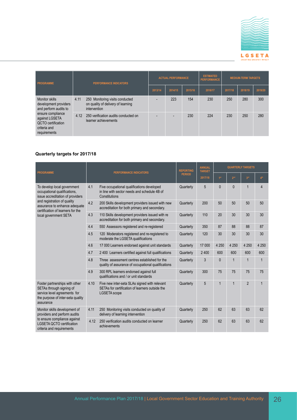

| <b>PROGRAMME</b>                                                                                                                                                      |      | <b>PERFORMANCE INDICATORS</b>                                                         |         | <b>ACTUAL PERFORMANCE</b> |         |         | <b>MEDIUM-TERM TARGETS</b> |         |         |
|-----------------------------------------------------------------------------------------------------------------------------------------------------------------------|------|---------------------------------------------------------------------------------------|---------|---------------------------|---------|---------|----------------------------|---------|---------|
|                                                                                                                                                                       |      |                                                                                       | 2013/14 | 2014/15                   | 2015/16 | 2016/17 | 2017/18                    | 2018/19 | 2019/20 |
| 4.11<br>Monitor skills<br>development providers<br>and perform audits to<br>ensure compliance<br>against LGSETA<br>QCTO certification<br>criteria and<br>requirements |      | 250 Monitoring visits conducted<br>on quality of delivery of learning<br>intervention |         | 223                       | 154     | 230     | 250                        | 280     | 300     |
|                                                                                                                                                                       | 4.12 | 250 verification audits conducted on<br>learner achievements                          |         |                           | 230     | 224     | 230                        | 250     | 280     |

| <b>PROGRAMME</b>                                                                                                                             |      | <b>PERFORMANCE INDICATORS</b>                                                                                           | <b>REPORTING</b> | <b>ANNUAL</b><br><b>TARGET</b> | <b>QUARTERLY TARGETS</b> |                 |                 |                 |
|----------------------------------------------------------------------------------------------------------------------------------------------|------|-------------------------------------------------------------------------------------------------------------------------|------------------|--------------------------------|--------------------------|-----------------|-----------------|-----------------|
|                                                                                                                                              |      |                                                                                                                         | <b>PERIOD</b>    | 2017/18                        | 1 <sup>st</sup>          | 2 <sup>nd</sup> | 3 <sup>rd</sup> | 4 <sup>th</sup> |
| To develop local government<br>occupational qualifications,<br>issue accreditation of providers                                              | 4.1  | Five occupational qualifications developed<br>in line with sector needs and schedule 4B of<br>Constitutions             | Quarterly        | 5                              | $\mathbf{0}$             | $\Omega$        | $\mathbf{1}$    | $\overline{4}$  |
| and registration of quality<br>assurance to enhance adequate<br>certification of learners for the                                            | 4.2  | 200 Skills development providers issued with new<br>accreditation for both primary and secondary.                       | Quarterly        | 200                            | 50                       | 50              | 50              | 50              |
| local government SETA                                                                                                                        | 4.3  | 110 Skills development providers issued with re<br>accreditation for both primary and secondary.                        | Quarterly        | 110                            | 20                       | 30              | 30              | 30              |
|                                                                                                                                              | 4.4  | 550 Assessors registered and re-registered                                                                              | Quarterly        | 350                            | 87                       | 88              | 88              | 87              |
|                                                                                                                                              | 4.5  | 120 Moderators registered and re-registered to<br>moderate the LGSETA qualifications                                    | Quarterly        | 120                            | 30                       | 30              | 30              | 30              |
|                                                                                                                                              | 4.6  | 17 000 Learners endorsed against unit standards                                                                         | Quarterly        | 17 000                         | 4 2 5 0                  | 4 2 5 0         | 4 2 5 0         | 4 2 5 0         |
|                                                                                                                                              | 4.7  | 2 400 Learners certified against full qualifications                                                                    | Quarterly        | 2 4 0 0                        | 600                      | 600             | 600             | 600             |
|                                                                                                                                              | 4.8  | Three assessment centres established for the<br>quality of assurance of occupational qualifications                     | Quarterly        | 3                              | $\mathbf{0}$             | $\mathbf{1}$    | $\mathbf{1}$    | $\mathbf{1}$    |
|                                                                                                                                              | 4.9  | 300 RPL learners endorsed against full<br>qualifications and / or unit standards                                        | Quarterly        | 300                            | 75                       | 75              | 75              | 75              |
| Foster partnerships with other<br>SETAs through signing of<br>service level agreements for<br>the purpose of inter-seta quality<br>assurance | 4.10 | Five new inter-seta SLAs signed with relevant<br>SETAs for certification of learners outside the<br><b>LGSETA</b> scope | Quarterly        | 5                              | $\mathbf{1}$             | $\mathbf{1}$    | $\overline{2}$  | 1               |
| Monitor skills development of<br>providers and perform audits                                                                                | 4.11 | 250 Monitoring visits conducted on quality of<br>delivery of learning intervention                                      | Quarterly        | 250                            | 62                       | 63              | 63              | 62              |
| to ensure compliance against<br><b>LGSETA OCTO certification</b><br>criteria and requirements                                                | 4.12 | 250 verification audits conducted on learner<br>achievements                                                            | Quarterly        | 250                            | 62                       | 63              | 63              | 62              |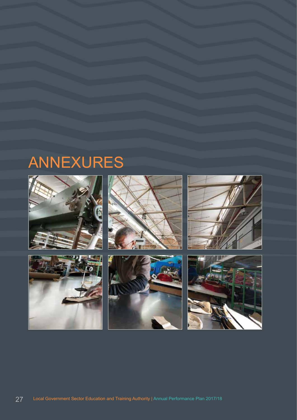# ANNEXURES

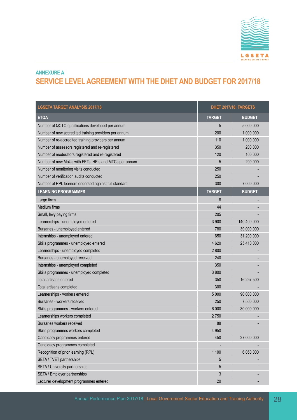

### **ANNEXURE A SERVICE LEVEL AGREEMENT WITH THE DHET AND BUDGET FOR 2017/18**

| <b>LGSETA TARGET ANALYSIS 2017/18</b>                 |               | DHET 2017/18: TARGETS |
|-------------------------------------------------------|---------------|-----------------------|
| <b>ETQA</b>                                           | <b>TARGET</b> | <b>BUDGET</b>         |
| Number of QCTO qualifications developed per annum     | 5             | 5 000 000             |
| Number of new accredited training providers per annum | 200           | 1 000 000             |
| Number of re-accredited training providers per annum  | 110           | 1 000 000             |
| Number of assessors registered and re-registered      | 350           | 200 000               |
| Number of moderators registered and re-registered     | 120           | 100 000               |
| Number of new MoUs with FETs, HEIs and MTCs per annum | 5             | 200 000               |
| Number of monitoring visits conducted                 | 250           |                       |
| Number of verification audits conducted               | 250           |                       |
| Number of RPL learners endorsed against full standard | 300           | 7 000 000             |
| <b>LEARNING PROGRAMMES</b>                            | <b>TARGET</b> | <b>BUDGET</b>         |
| Large firms                                           | 8             |                       |
| Medium firms                                          | 44            |                       |
| Small, levy paying firms                              | 205           |                       |
| Learnerships - unemployed entered                     | 3 9 0 0       | 140 400 000           |
| Bursaries - unemployed entered                        | 780           | 39 000 000            |
| Internships - unemployed entered                      | 650           | 31 200 000            |
| Skills programmes - unemployed entered                | 4 6 20        | 25 410 000            |
| Learnerships - unemployed completed                   | 2800          |                       |
| Bursaries - unemployed received                       | 240           |                       |
| Internships - unemployed completed                    | 350           |                       |
| Skills programmes - unemployed completed              | 3800          |                       |
| <b>Total artisans entered</b>                         | 350           | 16 257 500            |
| Total artisans completed                              | 300           |                       |
| Learnerships - workers entered                        | 5 0 0 0       | 90 000 000            |
| Bursaries - workers received                          | 250           | 7 500 000             |
| Skills programmes - workers entered                   | 6 0 0 0       | 30 000 000            |
| Learnerships workers completed                        | 2750          |                       |
| Bursaries workers received                            | 88            |                       |
| Skills programmes workers completed                   | 4 9 5 0       |                       |
| Candidacy programmes entered                          | 450           | 27 000 000            |
| Candidacy programmes completed                        |               |                       |
| Recognition of prior learning (RPL)                   | 1 100         | 6 050 000             |
| SETA / TVET partnerships                              | 5             |                       |
| SETA / University partnerships                        | 5             |                       |
| SETA / Employer partnerships                          | 3             |                       |
| Lecturer development programmes entered               | 20            |                       |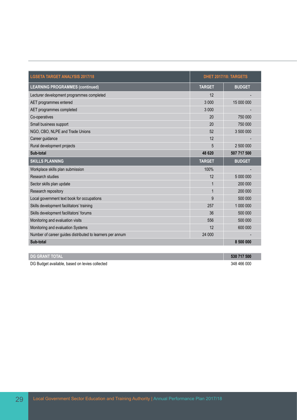| <b>LGSETA TARGET ANALYSIS 2017/18</b>                     |               | DHET 2017/18: TARGETS |
|-----------------------------------------------------------|---------------|-----------------------|
| <b>LEARNING PROGRAMMES (continued)</b>                    | <b>TARGET</b> | <b>BUDGET</b>         |
| Lecturer development programmes completed                 | 12            |                       |
| AET programmes entered                                    | 3 0 0 0       | 15 000 000            |
| AET programmes completed                                  | 3 0 0 0       |                       |
| Co-operatives                                             | 20            | 750 000               |
| Small business support                                    | 20            | 750 000               |
| NGO, CBO, NLPE and Trade Unions                           | 52            | 3 500 000             |
| Career guidance                                           | 12            |                       |
| Rural development projects                                | 5             | 2 500 000             |
| Sub-total                                                 | 48 620        | 507 717 500           |
| <b>SKILLS PLANNING</b>                                    | <b>TARGET</b> | <b>BUDGET</b>         |
| Workplace skills plan submission                          |               |                       |
|                                                           | 100%          |                       |
| Research studies                                          | 12            | 5 000 000             |
| Sector skills plan update                                 | 1             | 200 000               |
| Research repository                                       |               | 200 000               |
| Local government text book for occupations                | 9             | 500 000               |
| Skills development facilitators' training                 | 257           | 1 000 000             |
| Skills development facilitators' forums                   | 36            | 500 000               |
| Monitoring and evaluation visits                          | 556           | 500 000               |
| Monitoring and evaluation Systems                         | 12            | 600 000               |
| Number of career guides distributed to learners per annum | 24 000        |                       |

| <b>I DG GRANT TOTAL</b>                        | 530 717 500 |
|------------------------------------------------|-------------|
| DG Budget available, based on levies collected | 348 466 000 |

T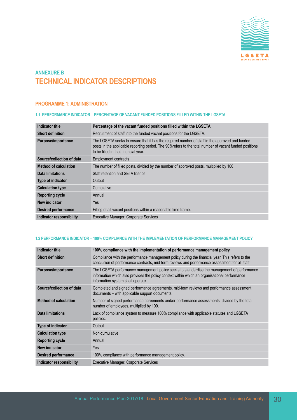

# **ANNEXURE B TECHNICAL INDICATOR DESCRIPTIONS**

# **PROGRAMME 1: ADMINISTRATION**

#### **1.1 PERFORMANCE INDICATOR – PERCENTAGE OF VACANT FUNDED POSITIONS FILLED WITHIN THE LGSETA**

| Indicator title              | Percentage of the vacant funded positions filled within the LGSETA                                                                                                                                                                                |
|------------------------------|---------------------------------------------------------------------------------------------------------------------------------------------------------------------------------------------------------------------------------------------------|
| <b>Short definition</b>      | Recruitment of staff into the funded vacant positions for the LGSETA.                                                                                                                                                                             |
| Purpose/importance           | The LGSETA seeks to ensure that it has the required number of staff in the approved and funded<br>posts in the applicable reporting period. The 90% refers to the total number of vacant funded positions<br>to be filled in that financial year. |
| Source/collection of data    | <b>Employment contracts</b>                                                                                                                                                                                                                       |
| <b>Method of calculation</b> | The number of filled posts, divided by the number of approved posts, multiplied by 100.                                                                                                                                                           |
| Data limitations             | Staff retention and SETA licence                                                                                                                                                                                                                  |
| Type of indicator            | Output                                                                                                                                                                                                                                            |
| <b>Calculation type</b>      | Cumulative                                                                                                                                                                                                                                        |
| <b>Reporting cycle</b>       | Annual                                                                                                                                                                                                                                            |
| New indicator                | Yes                                                                                                                                                                                                                                               |
| <b>Desired performance</b>   | Filling of all vacant positions within a reasonable time frame.                                                                                                                                                                                   |
| Indicator responsibility     | <b>Executive Manager: Corporate Services</b>                                                                                                                                                                                                      |

#### **1.2 PERFORMANCE INDICATOR – 100% COMPLIANCE WITH THE IMPLEMENTATION OF PERFORMANCE MANAGEMENT POLICY**

| <b>Indicator title</b>       | 100% compliance with the implementation of performance management policy                                                                                                                                                          |
|------------------------------|-----------------------------------------------------------------------------------------------------------------------------------------------------------------------------------------------------------------------------------|
| <b>Short definition</b>      | Compliance with the performance management policy during the financial year. This refers to the<br>conclusion of performance contracts, mid-term reviews and performance assessment for all staff.                                |
| Purpose/importance           | The LGSETA performance management policy seeks to standardise the management of performance<br>information which also provides the policy context within which an organisational performance<br>information system shall operate. |
| Source/collection of data    | Completed and signed performance agreements, mid-term reviews and performance assessment<br>documents – with applicable support documents.                                                                                        |
| <b>Method of calculation</b> | Number of signed performance agreements and/or performance assessments, divided by the total<br>number of employees, multiplied by 100.                                                                                           |
| Data limitations             | Lack of compliance system to measure 100% compliance with applicable statutes and LGSETA<br>policies.                                                                                                                             |
| Type of indicator            | Output                                                                                                                                                                                                                            |
| <b>Calculation type</b>      | Non-cumulative                                                                                                                                                                                                                    |
| <b>Reporting cycle</b>       | Annual                                                                                                                                                                                                                            |
| New indicator                | Yes                                                                                                                                                                                                                               |
| <b>Desired performance</b>   | 100% compliance with performance management policy.                                                                                                                                                                               |
| Indicator responsibility     | <b>Executive Manager: Corporate Services</b>                                                                                                                                                                                      |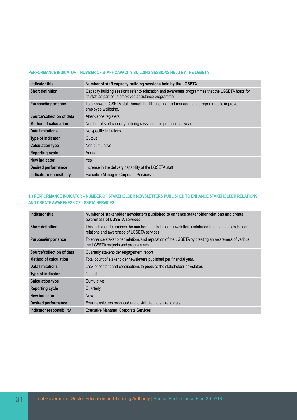#### **PERFORMANCE INDICATOR – NUMBER OF STAFF CAPACITY BUILDING SESSIONS HELD BY THE LGSETA**

| Indicator title              | Number of staff capacity building sessions held by the LGSETA                                                                                               |
|------------------------------|-------------------------------------------------------------------------------------------------------------------------------------------------------------|
| <b>Short definition</b>      | Capacity building sessions refer to education and awareness programmes that the LGSETA hosts for<br>its staff as part of its employee assistance programme. |
| Purpose/importance           | To empower LGSETA staff through health and financial management programmes to improve<br>employee wellbeing.                                                |
| Source/collection of data    | Attendance registers.                                                                                                                                       |
| <b>Method of calculation</b> | Number of staff capacity building sessions held per financial year                                                                                          |
| Data limitations             | No specific limitations                                                                                                                                     |
| <b>Type of indicator</b>     | Output                                                                                                                                                      |
| <b>Calculation type</b>      | Non-cumulative                                                                                                                                              |
| <b>Reporting cycle</b>       | Annual                                                                                                                                                      |
| New indicator                | Yes                                                                                                                                                         |
| <b>Desired performance</b>   | Increase in the delivery capability of the LGSETA staff                                                                                                     |
| Indicator responsibility     | <b>Executive Manager: Corporate Services</b>                                                                                                                |

## **1.3 PERFORMANCE INDICATOR – NUMBER OF STAKEHOLDER NEWSLETTERS PUBLISHED TO ENHANCE STAKEHOLDER RELATIONS AND CREATE AWARENESS OF LGSETA SERVICES**

| Indicator title              | Number of stakeholder newsletters published to enhance stakeholder relations and create<br>awareness of LGSETA services                           |
|------------------------------|---------------------------------------------------------------------------------------------------------------------------------------------------|
| <b>Short definition</b>      | This indicator determines the number of stakeholder newsletters distributed to enhance stakeholder<br>relations and awareness of LGSETA services. |
| Purpose/importance           | To enhance stakeholder relations and reputation of the LGSETA by creating an awareness of various<br>the LGSETA projects and programmes.          |
| Source/collection of data    | Quarterly stakeholder engagement report                                                                                                           |
| <b>Method of calculation</b> | Total count of stakeholder newsletters published per financial year.                                                                              |
| Data limitations             | Lack of content and contributions to produce the stakeholder newsletter.                                                                          |
| <b>Type of indicator</b>     | Output                                                                                                                                            |
| <b>Calculation type</b>      | Cumulative                                                                                                                                        |
| <b>Reporting cycle</b>       | Quarterly                                                                                                                                         |
| New indicator                | <b>New</b>                                                                                                                                        |
| <b>Desired performance</b>   | Four newsletters produced and distributed to stakeholders                                                                                         |
| Indicator responsibility     | <b>Executive Manager: Corporate Services</b>                                                                                                      |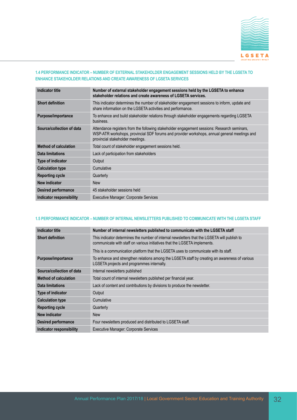

## **1.4 PERFORMANCE INDICATOR – NUMBER OF EXTERNAL STAKEHOLDER ENGAGEMENT SESSIONS HELD BY THE LGSETA TO ENHANCE STAKEHOLDER RELATIONS AND CREATE AWARENESS OF LGSETA SERVICES**

| <b>Indicator title</b>       | Number of external stakeholder engagement sessions held by the LGSETA to enhance<br>stakeholder relations and create awareness of LGSETA services.                                                                              |
|------------------------------|---------------------------------------------------------------------------------------------------------------------------------------------------------------------------------------------------------------------------------|
| <b>Short definition</b>      | This indicator determines the number of stakeholder engagement sessions to inform, update and<br>share information on the LGSETA activities and performance.                                                                    |
| Purpose/importance           | To enhance and build stakeholder relations through stakeholder engagements regarding LGSETA<br>business.                                                                                                                        |
| Source/collection of data    | Attendance registers from the following stakeholder engagement sessions: Research seminars,<br>WSP-ATR workshops, provincial SDF forums and provider workshops, annual general meetings and<br>provincial stakeholder meetings. |
| <b>Method of calculation</b> | Total count of stakeholder engagement sessions held.                                                                                                                                                                            |
| Data limitations             | Lack of participation from stakeholders                                                                                                                                                                                         |
| <b>Type of indicator</b>     | Output                                                                                                                                                                                                                          |
| <b>Calculation type</b>      | Cumulative                                                                                                                                                                                                                      |
| <b>Reporting cycle</b>       | Quarterly                                                                                                                                                                                                                       |
| New indicator                | <b>New</b>                                                                                                                                                                                                                      |
| <b>Desired performance</b>   | 45 stakeholder sessions held                                                                                                                                                                                                    |
| Indicator responsibility     | <b>Executive Manager: Corporate Services</b>                                                                                                                                                                                    |

#### **1.5 PERFORMANCE INDICATOR – NUMBER OF INTERNAL NEWSLETTERS PUBLISHED TO COMMUNICATE WITH THE LGSETA STAFF**

| Indicator title              | Number of internal newsletters published to communicate with the LGSETA staff                                                                                             |
|------------------------------|---------------------------------------------------------------------------------------------------------------------------------------------------------------------------|
| <b>Short definition</b>      | This indicator determines the number of internal newsletters that the LGSETA will publish to<br>communicate with staff on various initiatives that the LGSETA implements. |
|                              | This is a communication platform that the LGSETA uses to communicate with its staff.                                                                                      |
| Purpose/importance           | To enhance and strengthen relations among the LGSETA staff by creating an awareness of various<br>LGSETA projects and programmes internally.                              |
| Source/collection of data    | Internal newsletters published                                                                                                                                            |
| <b>Method of calculation</b> | Total count of internal newsletters published per financial year.                                                                                                         |
| Data limitations             | Lack of content and contributions by divisions to produce the newsletter.                                                                                                 |
| Type of indicator            | Output                                                                                                                                                                    |
| <b>Calculation type</b>      | Cumulative                                                                                                                                                                |
| <b>Reporting cycle</b>       | Quarterly                                                                                                                                                                 |
| New indicator                | <b>New</b>                                                                                                                                                                |
| <b>Desired performance</b>   | Four newsletters produced and distributed to LGSETA staff.                                                                                                                |
| Indicator responsibility     | <b>Executive Manager: Corporate Services</b>                                                                                                                              |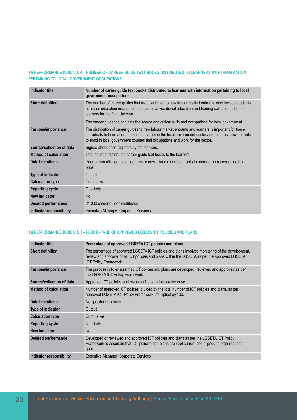## **1.6 PERFORMANCE INDICATOR – NUMBER OF CAREER GUIDE TEXT BOOKS DISTRIBUTED TO LEARNERS WITH INFORMATION PERTAINING TO LOCAL GOVERNMENT OCCUPATIONS.**

| Indicator title              | Number of career guide text books distributed to learners with information pertaining to local<br>government occupations                                                                                                                                                                                                                              |
|------------------------------|-------------------------------------------------------------------------------------------------------------------------------------------------------------------------------------------------------------------------------------------------------------------------------------------------------------------------------------------------------|
| <b>Short definition</b>      | The number of career guides that are distributed to new labour market entrants, who include students<br>at higher education institutions and technical vocational education and training colleges and school<br>learners for the financial year.<br>The career guidance contains the scarce and critical skills and occupations for local government. |
| Purpose/importance           | The distribution of career guides to new labour market entrants and learners is important for these<br>individuals to learn about pursuing a career in the local government sector and to attract new entrants<br>to enrol in local government courses and occupations and work for the sector.                                                       |
| Source/collection of data    | Signed attendance registers by the learners.                                                                                                                                                                                                                                                                                                          |
| <b>Method of calculation</b> | Total count of distributed career guide text books to the learners.                                                                                                                                                                                                                                                                                   |
| Data limitations             | Poor or non-attendance of learners or new labour market entrants to receive the career guide text<br>book.                                                                                                                                                                                                                                            |
| Type of indicator            | Output                                                                                                                                                                                                                                                                                                                                                |
| <b>Calculation type</b>      | Cumulative                                                                                                                                                                                                                                                                                                                                            |
| <b>Reporting cycle</b>       | Quarterly                                                                                                                                                                                                                                                                                                                                             |
| New indicator                | No.                                                                                                                                                                                                                                                                                                                                                   |
| <b>Desired performance</b>   | 24 000 career guides distributed                                                                                                                                                                                                                                                                                                                      |
| Indicator responsibility     | <b>Executive Manager: Corporate Services</b>                                                                                                                                                                                                                                                                                                          |

### **1.8 PERFORMANCE INDICATOR – PERCENTAGE OF APPROVED LGSETA ICT POLICIES AND PLANS**

| Indicator title              | Percentage of approved LGSETA ICT policies and plans                                                                                                                                                                               |
|------------------------------|------------------------------------------------------------------------------------------------------------------------------------------------------------------------------------------------------------------------------------|
| <b>Short definition</b>      | The percentage of approved LGSETA ICT policies and plans involves monitoring of the development,<br>review and approval of all ICT policies and plans within the LGSETA as per the approved LGSETA<br><b>ICT Policy Framework.</b> |
| Purpose/importance           | The purpose is to ensure that ICT polices and plans are developed, reviewed and approved as per<br>the LGSETA ICT Policy Framework.                                                                                                |
| Source/collection of data    | Approved ICT policies and plans on file or in the shared drive.                                                                                                                                                                    |
| <b>Method of calculation</b> | Number of approved ICT polices, divided by the total number of ICT policies and plans, as per<br>approved LGSETA ICT Policy Framework, multiplied by 100.                                                                          |
| Data limitations             | No specific limitations                                                                                                                                                                                                            |
| Type of indicator            | Output                                                                                                                                                                                                                             |
| <b>Calculation type</b>      | Cumulative                                                                                                                                                                                                                         |
| <b>Reporting cycle</b>       | Quarterly                                                                                                                                                                                                                          |
| New indicator                | <b>No</b>                                                                                                                                                                                                                          |
| <b>Desired performance</b>   | Developed or reviewed and approved ICT policies and plans as per the LGSETA ICT Policy<br>Framework to ascertain that ICT policies and plans are kept current and aligned to organisational<br>goals.                              |
| Indicator responsibility     | Executive Manager: Corporate Services                                                                                                                                                                                              |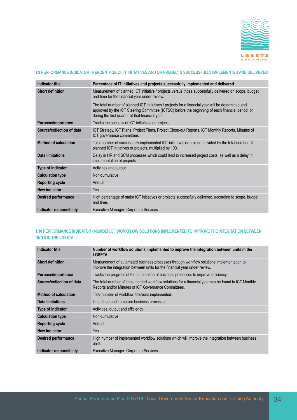

#### **1.9 PERFORMANCE INDICATOR - PERCENTAGE OF IT INITIATIVES AND OR PROJECTS SUCCESSFULLY IMPLEMENTED AND DELIVERED**

| <b>Indicator title</b>       | Percentage of IT initiatives and projects successfully implemented and delivered                                                                                                                                                                           |
|------------------------------|------------------------------------------------------------------------------------------------------------------------------------------------------------------------------------------------------------------------------------------------------------|
| <b>Short definition</b>      | Measurement of planned ICT initiative / projects versus those successfully delivered on scope, budget<br>and time for the financial year under review.                                                                                                     |
|                              | The total number of planned ICT initiatives / projects for a financial year will be determined and<br>approved by the ICT Steering Committee (ICTSC) before the beginning of each financial period, or<br>during the first quarter of that financial year. |
| Purpose/importance           | Tracks the success of ICT initiatives or projects                                                                                                                                                                                                          |
| Source/collection of data    | ICT Strategy, ICT Plans, Project Plans, Project Close-out Reports, ICT Monthly Reports, Minutes of<br>ICT governance committees                                                                                                                            |
| <b>Method of calculation</b> | Total number of successfully implemented ICT initiatives or projects, divided by the total number of<br>planned ICT initiatives or projects, multiplied by 100.                                                                                            |
| <b>Data limitations</b>      | Delay in HR and SCM processes which could lead to increased project costs, as well as a delay in<br>implementation of projects                                                                                                                             |
| <b>Type of indicator</b>     | Activities and output                                                                                                                                                                                                                                      |
| <b>Calculation type</b>      | Non-cumulative                                                                                                                                                                                                                                             |
| <b>Reporting cycle</b>       | Annual                                                                                                                                                                                                                                                     |
| New indicator                | <b>Yes</b>                                                                                                                                                                                                                                                 |
| <b>Desired performance</b>   | High percentage of major ICT initiatives or projects successfully delivered, according to scope, budget<br>and time.                                                                                                                                       |
| Indicator responsibility     | <b>Executive Manager: Corporate Services</b>                                                                                                                                                                                                               |

#### **1.10 PERFORMANCE INDICATOR - NUMBER OF WORKFLOW SOLUTIONS IMPLEMENTED TO IMPROVE THE INTEGRATION BETWEEN UNITS IN THE LGSETA**

| Indicator title              | Number of workflow solutions implemented to improve the integration between units in the<br><b>LGSETA</b>                                                              |
|------------------------------|------------------------------------------------------------------------------------------------------------------------------------------------------------------------|
| <b>Short definition</b>      | Measurement of automated business processes through workflow solutions implementation to<br>improve the integration between units for the financial year under review. |
| Purpose/importance           | Tracks the progress of the automation of business processes to improve efficiency.                                                                                     |
| Source/collection of data    | The total number of implemented workflow solutions for a financial year can be found in ICT Monthly<br>Reports and/or Minutes of ICT Governance Committees.            |
| <b>Method of calculation</b> | Total number of workflow solutions implemented.                                                                                                                        |
| Data limitations             | Undefined and immature business processes.                                                                                                                             |
| Type of indicator            | Activities, output and efficiency                                                                                                                                      |
| <b>Calculation type</b>      | Non-cumulative                                                                                                                                                         |
| <b>Reporting cycle</b>       | Annual                                                                                                                                                                 |
| New indicator                | Yes                                                                                                                                                                    |
| <b>Desired performance</b>   | High number of implemented workflow solutions which will improve the integration between business<br>units.                                                            |
| Indicator responsibility     | Executive Manager: Corporate Services                                                                                                                                  |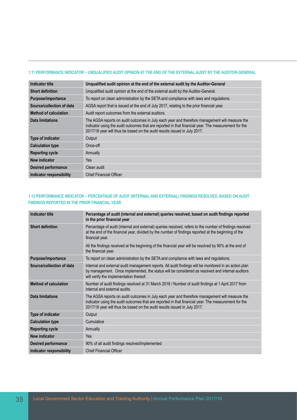#### **1.11 PERFORMANCE INDICATOR – UNQUALIFIED AUDIT OPINION AT THE END OF THE EXTERNAL AUDIT BY THE AUDITOR-GENERAL**

| <b>Indicator title</b>       | Ungualified audit opinion at the end of the external audit by the Auditor-General                                                                                                                                                                                                   |
|------------------------------|-------------------------------------------------------------------------------------------------------------------------------------------------------------------------------------------------------------------------------------------------------------------------------------|
| <b>Short definition</b>      | Unqualified audit opinion at the end of the external audit by the Auditor-General.                                                                                                                                                                                                  |
| Purpose/importance           | To report on clean administration by the SETA and compliance with laws and regulations.                                                                                                                                                                                             |
| Source/collection of data    | AGSA report that is issued at the end of July 2017, relating to the prior financial year.                                                                                                                                                                                           |
| <b>Method of calculation</b> | Audit report outcomes from the external auditors.                                                                                                                                                                                                                                   |
| Data limitations             | The AGSA reports on audit outcomes in July each year and therefore management will measure the<br>indicator using the audit outcomes that are reported in that financial year. The measurement for the<br>2017/18 year will thus be based on the audit results issued in July 2017. |
| Type of indicator            | Output                                                                                                                                                                                                                                                                              |
| <b>Calculation type</b>      | Once-off                                                                                                                                                                                                                                                                            |
| <b>Reporting cycle</b>       | Annually                                                                                                                                                                                                                                                                            |
| <b>New indicator</b>         | Yes                                                                                                                                                                                                                                                                                 |
| <b>Desired performance</b>   | Clean audit                                                                                                                                                                                                                                                                         |
| Indicator responsibility     | <b>Chief Financial Officer</b>                                                                                                                                                                                                                                                      |

## **1.12 PERFORMANCE INDICATOR – PERCENTAGE OF AUDIT (INTERNAL AND EXTERNAL) FINDINGS RESOLVED, BASED ON AUDIT FINDINGS REPORTED IN THE PRIOR FINANCIAL YEAR**

| <b>Indicator title</b>          | Percentage of audit (internal and external) queries resolved, based on audit findings reported<br>in the prior financial year                                                                                                                                                       |
|---------------------------------|-------------------------------------------------------------------------------------------------------------------------------------------------------------------------------------------------------------------------------------------------------------------------------------|
| <b>Short definition</b>         | Percentage of audit (internal and external) queries resolved, refers to the number of findings resolved<br>at the end of the financial year, divided by the number of findings reported at the beginning of the<br>financial year.                                                  |
|                                 | All the findings received at the beginning of the financial year will be resolved by 90% at the end of<br>the financial year.                                                                                                                                                       |
| Purpose/importance              | To report on clean administration by the SETA and compliance with laws and regulations.                                                                                                                                                                                             |
| Source/collection of data       | Internal and external audit management reports. All audit findings will be monitored in an action plan<br>by management. Once implemented, the status will be considered as resolved and internal auditors<br>will verify the implementation thereof.                               |
| <b>Method of calculation</b>    | Number of audit findings resolved at 31 March 2018 / Number of audit findings at 1 April 2017 from<br>internal and external audits.                                                                                                                                                 |
| Data limitations                | The AGSA reports on audit outcomes in July each year and therefore management will measure the<br>indicator using the audit outcomes that are reported in that financial year. The measurement for the<br>2017/18 year will thus be based on the audit results issued in July 2017. |
| Type of indicator               | Output                                                                                                                                                                                                                                                                              |
| <b>Calculation type</b>         | Cumulative                                                                                                                                                                                                                                                                          |
| <b>Reporting cycle</b>          | Annually                                                                                                                                                                                                                                                                            |
| New indicator                   | <b>Yes</b>                                                                                                                                                                                                                                                                          |
| <b>Desired performance</b>      | 90% of all audit findings resolved/implemented                                                                                                                                                                                                                                      |
| <b>Indicator responsibility</b> | <b>Chief Financial Officer</b>                                                                                                                                                                                                                                                      |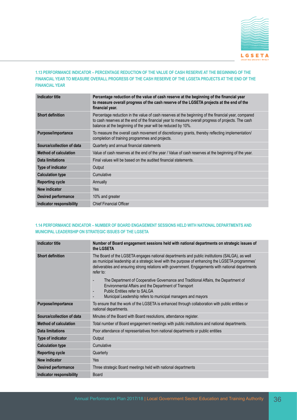

# **1.13 PERFORMANCE INDICATOR – PERCENTAGE REDUCTION OF THE VALUE OF CASH RESERVE AT THE BEGINNING OF THE FINANCIAL YEAR TO MEASURE OVERALL PROGRESS OF THE CASH RESERVE OF THE LGSETA PROJECTS AT THE END OF THE FINANCIAL YEAR**

| <b>Indicator title</b>       | Percentage reduction of the value of cash reserve at the beginning of the financial year<br>to measure overall progress of the cash reserve of the LGSETA projects at the end of the<br>financial year.                                                                    |
|------------------------------|----------------------------------------------------------------------------------------------------------------------------------------------------------------------------------------------------------------------------------------------------------------------------|
| <b>Short definition</b>      | Percentage reduction in the value of cash reserves at the beginning of the financial year, compared<br>to cash reserves at the end of the financial year to measure overall progress of projects. The cash<br>balance at the beginning of the year will be reduced by 10%. |
| Purpose/importance           | To measure the overall cash movement of discretionary grants, thereby reflecting implementation/<br>completion of training programmes and projects.                                                                                                                        |
| Source/collection of data    | Quarterly and annual financial statements                                                                                                                                                                                                                                  |
| <b>Method of calculation</b> | Value of cash reserves at the end of the year / Value of cash reserves at the beginning of the year.                                                                                                                                                                       |
| Data limitations             | Final values will be based on the audited financial statements.                                                                                                                                                                                                            |
| <b>Type of indicator</b>     | Output                                                                                                                                                                                                                                                                     |
| <b>Calculation type</b>      | Cumulative                                                                                                                                                                                                                                                                 |
| <b>Reporting cycle</b>       | Annually                                                                                                                                                                                                                                                                   |
| New indicator                | Yes                                                                                                                                                                                                                                                                        |
| <b>Desired performance</b>   | 10% and greater                                                                                                                                                                                                                                                            |
| Indicator responsibility     | <b>Chief Financial Officer</b>                                                                                                                                                                                                                                             |

#### **1.14 PERFORMANCE INDICATOR – NUMBER OF BOARD ENGAGEMENT SESSIONS HELD WITH NATIONAL DEPARTMENTS AND MUNICIPAL LEADERSHIP ON STRATEGIC ISSUES OF THE LGSETA**

| <b>Indicator title</b>       | Number of Board engagement sessions held with national departments on strategic issues of<br>the LGSETA                                                                                                                                                                                                              |
|------------------------------|----------------------------------------------------------------------------------------------------------------------------------------------------------------------------------------------------------------------------------------------------------------------------------------------------------------------|
| <b>Short definition</b>      | The Board of the LGSETA engages national departments and public institutions (SALGA), as well<br>as municipal leadership at a strategic level with the purpose of enhancing the LGSETA programmes'<br>deliverables and ensuring strong relations with government. Engagements with national departments<br>refer to: |
|                              | The Department of Cooperative Governance and Traditional Affairs, the Department of<br>٠<br>Environmental Affairs and the Department of Transport<br>Public Entities refer to SALGA<br>÷<br>Municipal Leadership refers to municipal managers and mayors                                                             |
| Purpose/importance           | To ensure that the work of the LGSETA is enhanced through collaboration with public entities or<br>national departments.                                                                                                                                                                                             |
| Source/collection of data    | Minutes of the Board with Board resolutions, attendance register.                                                                                                                                                                                                                                                    |
| <b>Method of calculation</b> | Total number of Board engagement meetings with public institutions and national departments.                                                                                                                                                                                                                         |
| <b>Data limitations</b>      | Poor attendance of representatives from national departments or public entities                                                                                                                                                                                                                                      |
| Type of indicator            | Output                                                                                                                                                                                                                                                                                                               |
| <b>Calculation type</b>      | Cumulative                                                                                                                                                                                                                                                                                                           |
| <b>Reporting cycle</b>       | Quarterly                                                                                                                                                                                                                                                                                                            |
| <b>New indicator</b>         | Yes                                                                                                                                                                                                                                                                                                                  |
| <b>Desired performance</b>   | Three strategic Board meetings held with national departments                                                                                                                                                                                                                                                        |
| Indicator responsibility     | <b>Board</b>                                                                                                                                                                                                                                                                                                         |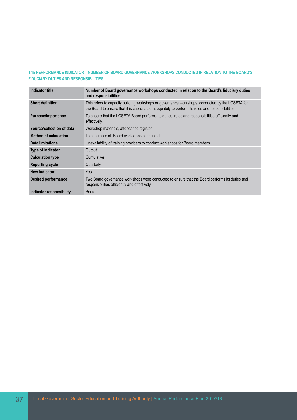## **1.15 PERFORMANCE INDICATOR – NUMBER OF BOARD GOVERNANCE WORKSHOPS CONDUCTED IN RELATION TO THE BOARD'S FIDUCIARY DUTIES AND RESPONSIBILITIES**

| Indicator title              | Number of Board governance workshops conducted in relation to the Board's fiduciary duties<br>and responsibilities                                                                                  |
|------------------------------|-----------------------------------------------------------------------------------------------------------------------------------------------------------------------------------------------------|
| <b>Short definition</b>      | This refers to capacity building workshops or governance workshops, conducted by the LGSETA for<br>the Board to ensure that it is capacitated adequately to perform its roles and responsibilities. |
| Purpose/importance           | To ensure that the LGSETA Board performs its duties, roles and responsibilities efficiently and<br>effectively.                                                                                     |
| Source/collection of data    | Workshop materials, attendance register                                                                                                                                                             |
| <b>Method of calculation</b> | Total number of Board workshops conducted                                                                                                                                                           |
| Data limitations             | Unavailability of training providers to conduct workshops for Board members                                                                                                                         |
| <b>Type of indicator</b>     | Output                                                                                                                                                                                              |
| <b>Calculation type</b>      | Cumulative                                                                                                                                                                                          |
| <b>Reporting cycle</b>       | Quarterly                                                                                                                                                                                           |
| New indicator                | Yes                                                                                                                                                                                                 |
| <b>Desired performance</b>   | Two Board governance workshops were conducted to ensure that the Board performs its duties and<br>responsibilities efficiently and effectively                                                      |
| Indicator responsibility     | <b>Board</b>                                                                                                                                                                                        |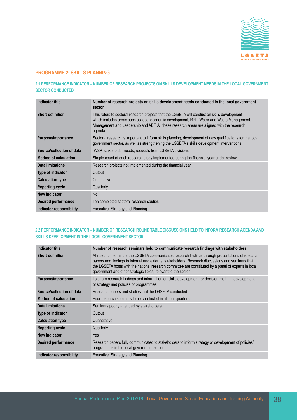

# **PROGRAMME 2: SKILLS PLANNING**

## **2.1 PERFORMANCE INDICATOR – NUMBER OF RESEARCH PROJECTS ON SKILLS DEVELOPMENT NEEDS IN THE LOCAL GOVERNMENT SECTOR CONDUCTED**

| <b>Indicator title</b>       | Number of research projects on skills development needs conducted in the local government<br>sector                                                                                                                                                                                               |
|------------------------------|---------------------------------------------------------------------------------------------------------------------------------------------------------------------------------------------------------------------------------------------------------------------------------------------------|
| <b>Short definition</b>      | This refers to sectoral research projects that the LGSETA will conduct on skills development<br>which includes areas such as local economic development, RPL, Water and Waste Management,<br>Management and Leadership and AET. All these research areas are aligned with the research<br>agenda. |
| Purpose/importance           | Sectoral research is important to inform skills planning, development of new qualifications for the local<br>government sector, as well as strengthening the LGSETA's skills development interventions                                                                                            |
| Source/collection of data    | WSP, stakeholder needs, requests from LGSETA divisions                                                                                                                                                                                                                                            |
| <b>Method of calculation</b> | Simple count of each research study implemented during the financial year under review                                                                                                                                                                                                            |
| Data limitations             | Research projects not implemented during the financial year                                                                                                                                                                                                                                       |
| <b>Type of indicator</b>     | Output                                                                                                                                                                                                                                                                                            |
| <b>Calculation type</b>      | Cumulative                                                                                                                                                                                                                                                                                        |
| <b>Reporting cycle</b>       | Quarterly                                                                                                                                                                                                                                                                                         |
| New indicator                | <b>No</b>                                                                                                                                                                                                                                                                                         |
| <b>Desired performance</b>   | Ten completed sectoral research studies                                                                                                                                                                                                                                                           |
| Indicator responsibility     | Executive: Strategy and Planning                                                                                                                                                                                                                                                                  |

#### **2.2 PERFORMANCE INDICATOR – NUMBER OF RESEARCH ROUND TABLE DISCUSSIONS HELD TO INFORM RESEARCH AGENDA AND SKILLS DEVELOPMENT IN THE LOCAL GOVERNMENT SECTOR**

| <b>Indicator title</b>       | Number of research seminars held to communicate research findings with stakeholders                                                                                                                                                                                                                                                                                             |
|------------------------------|---------------------------------------------------------------------------------------------------------------------------------------------------------------------------------------------------------------------------------------------------------------------------------------------------------------------------------------------------------------------------------|
| <b>Short definition</b>      | At research seminars the LGSETA communicates research findings through presentations of research<br>papers and findings to internal and external stakeholders. Research discussions and seminars that<br>the LGSETA hosts with the national research committee are constituted by a panel of experts in local<br>government and other strategic fields, relevant to the sector. |
| Purpose/importance           | To share research findings and information on skills development for decision-making, development<br>of strategy and policies or programmes.                                                                                                                                                                                                                                    |
| Source/collection of data    | Research papers and studies that the LGSETA conducted.                                                                                                                                                                                                                                                                                                                          |
| <b>Method of calculation</b> | Four research seminars to be conducted in all four quarters                                                                                                                                                                                                                                                                                                                     |
| Data limitations             | Seminars poorly attended by stakeholders.                                                                                                                                                                                                                                                                                                                                       |
| <b>Type of indicator</b>     | Output                                                                                                                                                                                                                                                                                                                                                                          |
| <b>Calculation type</b>      | Quantitative                                                                                                                                                                                                                                                                                                                                                                    |
| <b>Reporting cycle</b>       | Quarterly                                                                                                                                                                                                                                                                                                                                                                       |
| New indicator                | Yes                                                                                                                                                                                                                                                                                                                                                                             |
| <b>Desired performance</b>   | Research papers fully communicated to stakeholders to inform strategy or development of policies/<br>programmes in the local government sector.                                                                                                                                                                                                                                 |
| Indicator responsibility     | Executive: Strategy and Planning                                                                                                                                                                                                                                                                                                                                                |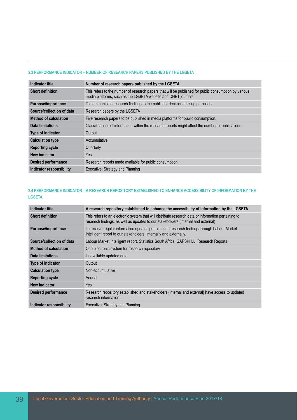#### **2.3 PERFORMANCE INDICATOR – NUMBER OF RESEARCH PAPERS PUBLISHED BY THE LGSETA**

| <b>Indicator title</b>          | Number of research papers published by the LGSETA                                                                                                                       |
|---------------------------------|-------------------------------------------------------------------------------------------------------------------------------------------------------------------------|
| <b>Short definition</b>         | This refers to the number of research papers that will be published for public consumption by various<br>media platforms, such as the LGSETA website and DHET journals. |
| Purpose/importance              | To communicate research findings to the public for decision-making purposes.                                                                                            |
| Source/collection of data       | Research papers by the LGSETA                                                                                                                                           |
| <b>Method of calculation</b>    | Five research papers to be published in media platforms for public consumption.                                                                                         |
| Data limitations                | Classifications of information within the research reports might affect the number of publications.                                                                     |
| <b>Type of indicator</b>        | Output                                                                                                                                                                  |
| <b>Calculation type</b>         | Accumulative                                                                                                                                                            |
| <b>Reporting cycle</b>          | Quarterly                                                                                                                                                               |
| New indicator                   | Yes                                                                                                                                                                     |
| <b>Desired performance</b>      | Research reports made available for public consumption                                                                                                                  |
| <b>Indicator responsibility</b> | Executive: Strategy and Planning                                                                                                                                        |

# **2.4 PERFORMANCE INDICATOR – A RESEARCH REPOSITORY ESTABLISHED TO ENHANCE ACCESSIBILITY OF INFORMATION BY THE LGSETA**

| <b>Indicator title</b>       | A research repository established to enhance the accessibility of information by the LGSETA                                                                                              |
|------------------------------|------------------------------------------------------------------------------------------------------------------------------------------------------------------------------------------|
| <b>Short definition</b>      | This refers to an electronic system that will distribute research data or information pertaining to<br>research findings, as well as updates to our stakeholders (internal and external) |
| Purpose/importance           | To receive regular information updates pertaining to research findings through Labour Market<br>Intelligent report to our stakeholders, internally and externally.                       |
| Source/collection of data    | Labour Market Intelligent report, Statistics South Africa, GAPSKIILL, Research Reports                                                                                                   |
| <b>Method of calculation</b> | One electronic system for research repository                                                                                                                                            |
| Data limitations             | Unavailable updated data                                                                                                                                                                 |
| Type of indicator            | Output                                                                                                                                                                                   |
| <b>Calculation type</b>      | Non-accumulative                                                                                                                                                                         |
| <b>Reporting cycle</b>       | Annual                                                                                                                                                                                   |
| New indicator                | <b>Yes</b>                                                                                                                                                                               |
| <b>Desired performance</b>   | Research repository established and stakeholders (internal and external) have access to updated<br>research information                                                                  |
| Indicator responsibility     | Executive: Strategy and Planning                                                                                                                                                         |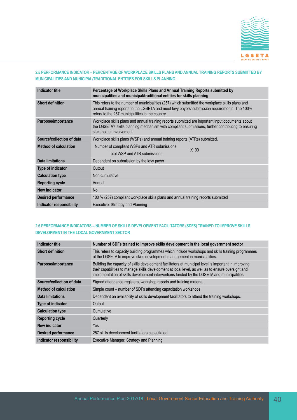

## **2.5 PERFORMANCE INDICATOR – PERCENTAGE OF WORKPLACE SKILLS PLANS AND ANNUAL TRAINING REPORTS SUBMITTED BY MUNICIPALITIES AND MUNICIPAL/TRADITIONAL ENTITIES FOR SKILLS PLANNING**

| <b>Indicator title</b>       | Percentage of Workplace Skills Plans and Annual Training Reports submitted by<br>municipalities and municipal/traditional entities for skills planning                                                                                                |
|------------------------------|-------------------------------------------------------------------------------------------------------------------------------------------------------------------------------------------------------------------------------------------------------|
| <b>Short definition</b>      | This refers to the number of municipalities (257) which submitted the workplace skills plans and<br>annual training reports to the LGSETA and meet levy payers' submission requirements. The 100%<br>refers to the 257 municipalities in the country. |
| Purpose/importance           | Workplace skills plans and annual training reports submitted are important input documents about<br>the LGSETA's skills planning mechanism with compliant submissions, further contributing to ensuring<br>stakeholder involvement.                   |
| Source/collection of data    | Workplace skills plans (WSPs) and annual training reports (ATRs) submitted.                                                                                                                                                                           |
| <b>Method of calculation</b> | Number of compliant WSPs and ATR submissions<br>X <sub>100</sub>                                                                                                                                                                                      |
|                              | Total WSP and ATR submissions                                                                                                                                                                                                                         |
| <b>Data limitations</b>      | Dependent on submission by the levy payer                                                                                                                                                                                                             |
| <b>Type of indicator</b>     | Output                                                                                                                                                                                                                                                |
| <b>Calculation type</b>      | Non-cumulative                                                                                                                                                                                                                                        |
| <b>Reporting cycle</b>       | Annual                                                                                                                                                                                                                                                |
| New indicator                | <b>No</b>                                                                                                                                                                                                                                             |
| <b>Desired performance</b>   | 100 % (257) compliant workplace skills plans and annual training reports submitted                                                                                                                                                                    |
| Indicator responsibility     | Executive: Strategy and Planning                                                                                                                                                                                                                      |

#### **2.6 PERFORMANCE INDICATORS – NUMBER OF SKILLS DEVELOPMENT FACILITATORS (SDFS) TRAINED TO IMPROVE SKILLS DEVELOPMENT IN THE LOCAL GOVERNMENT SECTOR**

| Indicator title              | Number of SDFs trained to improve skills development in the local government sector                                                                                                                                                                                                                        |
|------------------------------|------------------------------------------------------------------------------------------------------------------------------------------------------------------------------------------------------------------------------------------------------------------------------------------------------------|
| <b>Short definition</b>      | This refers to capacity building programmes which include workshops and skills training programmes<br>of the LGSETA to improve skills development management in municipalities.                                                                                                                            |
| Purpose/importance           | Building the capacity of skills development facilitators at municipal level is important in improving<br>their capabilities to manage skills development at local level, as well as to ensure oversight and<br>implementation of skills development interventions funded by the LGSETA and municipalities. |
| Source/collection of data    | Signed attendance registers, workshop reports and training material.                                                                                                                                                                                                                                       |
| <b>Method of calculation</b> | Simple count – number of SDFs attending capacitation workshops                                                                                                                                                                                                                                             |
| Data limitations             | Dependent on availability of skills development facilitators to attend the training workshops.                                                                                                                                                                                                             |
| <b>Type of indicator</b>     | Output                                                                                                                                                                                                                                                                                                     |
| <b>Calculation type</b>      | Cumulative                                                                                                                                                                                                                                                                                                 |
| <b>Reporting cycle</b>       | Quarterly                                                                                                                                                                                                                                                                                                  |
| <b>New indicator</b>         | Yes                                                                                                                                                                                                                                                                                                        |
| <b>Desired performance</b>   | 257 skills development facilitators capacitated                                                                                                                                                                                                                                                            |
| Indicator responsibility     | Executive Manager: Strategy and Planning                                                                                                                                                                                                                                                                   |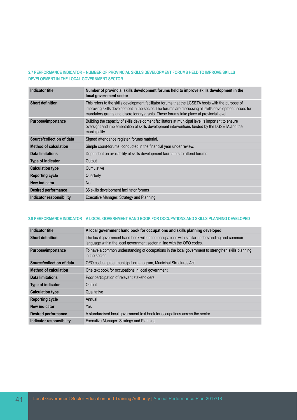## **2.7 PERFORMANCE INDICATOR – NUMBER OF PROVINCIAL SKILLS DEVELOPMENT FORUMS HELD TO IMPROVE SKILLS DEVELOPMENT IN THE LOCAL GOVERNMENT SECTOR**

| <b>Indicator title</b>       | Number of provincial skills development forums held to improve skills development in the<br>local government sector                                                                                                                                                                                      |
|------------------------------|----------------------------------------------------------------------------------------------------------------------------------------------------------------------------------------------------------------------------------------------------------------------------------------------------------|
| <b>Short definition</b>      | This refers to the skills development facilitator forums that the LGSETA hosts with the purpose of<br>improving skills development in the sector. The forums are discussing all skills development issues for<br>mandatory grants and discretionary grants. These forums take place at provincial level. |
| Purpose/importance           | Building the capacity of skills development facilitators at municipal level is important to ensure<br>oversight and implementation of skills development interventions funded by the LGSETA and the<br>municipality.                                                                                     |
| Source/collection of data    | Signed attendance register, forums material.                                                                                                                                                                                                                                                             |
| <b>Method of calculation</b> | Simple count-forums, conducted in the financial year under review.                                                                                                                                                                                                                                       |
| Data limitations             | Dependent on availability of skills development facilitators to attend forums.                                                                                                                                                                                                                           |
| <b>Type of indicator</b>     | Output                                                                                                                                                                                                                                                                                                   |
| <b>Calculation type</b>      | Cumulative                                                                                                                                                                                                                                                                                               |
| <b>Reporting cycle</b>       | Quarterly                                                                                                                                                                                                                                                                                                |
| New indicator                | <b>No</b>                                                                                                                                                                                                                                                                                                |
| <b>Desired performance</b>   | 36 skills development facilitator forums                                                                                                                                                                                                                                                                 |
| Indicator responsibility     | Executive Manager: Strategy and Planning                                                                                                                                                                                                                                                                 |

## **2.9 PERFORMANCE INDICATOR – A LOCAL GOVERNMENT HAND BOOK FOR OCCUPATIONS AND SKILLS PLANNING DEVELOPED**

| <b>Indicator title</b>       | A local government hand book for occupations and skills planning developed                                                                                              |
|------------------------------|-------------------------------------------------------------------------------------------------------------------------------------------------------------------------|
| <b>Short definition</b>      | The local government hand book will define occupations with similar understanding and common<br>language within the local government sector in line with the OFO codes. |
| Purpose/importance           | To have a common understanding of occupations in the local government to strengthen skills planning<br>in the sector.                                                   |
| Source/collection of data    | OFO codes guide, municipal organogram, Municipal Structures Act.                                                                                                        |
| <b>Method of calculation</b> | One text book for occupations in local government                                                                                                                       |
| Data limitations             | Poor participation of relevant stakeholders.                                                                                                                            |
| <b>Type of indicator</b>     | Output                                                                                                                                                                  |
| <b>Calculation type</b>      | Qualitative                                                                                                                                                             |
| <b>Reporting cycle</b>       | Annual                                                                                                                                                                  |
| New indicator                | Yes                                                                                                                                                                     |
| <b>Desired performance</b>   | A standardised local government text book for occupations across the sector                                                                                             |
| Indicator responsibility     | Executive Manager: Strategy and Planning                                                                                                                                |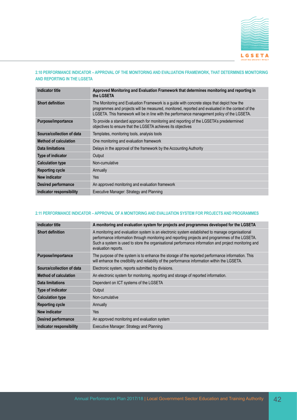

## **2.10 PERFORMANCE INDICATOR – APPROVAL OF THE MONITORING AND EVALUATION FRAMEWORK, THAT DETERMINES MONITORING AND REPORTING IN THE LGSETA**

| <b>Indicator title</b>          | Approved Monitoring and Evaluation Framework that determines monitoring and reporting in<br>the LGSETA                                                                                                                                                                                          |
|---------------------------------|-------------------------------------------------------------------------------------------------------------------------------------------------------------------------------------------------------------------------------------------------------------------------------------------------|
| <b>Short definition</b>         | The Monitoring and Evaluation Framework is a guide with concrete steps that depict how the<br>programmes and projects will be measured, monitored, reported and evaluated in the context of the<br>LGSETA. This framework will be in line with the performance management policy of the LGSETA. |
| Purpose/importance              | To provide a standard approach for monitoring and reporting of the LGSETA's predetermined<br>objectives to ensure that the LGSETA achieves its objectives                                                                                                                                       |
| Source/collection of data       | Templates, monitoring tools, analysis tools                                                                                                                                                                                                                                                     |
| <b>Method of calculation</b>    | One monitoring and evaluation framework                                                                                                                                                                                                                                                         |
| Data limitations                | Delays in the approval of the framework by the Accounting Authority                                                                                                                                                                                                                             |
| <b>Type of indicator</b>        | Output                                                                                                                                                                                                                                                                                          |
| <b>Calculation type</b>         | Non-cumulative                                                                                                                                                                                                                                                                                  |
| <b>Reporting cycle</b>          | Annually                                                                                                                                                                                                                                                                                        |
| New indicator                   | Yes                                                                                                                                                                                                                                                                                             |
| <b>Desired performance</b>      | An approved monitoring and evaluation framework                                                                                                                                                                                                                                                 |
| <b>Indicator responsibility</b> | Executive Manager: Strategy and Planning                                                                                                                                                                                                                                                        |

#### **2.11 PERFORMANCE INDICATOR – APPROVAL OF A MONITORING AND EVALUATION SYSTEM FOR PROJECTS AND PROGRAMMES**

| <b>Indicator title</b>       | A monitoring and evaluation system for projects and programmes developed for the LGSETA                                                                                                                                                                                                                                           |
|------------------------------|-----------------------------------------------------------------------------------------------------------------------------------------------------------------------------------------------------------------------------------------------------------------------------------------------------------------------------------|
| <b>Short definition</b>      | A monitoring and evaluation system is an electronic system established to manage organisational<br>performance information through monitoring and reporting projects and programmes of the LGSETA.<br>Such a system is used to store the organisational performance information and project monitoring and<br>evaluation reports. |
| Purpose/importance           | The purpose of the system is to enhance the storage of the reported performance information. This<br>will enhance the credibility and reliability of the performance information within the LGSETA.                                                                                                                               |
| Source/collection of data    | Electronic system, reports submitted by divisions.                                                                                                                                                                                                                                                                                |
| <b>Method of calculation</b> | An electronic system for monitoring, reporting and storage of reported information.                                                                                                                                                                                                                                               |
| Data limitations             | Dependent on ICT systems of the LGSETA                                                                                                                                                                                                                                                                                            |
| Type of indicator            | Output                                                                                                                                                                                                                                                                                                                            |
| <b>Calculation type</b>      | Non-cumulative                                                                                                                                                                                                                                                                                                                    |
| <b>Reporting cycle</b>       | Annually                                                                                                                                                                                                                                                                                                                          |
| New indicator                | Yes                                                                                                                                                                                                                                                                                                                               |
| <b>Desired performance</b>   | An approved monitoring and evaluation system                                                                                                                                                                                                                                                                                      |
| Indicator responsibility     | Executive Manager: Strategy and Planning                                                                                                                                                                                                                                                                                          |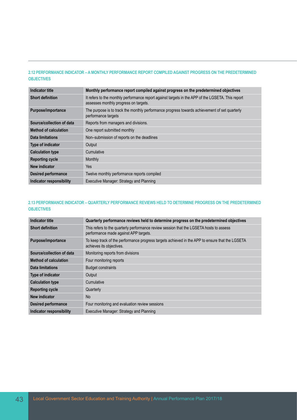## **2.12 PERFORMANCE INDICATOR – A MONTHLY PERFORMANCE REPORT COMPILED AGAINST PROGRESS ON THE PREDETERMINED OBJECTIVES**

| Indicator title              | Monthly performance report compiled against progress on the predetermined objectives                                                       |
|------------------------------|--------------------------------------------------------------------------------------------------------------------------------------------|
| <b>Short definition</b>      | It refers to the monthly performance report against targets in the APP of the LGSETA. This report<br>assesses monthly progress on targets. |
| Purpose/importance           | The purpose is to track the monthly performance progress towards achievement of set quarterly<br>performance targets                       |
| Source/collection of data    | Reports from managers and divisions.                                                                                                       |
| <b>Method of calculation</b> | One report submitted monthly                                                                                                               |
| Data limitations             | Non-submission of reports on the deadlines                                                                                                 |
| <b>Type of indicator</b>     | Output                                                                                                                                     |
| <b>Calculation type</b>      | Cumulative                                                                                                                                 |
| <b>Reporting cycle</b>       | Monthly                                                                                                                                    |
| New indicator                | <b>Yes</b>                                                                                                                                 |
| <b>Desired performance</b>   | Twelve monthly performance reports compiled                                                                                                |
| Indicator responsibility     | Executive Manager: Strategy and Planning                                                                                                   |

# **2.13 PERFORMANCE INDICATOR – QUARTERLY PERFORMANCE REVIEWS HELD TO DETERMINE PROGRESS ON THE PREDETERMINED OBJECTIVES**

| Indicator title                 | Quarterly performance reviews held to determine progress on the predetermined objectives                                         |
|---------------------------------|----------------------------------------------------------------------------------------------------------------------------------|
| <b>Short definition</b>         | This refers to the quarterly performance review session that the LGSETA hosts to assess<br>performance made against APP targets. |
| Purpose/importance              | To keep track of the performance progress targets achieved in the APP to ensure that the LGSETA<br>achieves its objectives.      |
| Source/collection of data       | Monitoring reports from divisions                                                                                                |
| <b>Method of calculation</b>    | Four monitoring reports                                                                                                          |
| Data limitations                | <b>Budget constraints</b>                                                                                                        |
| <b>Type of indicator</b>        | Output                                                                                                                           |
| <b>Calculation type</b>         | Cumulative                                                                                                                       |
| <b>Reporting cycle</b>          | Quarterly                                                                                                                        |
| New indicator                   | <b>No</b>                                                                                                                        |
| <b>Desired performance</b>      | Four monitoring and evaluation review sessions                                                                                   |
| <b>Indicator responsibility</b> | Executive Manager: Strategy and Planning                                                                                         |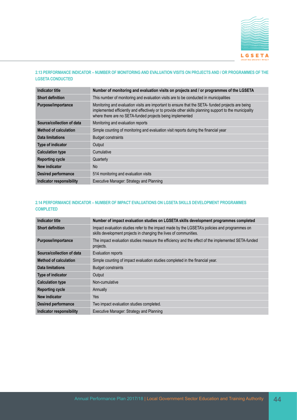

#### **2.13 PERFORMANCE INDICATOR – NUMBER OF MONITORING AND EVALUATION VISITS ON PROJECTS AND / OR PROGRAMMES OF THE LGSETA CONDUCTED**

| Indicator title              | Number of monitoring and evaluation visits on projects and / or programmes of the LGSETA                                                                                                                                                                                  |
|------------------------------|---------------------------------------------------------------------------------------------------------------------------------------------------------------------------------------------------------------------------------------------------------------------------|
| <b>Short definition</b>      | This number of monitoring and evaluation visits are to be conducted in municipalities                                                                                                                                                                                     |
| Purpose/importance           | Monitoring and evaluation visits are important to ensure that the SETA- funded projects are being<br>implemented efficiently and effectively or to provide other skills planning support to the municipality<br>where there are no SETA-funded projects being implemented |
| Source/collection of data    | Monitoring and evaluation reports                                                                                                                                                                                                                                         |
| <b>Method of calculation</b> | Simple counting of monitoring and evaluation visit reports during the financial year                                                                                                                                                                                      |
| Data limitations             | <b>Budget constraints</b>                                                                                                                                                                                                                                                 |
| <b>Type of indicator</b>     | Output                                                                                                                                                                                                                                                                    |
| <b>Calculation type</b>      | Cumulative                                                                                                                                                                                                                                                                |
| <b>Reporting cycle</b>       | Quarterly                                                                                                                                                                                                                                                                 |
| New indicator                | <b>No</b>                                                                                                                                                                                                                                                                 |
| <b>Desired performance</b>   | 514 monitoring and evaluation visits                                                                                                                                                                                                                                      |
| Indicator responsibility     | Executive Manager: Strategy and Planning                                                                                                                                                                                                                                  |

# **2.14 PERFORMANCE INDICATOR – NUMBER OF IMPACT EVALUATIONS ON LGSETA SKILLS DEVELOPMENT PROGRAMMES COMPLETED**

| <b>Indicator title</b>       | Number of impact evaluation studies on LGSETA skills development programmes completed                                                                              |
|------------------------------|--------------------------------------------------------------------------------------------------------------------------------------------------------------------|
| <b>Short definition</b>      | Impact evaluation studies refer to the impact made by the LGSETA's policies and programmes on<br>skills development projects in changing the lives of communities. |
| Purpose/importance           | The impact evaluation studies measure the efficiency and the effect of the implemented SETA-funded<br>projects.                                                    |
| Source/collection of data    | Evaluation reports                                                                                                                                                 |
| <b>Method of calculation</b> | Simple counting of impact evaluation studies completed in the financial year.                                                                                      |
| Data limitations             | <b>Budget constraints</b>                                                                                                                                          |
| <b>Type of indicator</b>     | Output                                                                                                                                                             |
| <b>Calculation type</b>      | Non-cumulative                                                                                                                                                     |
| <b>Reporting cycle</b>       | Annually                                                                                                                                                           |
| New indicator                | Yes                                                                                                                                                                |
| <b>Desired performance</b>   | Two impact evaluation studies completed.                                                                                                                           |
| Indicator responsibility     | Executive Manager: Strategy and Planning                                                                                                                           |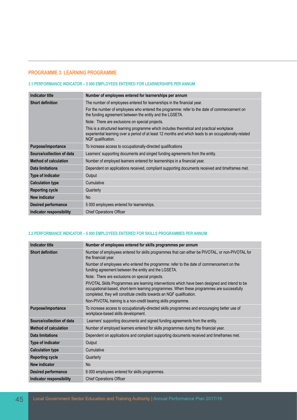# **PROGRAMME 3: LEARNING PROGRAMME**

#### **3.1 PERFORMANCE INDICATOR – 5 000 EMPLOYEES ENTERED FOR LEARNERSHIPS PER ANNUM**

| Indicator title              | Number of employees entered for learnerships per annum                                                                                                                                                                     |
|------------------------------|----------------------------------------------------------------------------------------------------------------------------------------------------------------------------------------------------------------------------|
| <b>Short definition</b>      | The number of employees entered for learnerships in the financial year.                                                                                                                                                    |
|                              | For the number of employees who entered the programme: refer to the date of commencement on<br>the funding agreement between the entity and the LGSETA.                                                                    |
|                              | Note: There are exclusions on special projects.                                                                                                                                                                            |
|                              | This is a structured learning programme which includes theoretical and practical workplace<br>experiential learning over a period of at least 12 months and which leads to an occupationally-related<br>NQF qualification. |
| Purpose/importance           | To increase access to occupationally-directed qualifications                                                                                                                                                               |
| Source/collection of data    | Learners' supporting documents and singed funding agreements from the entity.                                                                                                                                              |
| <b>Method of calculation</b> | Number of employed learners entered for learnerships in a financial year.                                                                                                                                                  |
| Data limitations             | Dependent on applications received, compliant supporting documents received and timeframes met.                                                                                                                            |
| Type of indicator            | Output                                                                                                                                                                                                                     |
| <b>Calculation type</b>      | Cumulative                                                                                                                                                                                                                 |
| <b>Reporting cycle</b>       | Quarterly                                                                                                                                                                                                                  |
| New indicator                | N <sub>o</sub>                                                                                                                                                                                                             |
| <b>Desired performance</b>   | 5 000 employees entered for learnerships.                                                                                                                                                                                  |
| Indicator responsibility     | <b>Chief Operations Officer</b>                                                                                                                                                                                            |

## **3.2 PERFORMANCE INDICATOR – 6 000 EMPLOYEES ENTERED FOR SKILLS PROGRAMMES PER ANNUM**

| <b>Indicator title</b>       | Number of employees entered for skills programmes per annum                                                                                                                                                                                                           |
|------------------------------|-----------------------------------------------------------------------------------------------------------------------------------------------------------------------------------------------------------------------------------------------------------------------|
| <b>Short definition</b>      | Number of employees entered for skills programmes that can either be PIVOTAL, or non-PIVOTAL for<br>the financial year.                                                                                                                                               |
|                              | Number of employees who entered the programme: refer to the date of commencement on the<br>funding agreement between the entity and the LGSETA.                                                                                                                       |
|                              | Note: There are exclusions on special projects.                                                                                                                                                                                                                       |
|                              | PIVOTAL Skills Programmes are learning interventions which have been designed and intend to be<br>occupational-based, short-term learning programmes. When these programmes are successfully<br>completed, they will constitute credits towards an NQF qualification. |
|                              | Non-PIVOTAL training is a non-credit bearing skills programme.                                                                                                                                                                                                        |
| Purpose/importance           | To increase access to occupationally-directed skills programmes and encouraging better use of<br>workplace-based skills development.                                                                                                                                  |
| Source/collection of data    | Learners' supporting documents and signed funding agreements from the entity.                                                                                                                                                                                         |
| <b>Method of calculation</b> | Number of employed learners entered for skills programmes during the financial year.                                                                                                                                                                                  |
| Data limitations             | Dependent on applications and compliant supporting documents received and timeframes met.                                                                                                                                                                             |
| Type of indicator            | Output                                                                                                                                                                                                                                                                |
| <b>Calculation type</b>      | Cumulative                                                                                                                                                                                                                                                            |
| <b>Reporting cycle</b>       | Quarterly                                                                                                                                                                                                                                                             |
| New indicator                | <b>No</b>                                                                                                                                                                                                                                                             |
| <b>Desired performance</b>   | 6 000 employees entered for skills programmes.                                                                                                                                                                                                                        |
| Indicator responsibility     | <b>Chief Operations Officer</b>                                                                                                                                                                                                                                       |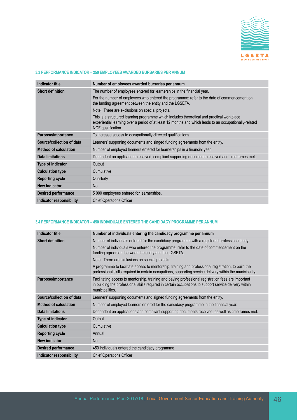

#### **3.3 PERFORMANCE INDICATOR – 250 EMPLOYEES AWARDED BURSARIES PER ANNUM**

| <b>Indicator title</b>       | Number of employees awarded bursaries per annum                                                                                                                                                                            |
|------------------------------|----------------------------------------------------------------------------------------------------------------------------------------------------------------------------------------------------------------------------|
| <b>Short definition</b>      | The number of employees entered for learnerships in the financial year.                                                                                                                                                    |
|                              | For the number of employees who entered the programme: refer to the date of commencement on<br>the funding agreement between the entity and the LGSETA.                                                                    |
|                              | Note: There are exclusions on special projects.                                                                                                                                                                            |
|                              | This is a structured learning programme which includes theoretical and practical workplace<br>experiential learning over a period of at least 12 months and which leads to an occupationally-related<br>NQF qualification. |
| Purpose/importance           | To increase access to occupationally-directed qualifications                                                                                                                                                               |
| Source/collection of data    | Learners' supporting documents and singed funding agreements from the entity.                                                                                                                                              |
| <b>Method of calculation</b> | Number of employed learners entered for learnerships in a financial year.                                                                                                                                                  |
| Data limitations             | Dependent on applications received, compliant supporting documents received and timeframes met.                                                                                                                            |
| <b>Type of indicator</b>     | Output                                                                                                                                                                                                                     |
| <b>Calculation type</b>      | Cumulative                                                                                                                                                                                                                 |
| <b>Reporting cycle</b>       | Quarterly                                                                                                                                                                                                                  |
| New indicator                | <b>No</b>                                                                                                                                                                                                                  |
| <b>Desired performance</b>   | 5 000 employees entered for learnerships.                                                                                                                                                                                  |
| Indicator responsibility     | <b>Chief Operations Officer</b>                                                                                                                                                                                            |

#### **3.4 PERFORMANCE INDICATOR – 450 INDIVIDUALS ENTERED THE CANDIDACY PROGRAMME PER ANNUM**

| Indicator title              | Number of individuals entering the candidacy programme per annum                                                                                                                                                                 |
|------------------------------|----------------------------------------------------------------------------------------------------------------------------------------------------------------------------------------------------------------------------------|
| <b>Short definition</b>      | Number of individuals entered for the candidacy programme with a registered professional body.                                                                                                                                   |
|                              | Number of individuals who entered the programme: refer to the date of commencement on the<br>funding agreement between the entity and the LGSETA.                                                                                |
|                              | Note: There are exclusions on special projects.                                                                                                                                                                                  |
|                              | A programme to facilitate access to mentorship, training and professional registration, to build the<br>professional skills required in certain occupations, supporting service delivery within the municipality.                |
| Purpose/importance           | Facilitating access to mentorship, training and paying professional registration fees are important<br>in building the professional skills required in certain occupations to support service delivery within<br>municipalities. |
| Source/collection of data    | Learners' supporting documents and signed funding agreements from the entity.                                                                                                                                                    |
| <b>Method of calculation</b> | Number of employed learners entered for the candidacy programme in the financial year.                                                                                                                                           |
| Data limitations             | Dependent on applications and compliant supporting documents received, as well as timeframes met.                                                                                                                                |
| Type of indicator            | Output                                                                                                                                                                                                                           |
| <b>Calculation type</b>      | Cumulative                                                                                                                                                                                                                       |
| <b>Reporting cycle</b>       | Annual                                                                                                                                                                                                                           |
| New indicator                | <b>No</b>                                                                                                                                                                                                                        |
| <b>Desired performance</b>   | 450 individuals entered the candidacy programme                                                                                                                                                                                  |
| Indicator responsibility     | <b>Chief Operations Officer</b>                                                                                                                                                                                                  |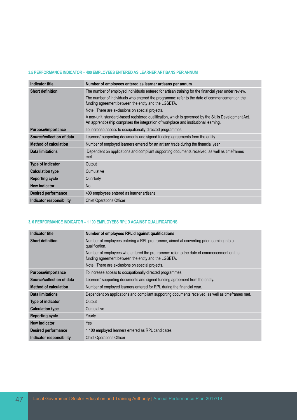#### **3.5 PERFORMANCE INDICATOR – 400 EMPLOYEES ENTERED AS LEARNER ARTISANS PER ANNUM**

| <b>Indicator title</b>       | Number of employees entered as learner artisans per annum                                                                                                                                     |
|------------------------------|-----------------------------------------------------------------------------------------------------------------------------------------------------------------------------------------------|
| <b>Short definition</b>      | The number of employed individuals entered for artisan training for the financial year under review.                                                                                          |
|                              | The number of individuals who entered the programme: refer to the date of commencement on the<br>funding agreement between the entity and the LGSETA.                                         |
|                              | Note: There are exclusions on special projects.                                                                                                                                               |
|                              | A non-unit, standard-based registered qualification, which is governed by the Skills Development Act.<br>An apprenticeship comprises the integration of workplace and institutional learning. |
| Purpose/importance           | To increase access to occupationally-directed programmes.                                                                                                                                     |
| Source/collection of data    | Learners' supporting documents and signed funding agreements from the entity.                                                                                                                 |
| <b>Method of calculation</b> | Number of employed learners entered for an artisan trade during the financial year.                                                                                                           |
| <b>Data limitations</b>      | Dependent on applications and compliant supporting documents received, as well as timeframes<br>met.                                                                                          |
| Type of indicator            | Output                                                                                                                                                                                        |
| <b>Calculation type</b>      | Cumulative                                                                                                                                                                                    |
| <b>Reporting cycle</b>       | Quarterly                                                                                                                                                                                     |
| New indicator                | <b>No</b>                                                                                                                                                                                     |
| <b>Desired performance</b>   | 400 employees entered as learner artisans                                                                                                                                                     |
| Indicator responsibility     | <b>Chief Operations Officer</b>                                                                                                                                                               |

#### **3. 6 PERFORMANCE INDICATOR – 1 100 EMPLOYEES RPL'D AGAINST QUALIFICATIONS**

| <b>Indicator title</b>       | Number of employees RPL'd against qualifications                                                                                                |
|------------------------------|-------------------------------------------------------------------------------------------------------------------------------------------------|
| <b>Short definition</b>      | Number of employees entering a RPL programme, aimed at converting prior learning into a<br>qualification.                                       |
|                              | Number of employees who entered the programme: refer to the date of commencement on the<br>funding agreement between the entity and the LGSETA. |
|                              | Note: There are exclusions on special projects.                                                                                                 |
| Purpose/importance           | To increase access to occupationally-directed programmes.                                                                                       |
| Source/collection of data    | Learners' supporting documents and signed funding agreement from the entity.                                                                    |
| <b>Method of calculation</b> | Number of employed learners entered for RPL during the financial year.                                                                          |
| <b>Data limitations</b>      | Dependent on applications and compliant supporting documents received, as well as timeframes met.                                               |
| Type of indicator            | Output                                                                                                                                          |
| <b>Calculation type</b>      | Cumulative                                                                                                                                      |
| <b>Reporting cycle</b>       | Yearly                                                                                                                                          |
| New indicator                | Yes                                                                                                                                             |
| <b>Desired performance</b>   | 1 100 employed learners entered as RPL candidates                                                                                               |
| Indicator responsibility     | <b>Chief Operations Officer</b>                                                                                                                 |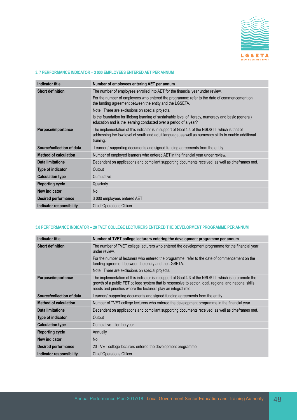

#### **3. 7 PERFORMANCE INDICATOR – 3 000 EMPLOYEES ENTERED AET PER ANNUM**

| <b>Indicator title</b>       | Number of employees entering AET per annum                                                                                                                                                                             |
|------------------------------|------------------------------------------------------------------------------------------------------------------------------------------------------------------------------------------------------------------------|
| <b>Short definition</b>      | The number of employees enrolled into AET for the financial year under review.                                                                                                                                         |
|                              | For the number of employees who entered the programme: refer to the date of commencement on<br>the funding agreement between the entity and the LGSETA.                                                                |
|                              | Note: There are exclusions on special projects.                                                                                                                                                                        |
|                              | Is the foundation for lifelong learning of sustainable level of literacy, numeracy and basic (general)<br>education and is the learning conducted over a period of a year?                                             |
| Purpose/importance           | The implementation of this indicator is in support of Goal 4.4 of the NSDS III, which is that of<br>addressing the low level of youth and adult language, as well as numeracy skills to enable additional<br>training. |
| Source/collection of data    | Learners' supporting documents and signed funding agreements from the entity.                                                                                                                                          |
| <b>Method of calculation</b> | Number of employed learners who entered AET in the financial year under review.                                                                                                                                        |
| <b>Data limitations</b>      | Dependent on applications and compliant supporting documents received, as well as timeframes met.                                                                                                                      |
| Type of indicator            | Output                                                                                                                                                                                                                 |
| <b>Calculation type</b>      | Cumulative                                                                                                                                                                                                             |
| <b>Reporting cycle</b>       | Quarterly                                                                                                                                                                                                              |
| New indicator                | <b>No</b>                                                                                                                                                                                                              |
| <b>Desired performance</b>   | 3 000 employees entered AET                                                                                                                                                                                            |
| Indicator responsibility     | <b>Chief Operations Officer</b>                                                                                                                                                                                        |

## **3.8 PERFORMANCE INDICATOR – 20 TVET COLLEGE LECTURERS ENTERED THE DEVELOPMENT PROGRAMME PER ANNUM**

| Indicator title              | Number of TVET college lecturers entering the development programme per annum                                                                                                                                                                                                         |
|------------------------------|---------------------------------------------------------------------------------------------------------------------------------------------------------------------------------------------------------------------------------------------------------------------------------------|
| <b>Short definition</b>      | The number of TVET college lecturers who entered the development programme for the financial year<br>under review.                                                                                                                                                                    |
|                              | For the number of lecturers who entered the programme: refer to the date of commencement on the<br>funding agreement between the entity and the LGSETA.                                                                                                                               |
|                              | Note: There are exclusions on special projects.                                                                                                                                                                                                                                       |
| Purpose/importance           | The implementation of this indicator is in support of Goal 4.3 of the NSDS III, which is to promote the<br>growth of a public FET college system that is responsive to sector, local, regional and national skills<br>needs and priorities where the lecturers play an integral role. |
| Source/collection of data    | Learners' supporting documents and signed funding agreements from the entity.                                                                                                                                                                                                         |
| <b>Method of calculation</b> | Number of TVET college lecturers who entered the development programme in the financial year.                                                                                                                                                                                         |
| Data limitations             | Dependent on applications and compliant supporting documents received, as well as timeframes met.                                                                                                                                                                                     |
| <b>Type of indicator</b>     | Output                                                                                                                                                                                                                                                                                |
| <b>Calculation type</b>      | Cumulative – for the year                                                                                                                                                                                                                                                             |
| <b>Reporting cycle</b>       | Annually                                                                                                                                                                                                                                                                              |
| New indicator                | <b>No</b>                                                                                                                                                                                                                                                                             |
| <b>Desired performance</b>   | 20 TVET college lecturers entered the development programme                                                                                                                                                                                                                           |
| Indicator responsibility     | <b>Chief Operations Officer</b>                                                                                                                                                                                                                                                       |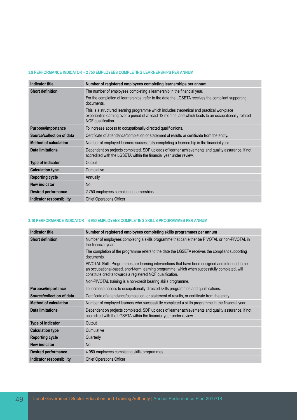#### **3.9 PERFORMANCE INDICATOR – 2 750 EMPLOYEES COMPLETING LEARNERSHIPS PER ANNUM**

| <b>Indicator title</b>       | Number of registered employees completing learnerships per annum                                                                                                                                                            |
|------------------------------|-----------------------------------------------------------------------------------------------------------------------------------------------------------------------------------------------------------------------------|
| <b>Short definition</b>      | The number of employees completing a learnership in the financial year.                                                                                                                                                     |
|                              | For the completion of learnerships: refer to the date the LGSETA receives the compliant supporting<br>documents.                                                                                                            |
|                              | This is a structured learning programme which includes theoretical and practical workplace<br>experiential learning over a period of at least 12 months, and which leads to an occupationally-related<br>NQF qualification. |
| Purpose/importance           | To increase access to occupationally-directed qualifications.                                                                                                                                                               |
| Source/collection of data    | Certificate of attendance/completion or statement of results or certificate from the entity.                                                                                                                                |
| <b>Method of calculation</b> | Number of employed learners successfully completing a learnership in the financial year.                                                                                                                                    |
| Data limitations             | Dependent on projects completed, SDP uploads of learner achievements and quality assurance, if not<br>accredited with the LGSETA within the financial year under review.                                                    |
| <b>Type of indicator</b>     | Output                                                                                                                                                                                                                      |
| <b>Calculation type</b>      | Cumulative                                                                                                                                                                                                                  |
| <b>Reporting cycle</b>       | Annually                                                                                                                                                                                                                    |
| <b>New indicator</b>         | <b>No</b>                                                                                                                                                                                                                   |
| <b>Desired performance</b>   | 2750 employees completing learnerships                                                                                                                                                                                      |
| Indicator responsibility     | <b>Chief Operations Officer</b>                                                                                                                                                                                             |

#### **3.10 PERFORMANCE INDICATOR – 4 950 EMPLOYEES COMPLETING SKILLS PROGRAMMES PER ANNUM**

| <b>Indicator title</b>       | Number of registered employees completing skills programmes per annum                                                                                                                                                                                          |
|------------------------------|----------------------------------------------------------------------------------------------------------------------------------------------------------------------------------------------------------------------------------------------------------------|
| <b>Short definition</b>      | Number of employees completing a skills programme that can either be PIVOTAL or non-PIVOTAL in<br>the financial year.                                                                                                                                          |
|                              | The completion of the programme refers to the date the LGSETA receives the compliant supporting<br>documents.                                                                                                                                                  |
|                              | PIVOTAL Skills Programmes are learning interventions that have been designed and intended to be<br>an occupational-based, short-term learning programme, which when successfully completed, will<br>constitute credits towards a registered NQF qualification. |
|                              | Non-PIVOTAL training is a non-credit bearing skills programme.                                                                                                                                                                                                 |
| Purpose/importance           | To increase access to occupationally-directed skills programmes and qualifications.                                                                                                                                                                            |
| Source/collection of data    | Certificate of attendance/completion, or statement of results, or certificate from the entity.                                                                                                                                                                 |
| <b>Method of calculation</b> | Number of employed learners who successfully completed a skills programme in the financial year.                                                                                                                                                               |
| <b>Data limitations</b>      | Dependent on projects completed, SDP uploads of learner achievements and quality assurance, if not<br>accredited with the LGSETA within the financial year under review.                                                                                       |
| Type of indicator            | Output                                                                                                                                                                                                                                                         |
| <b>Calculation type</b>      | Cumulative                                                                                                                                                                                                                                                     |
| <b>Reporting cycle</b>       | Quarterly                                                                                                                                                                                                                                                      |
| New indicator                | <b>No</b>                                                                                                                                                                                                                                                      |
| <b>Desired performance</b>   | 4 950 employees completing skills programmes                                                                                                                                                                                                                   |
| Indicator responsibility     | <b>Chief Operations Officer</b>                                                                                                                                                                                                                                |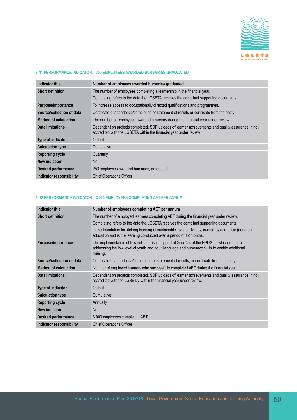

#### **3. 11 PERFORMANCE INDICATOR – 250 EMPLOYEES AWARDED BURSARIES GRADUATED**

| Indicator title              | Number of employees awarded bursaries graduated                                                                                                                          |
|------------------------------|--------------------------------------------------------------------------------------------------------------------------------------------------------------------------|
| <b>Short definition</b>      | The number of employees completing a learnership in the financial year.                                                                                                  |
|                              | Completing refers to the date the LGSETA receives the compliant supporting documents.                                                                                    |
| Purpose/importance           | To increase access to occupationally-directed qualifications and programmes.                                                                                             |
| Source/collection of data    | Certificate of attendance/completion or statement of results or certificate from the entity                                                                              |
| <b>Method of calculation</b> | The number of employees awarded a bursary during the financial year under review.                                                                                        |
| Data limitations             | Dependent on projects completed. SDP uploads of learner achievements and quality assurance, if not<br>accredited with the LGSETA within the financial year under review. |
| <b>Type of indicator</b>     | Output                                                                                                                                                                   |
| <b>Calculation type</b>      | Cumulative                                                                                                                                                               |
| <b>Reporting cycle</b>       | Quarterly                                                                                                                                                                |
| New indicator                | <b>No</b>                                                                                                                                                                |
| <b>Desired performance</b>   | 250 employees awarded bursaries, graduated                                                                                                                               |
| Indicator responsibility     | <b>Chief Operations Officer</b>                                                                                                                                          |

#### **3. 12 PERFORMANCE INDICATOR – 3 000 EMPLOYEES COMPLETING AET PER ANNUM**

| <b>Indicator title</b>       | Number of employees completing AET per annum                                                                                                                                                                   |
|------------------------------|----------------------------------------------------------------------------------------------------------------------------------------------------------------------------------------------------------------|
| <b>Short definition</b>      | The number of employed learners completing AET during the financial year under review.                                                                                                                         |
|                              | Completing refers to the date the LGSETA receives the compliant supporting documents.                                                                                                                          |
|                              | Is the foundation for lifelong learning of sustainable level of literacy, numeracy and basic (general)<br>education and is the learning conducted over a period of 12 months.                                  |
| Purpose/importance           | The implementation of this indicator is in support of Goal 4.4 of the NSDS III, which is that of<br>addressing the low level of youth and adult language and numeracy skills to enable additional<br>training. |
| Source/collection of data    | Certificate of attendance/completion or statement of results, or certificate from the entity.                                                                                                                  |
| <b>Method of calculation</b> | Number of employed learners who successfully completed AET during the financial year.                                                                                                                          |
| Data limitations             | Dependent on projects completed, SDP uploads of learner achievements and quality assurance, if not<br>accredited with the LGSETA, within the financial year under review.                                      |
| Type of indicator            | Output                                                                                                                                                                                                         |
| <b>Calculation type</b>      | Cumulative                                                                                                                                                                                                     |
| <b>Reporting cycle</b>       | Annually                                                                                                                                                                                                       |
| <b>New indicator</b>         | N <sub>o</sub>                                                                                                                                                                                                 |
| <b>Desired performance</b>   | 3 000 employees completing AET                                                                                                                                                                                 |
| Indicator responsibility     | <b>Chief Operations Officer</b>                                                                                                                                                                                |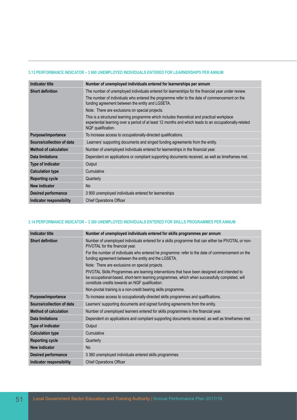#### **3.13 PERFORMANCE INDICATOR – 3 900 UNEMPLOYED INDIVIDUALS ENTERED FOR LEARNERSHIPS PER ANNUM**

| <b>Indicator title</b>       | Number of unemployed individuals entered for learnerships per annum                                                                                                                                                        |
|------------------------------|----------------------------------------------------------------------------------------------------------------------------------------------------------------------------------------------------------------------------|
| <b>Short definition</b>      | The number of unemployed individuals entered for learnerships for the financial year under review.                                                                                                                         |
|                              | The number of individuals who entered the programme refer to the date of commencement on the<br>funding agreement between the entity and LGSETA.                                                                           |
|                              | Note: There are exclusions on special projects.                                                                                                                                                                            |
|                              | This is a structured learning programme which includes theoretical and practical workplace<br>experiential learning over a period of at least 12 months and which leads to an occupationally-related<br>NQF qualification. |
| Purpose/importance           | To increase access to occupationally-directed qualifications.                                                                                                                                                              |
| Source/collection of data    | Learners' supporting documents and singed funding agreements from the entity.                                                                                                                                              |
| <b>Method of calculation</b> | Number of unemployed individuals entered for learnerships in the financial year.                                                                                                                                           |
| Data limitations             | Dependent on applications or compliant supporting documents received, as well as timeframes met.                                                                                                                           |
| Type of indicator            | Output                                                                                                                                                                                                                     |
| <b>Calculation type</b>      | Cumulative                                                                                                                                                                                                                 |
| <b>Reporting cycle</b>       | Quarterly                                                                                                                                                                                                                  |
| New indicator                | No.                                                                                                                                                                                                                        |
| <b>Desired performance</b>   | 3 900 unemployed individuals entered for learnerships                                                                                                                                                                      |
| Indicator responsibility     | <b>Chief Operations Officer</b>                                                                                                                                                                                            |

## **3.14 PERFORMANCE INDICATOR – 3 360 UNEMPLOYED INDIVIDUALS ENTERED FOR SKILLS PROGRAMMES PER ANNUM**

| <b>Indicator title</b>       | Number of unemployed individuals entered for skills programmes per annum                                                                                                                                                                           |
|------------------------------|----------------------------------------------------------------------------------------------------------------------------------------------------------------------------------------------------------------------------------------------------|
| <b>Short definition</b>      | Number of unemployed individuals entered for a skills programme that can either be PIVOTAL or non-<br>PIVOTAL for the financial year.                                                                                                              |
|                              | For the number of individuals who entered he programme: refer to the date of commencement on the<br>funding agreement between the entity and the LGSETA.                                                                                           |
|                              | Note: There are exclusions on special projects.                                                                                                                                                                                                    |
|                              | PIVOTAL Skills Programmes are learning interventions that have been designed and intended to<br>be occupational-based, short-term learning programmes, which when successfully completed, will<br>constitute credits towards an NQF qualification. |
|                              | Non-pivotal training is a non-credit bearing skills programme.                                                                                                                                                                                     |
| Purpose/importance           | To increase access to occupationally-directed skills programmes and qualifications.                                                                                                                                                                |
| Source/collection of data    | Learners' supporting documents and signed funding agreements from the entity.                                                                                                                                                                      |
| <b>Method of calculation</b> | Number of unemployed learners entered for skills programmes in the financial year.                                                                                                                                                                 |
| <b>Data limitations</b>      | Dependent on applications and compliant supporting documents received, as well as timeframes met.                                                                                                                                                  |
| Type of indicator            | Output                                                                                                                                                                                                                                             |
| <b>Calculation type</b>      | Cumulative                                                                                                                                                                                                                                         |
| <b>Reporting cycle</b>       | Quarterly                                                                                                                                                                                                                                          |
| <b>New indicator</b>         | N <sub>o</sub>                                                                                                                                                                                                                                     |
| <b>Desired performance</b>   | 3 360 unemployed individuals entered skills programmes                                                                                                                                                                                             |
| Indicator responsibility     | <b>Chief Operations Officer</b>                                                                                                                                                                                                                    |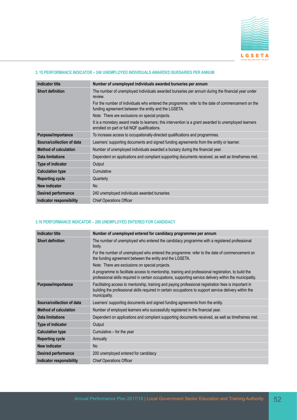

### **3. 15 PERFORMANCE INDICATOR – 240 UNEMPLOYED INDIVIDUALS AWARDED BURSARIES PER ANNUM**

| <b>Indicator title</b>       | Number of unemployed individuals awarded bursaries per annum                                                                                              |
|------------------------------|-----------------------------------------------------------------------------------------------------------------------------------------------------------|
| <b>Short definition</b>      | The number of unemployed individuals awarded bursaries per annum during the financial year under<br>review.                                               |
|                              | For the number of individuals who entered the programme: refer to the date of commencement on the<br>funding agreement between the entity and the LGSETA. |
|                              | Note: There are exclusions on special projects.                                                                                                           |
|                              | It is a monetary award made to learners; this intervention is a grant awarded to unemployed learners<br>enrolled on part or full NQF qualifications.      |
| Purpose/importance           | To increase access to occupationally-directed qualifications and programmes.                                                                              |
| Source/collection of data    | Learners' supporting documents and signed funding agreements from the entity or learner.                                                                  |
| <b>Method of calculation</b> | Number of unemployed individuals awarded a bursary during the financial year.                                                                             |
| Data limitations             | Dependent on applications and compliant supporting documents received, as well as timeframes met.                                                         |
| Type of indicator            | Output                                                                                                                                                    |
| <b>Calculation type</b>      | Cumulative                                                                                                                                                |
| <b>Reporting cycle</b>       | Quarterly                                                                                                                                                 |
| New indicator                | No                                                                                                                                                        |
| <b>Desired performance</b>   | 240 unemployed individuals awarded bursaries                                                                                                              |
| Indicator responsibility     | <b>Chief Operations Officer</b>                                                                                                                           |

#### **3.16 PERFORMANCE INDICATOR – 200 UNEMPLOYED ENTERED FOR CANDIDACY**

| <b>Indicator title</b>       | Number of unemployed entered for candidacy programmes per annum                                                                                                                                                                   |
|------------------------------|-----------------------------------------------------------------------------------------------------------------------------------------------------------------------------------------------------------------------------------|
| <b>Short definition</b>      | The number of unemployed who entered the candidacy programme with a registered professional<br>body.                                                                                                                              |
|                              | For the number of unemployed who entered the programme: refer to the date of commencement on<br>the funding agreement between the entity and the LGSETA.                                                                          |
|                              | Note: There are exclusions on special projects.                                                                                                                                                                                   |
|                              | A programme to facilitate access to mentorship, training and professional registration, to build the<br>professional skills required in certain occupations, supporting service delivery within the municipality.                 |
| Purpose/importance           | Facilitating access to mentorship, training and paying professional registration fees is important in<br>building the professional skills required in certain occupations to support service delivery within the<br>municipality. |
| Source/collection of data    | Learners' supporting documents and signed funding agreements from the entity.                                                                                                                                                     |
| <b>Method of calculation</b> | Number of employed learners who successfully registered in the financial year.                                                                                                                                                    |
| Data limitations             | Dependent on applications and compliant supporting documents received, as well as timeframes met.                                                                                                                                 |
| <b>Type of indicator</b>     | Output                                                                                                                                                                                                                            |
| <b>Calculation type</b>      | Cumulative – for the year                                                                                                                                                                                                         |
| <b>Reporting cycle</b>       | Annually                                                                                                                                                                                                                          |
| <b>New indicator</b>         | <b>No</b>                                                                                                                                                                                                                         |
| <b>Desired performance</b>   | 200 unemployed entered for candidacy                                                                                                                                                                                              |
| Indicator responsibility     | <b>Chief Operations Officer</b>                                                                                                                                                                                                   |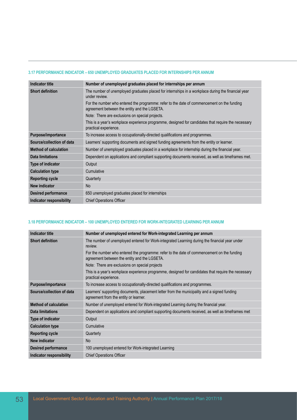#### **3.17 PERFORMANCE INDICATOR – 650 UNEMPLOYED GRADUATES PLACED FOR INTERNSHIPS PER ANNUM**

| <b>Indicator title</b>       | Number of unemployed graduates placed for internships per annum                                                                            |
|------------------------------|--------------------------------------------------------------------------------------------------------------------------------------------|
| <b>Short definition</b>      | The number of unemployed graduates placed for internships in a workplace during the financial year<br>under review.                        |
|                              | For the number who entered the programme: refer to the date of commencement on the funding<br>agreement between the entity and the LGSETA. |
|                              | Note: There are exclusions on special projects.                                                                                            |
|                              | This is a year's workplace experience programme, designed for candidates that require the necessary<br>practical experience.               |
| Purpose/importance           | To increase access to occupationally-directed qualifications and programmes.                                                               |
| Source/collection of data    | Learners' supporting documents and signed funding agreements from the entity or learner.                                                   |
| <b>Method of calculation</b> | Number of unemployed graduates placed in a workplace for internship during the financial year.                                             |
| Data limitations             | Dependent on applications and compliant supporting documents received, as well as timeframes met.                                          |
| <b>Type of indicator</b>     | Output                                                                                                                                     |
| <b>Calculation type</b>      | Cumulative                                                                                                                                 |
| <b>Reporting cycle</b>       | Quarterly                                                                                                                                  |
| New indicator                | No.                                                                                                                                        |
| <b>Desired performance</b>   | 650 unemployed graduates placed for internships                                                                                            |
| Indicator responsibility     | <b>Chief Operations Officer</b>                                                                                                            |

#### **3.18 PERFORMANCE INDICATOR – 100 UNEMPLOYED ENTERED FOR WORK-INTEGRATED LEARNING PER ANNUM**

| <b>Indicator title</b>       | Number of unemployed entered for Work-integrated Learning per annum                                                                        |
|------------------------------|--------------------------------------------------------------------------------------------------------------------------------------------|
| <b>Short definition</b>      | The number of unemployed entered for Work-integrated Learning during the financial year under<br>review.                                   |
|                              | For the number who entered the programme: refer to the date of commencement on the funding<br>agreement between the entity and the LGSETA. |
|                              | Note: There are exclusions on special projects                                                                                             |
|                              | This is a year's workplace experience programme, designed for candidates that require the necessary<br>practical experience.               |
| Purpose/importance           | To increase access to occupationally-directed qualifications and programmes.                                                               |
| Source/collection of data    | Learners' supporting documents, placement letter from the municipality and a signed funding<br>agreement from the entity or learner.       |
| <b>Method of calculation</b> | Number of unemployed entered for Work-integrated Learning during the financial year.                                                       |
| <b>Data limitations</b>      | Dependent on applications and compliant supporting documents received, as well as timeframes met                                           |
| Type of indicator            | Output                                                                                                                                     |
| <b>Calculation type</b>      | Cumulative                                                                                                                                 |
| <b>Reporting cycle</b>       | Quarterly                                                                                                                                  |
| <b>New indicator</b>         | <b>No</b>                                                                                                                                  |
| <b>Desired performance</b>   | 100 unemployed entered for Work-integrated Learning                                                                                        |
| Indicator responsibility     | <b>Chief Operations Officer</b>                                                                                                            |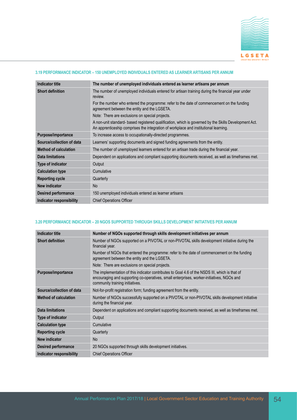

## **3.19 PERFORMANCE INDICATOR – 150 UNEMPLOYED INDIVIDUALS ENTERED AS LEARNER ARTISANS PER ANNUM**

| <b>Indicator title</b>       | The number of unemployed individuals entered as learner artisans per annum                                                                                                                    |
|------------------------------|-----------------------------------------------------------------------------------------------------------------------------------------------------------------------------------------------|
| <b>Short definition</b>      | The number of unemployed individuals entered for artisan training during the financial year under<br>review.                                                                                  |
|                              | For the number who entered the programme: refer to the date of commencement on the funding<br>agreement between the entity and the LGSETA.                                                    |
|                              | Note: There are exclusions on special projects.                                                                                                                                               |
|                              | A non-unit standard- based registered qualification, which is governed by the Skills Development Act.<br>An apprenticeship comprises the integration of workplace and institutional learning. |
| Purpose/importance           | To increase access to occupationally-directed programmes.                                                                                                                                     |
| Source/collection of data    | Learners' supporting documents and signed funding agreements from the entity.                                                                                                                 |
| <b>Method of calculation</b> | The number of unemployed learners entered for an artisan trade during the financial year.                                                                                                     |
| Data limitations             | Dependent on applications and compliant supporting documents received, as well as timeframes met.                                                                                             |
| Type of indicator            | Output                                                                                                                                                                                        |
| <b>Calculation type</b>      | Cumulative                                                                                                                                                                                    |
| <b>Reporting cycle</b>       | Quarterly                                                                                                                                                                                     |
| New indicator                | <b>No</b>                                                                                                                                                                                     |
| <b>Desired performance</b>   | 150 unemployed individuals entered as learner artisans                                                                                                                                        |
| Indicator responsibility     | <b>Chief Operations Officer</b>                                                                                                                                                               |

#### **3.20 PERFORMANCE INDICATOR – 20 NGOS SUPPORTED THROUGH SKILLS DEVELOPMENT INITIATIVES PER ANNUM**

| <b>Indicator title</b>       | Number of NGOs supported through skills development initiatives per annum                                                                                                                                                      |
|------------------------------|--------------------------------------------------------------------------------------------------------------------------------------------------------------------------------------------------------------------------------|
| <b>Short definition</b>      | Number of NGOs supported on a PIVOTAL or non-PIVOTAL skills development initiative during the<br>financial year.                                                                                                               |
|                              | Number of NGOs that entered the programme: refer to the date of commencement on the funding<br>agreement between the entity and the LGSETA.                                                                                    |
|                              | Note: There are exclusions on special projects.                                                                                                                                                                                |
| Purpose/importance           | The implementation of this indicator contributes to Goal 4.6 of the NSDS III, which is that of<br>encouraging and supporting co-operatives, small enterprises, worker-initiatives, NGOs and<br>community training initiatives. |
| Source/collection of data    | Not-for-profit registration form; funding agreement from the entity.                                                                                                                                                           |
| <b>Method of calculation</b> | Number of NGOs successfully supported on a PIVOTAL or non-PIVOTAL skills development initiative<br>during the financial year.                                                                                                  |
| <b>Data limitations</b>      | Dependent on applications and compliant supporting documents received, as well as timeframes met.                                                                                                                              |
| Type of indicator            | Output                                                                                                                                                                                                                         |
| <b>Calculation type</b>      | Cumulative                                                                                                                                                                                                                     |
| <b>Reporting cycle</b>       | Quarterly                                                                                                                                                                                                                      |
| <b>New indicator</b>         | <b>No</b>                                                                                                                                                                                                                      |
| <b>Desired performance</b>   | 20 NGOs supported through skills development initiatives.                                                                                                                                                                      |
| Indicator responsibility     | <b>Chief Operations Officer</b>                                                                                                                                                                                                |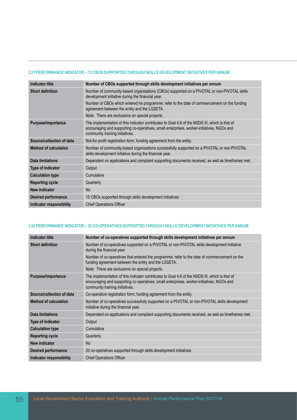#### **3.21 PERFORMANCE INDICATOR – 15 CBOS SUPPORTED THROUGH SKILLS DEVELOPMENT INITIATIVES PER ANNUM**

| <b>Indicator title</b>       | Number of CBOs supported through skills development initiatives per annum                                                                                                                                                      |
|------------------------------|--------------------------------------------------------------------------------------------------------------------------------------------------------------------------------------------------------------------------------|
| <b>Short definition</b>      | Number of community-based organisations (CBOs) supported on a PIVOTAL or non-PIVOTAL skills<br>development initiative during the financial year.                                                                               |
|                              | Number of CBOs which entered he programme: refer to the date of commencement on the funding<br>agreement between the entity and the LGSETA.                                                                                    |
|                              | Note: There are exclusions on special projects.                                                                                                                                                                                |
| Purpose/importance           | The implementation of this indicator contributes to Goal 4.6 of the NSDS III, which is that of<br>encouraging and supporting co-operatives, small enterprises, worker-initiatives, NGOs and<br>community training initiatives. |
| Source/collection of data    | Not-for-profit registration form; funding agreement from the entity.                                                                                                                                                           |
| <b>Method of calculation</b> | Number of community-based organisations successfully supported on a PIVOTAL or non-PIVOTAL<br>skills development initiative during the financial year.                                                                         |
| <b>Data limitations</b>      | Dependent on applications and compliant supporting documents received, as well as timeframes met.                                                                                                                              |
| Type of indicator            | Output                                                                                                                                                                                                                         |
| <b>Calculation type</b>      | Cumulative                                                                                                                                                                                                                     |
| <b>Reporting cycle</b>       | Quarterly                                                                                                                                                                                                                      |
| New indicator                | N <sub>o</sub>                                                                                                                                                                                                                 |
| <b>Desired performance</b>   | 15 CBOs supported through skills development initiatives                                                                                                                                                                       |
| Indicator responsibility     | <b>Chief Operations Officer</b>                                                                                                                                                                                                |

#### **3.22 PERFORMANCE INDICATOR – 20 CO-OPERATIVES SUPPORTED THROUGH SKILLS DEVELOPMENT INITIATIVES PER ANNUM**

| <b>Indicator title</b>       | Number of co-operatives supported through skills development initiatives per annum                                                                                                                                             |
|------------------------------|--------------------------------------------------------------------------------------------------------------------------------------------------------------------------------------------------------------------------------|
| <b>Short definition</b>      | Number of co-operatives supported on a PIVOTAL or non-PIVOTAL skills development initiative<br>during the financial year.                                                                                                      |
|                              | Number of co-operatives that entered the programme: refer to the date of commencement on the<br>funding agreement between the entity and the LGSETA.                                                                           |
|                              | Note: There are exclusions on special projects.                                                                                                                                                                                |
| Purpose/importance           | The implementation of this indicator contributes to Goal 4.6 of the NSDS III, which is that of<br>encouraging and supporting co-operatives, small enterprises, worker-initiatives, NGOs and<br>community training initiatives. |
| Source/collection of data    | Co-operative registration form; funding agreement from the entity.                                                                                                                                                             |
| <b>Method of calculation</b> | Number of co-operatives successfully supported on a PIVOTAL or non-PIVOTAL skills development<br>initiative during the financial year.                                                                                         |
| Data limitations             | Dependent on applications and compliant supporting documents received, as well as timeframes met.                                                                                                                              |
| Type of indicator            | Output                                                                                                                                                                                                                         |
| <b>Calculation type</b>      | Cumulative                                                                                                                                                                                                                     |
| <b>Reporting cycle</b>       | Quarterly                                                                                                                                                                                                                      |
| <b>New indicator</b>         | <b>No</b>                                                                                                                                                                                                                      |
| <b>Desired performance</b>   | 20 co-operatives supported through skills development initiatives                                                                                                                                                              |
| Indicator responsibility     | <b>Chief Operations Officer</b>                                                                                                                                                                                                |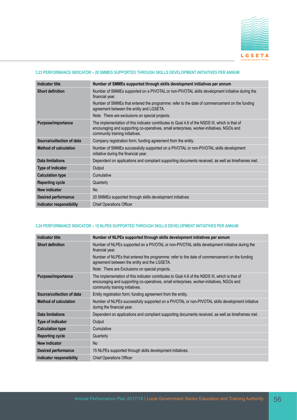

## **3.23 PERFORMANCE INDICATOR – 20 SMMES SUPPORTED THROUGH SKILLS DEVELOPMENT INITIATIVES PER ANNUM**

| <b>Indicator title</b>       | Number of SMMEs supported through skills development initiatives per annum                                                                                                                                                     |
|------------------------------|--------------------------------------------------------------------------------------------------------------------------------------------------------------------------------------------------------------------------------|
| <b>Short definition</b>      | Number of SMMEs supported on a PIVOTAL or non-PIVOTAL skills development initiative during the<br>financial year.                                                                                                              |
|                              | Number of SMMEs that entered the programme: refer to the date of commencement on the funding<br>agreement between the entity and LGSETA.                                                                                       |
|                              | Note: There are exclusions on special projects.                                                                                                                                                                                |
| <b>Purpose/importance</b>    | The implementation of this indicator contributes to Goal 4.6 of the NSDS III, which is that of<br>encouraging and supporting co-operatives, small enterprises, worker-initiatives, NGOs and<br>community training initiatives. |
| Source/collection of data    | Company registration form; funding agreement from the entity.                                                                                                                                                                  |
| <b>Method of calculation</b> | Number of SMMEs successfully supported on a PIVOTAL or non-PIVOTAL skills development<br>initiative during the financial year.                                                                                                 |
| <b>Data limitations</b>      | Dependent on applications and compliant supporting documents received, as well as timeframes met.                                                                                                                              |
| Type of indicator            | Output                                                                                                                                                                                                                         |
| <b>Calculation type</b>      | Cumulative                                                                                                                                                                                                                     |
| <b>Reporting cycle</b>       | Quarterly                                                                                                                                                                                                                      |
| New indicator                | <b>No</b>                                                                                                                                                                                                                      |
| <b>Desired performance</b>   | 20 SMMEs supported through skills development initiatives                                                                                                                                                                      |
| Indicator responsibility     | <b>Chief Operations Officer</b>                                                                                                                                                                                                |

#### **3.24 PERFORMANCE INDICATOR – 15 NLPES SUPPORTED THROUGH SKILLS DEVELOPMENT INITIATIVES PER ANNUM**

| <b>Indicator title</b>       | Number of NLPEs supported through skills development initiatives per annum                                                                                                                                                     |
|------------------------------|--------------------------------------------------------------------------------------------------------------------------------------------------------------------------------------------------------------------------------|
| <b>Short definition</b>      | Number of NLPEs supported on a PIVOTAL or non-PIVOTAL skills development initiative during the<br>financial year.                                                                                                              |
|                              | Number of NLPEs that entered the programme: refer to the date of commencement on the funding<br>agreement between the entity and the LGSETA.                                                                                   |
|                              | Note: There are Exclusions on special projects.                                                                                                                                                                                |
| Purpose/importance           | The implementation of this indicator contributes to Goal 4.6 of the NSDS III, which is that of<br>encouraging and supporting co-operatives, small enterprises, worker-initiatives, NGOs and<br>community training initiatives. |
| Source/collection of data    | Entity registration form; funding agreement from the entity.                                                                                                                                                                   |
| <b>Method of calculation</b> | Number of NLPEs successfully supported on a PIVOTAL or non-PIVOTAL skills development initiative<br>during the financial year.                                                                                                 |
| Data limitations             | Dependent on applications and compliant supporting documents received, as well as timeframes met.                                                                                                                              |
| Type of indicator            | Output                                                                                                                                                                                                                         |
| <b>Calculation type</b>      | Cumulative                                                                                                                                                                                                                     |
| <b>Reporting cycle</b>       | Quarterly                                                                                                                                                                                                                      |
| <b>New indicator</b>         | <b>No</b>                                                                                                                                                                                                                      |
| <b>Desired performance</b>   | 15 NLPEs supported through skills development initiatives.                                                                                                                                                                     |
| Indicator responsibility     | <b>Chief Operations Officer</b>                                                                                                                                                                                                |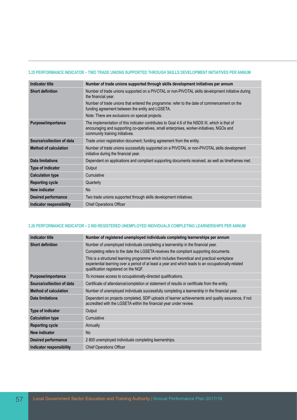#### **3.25 PERFORMANCE INDICATOR – TWO TRADE UNIONS SUPPORTED THROUGH SKILLS DEVELOPMENT INITIATIVES PER ANNUM**

| <b>Indicator title</b>       | Number of trade unions supported through skills development initiatives per annum                                                                                                                                              |
|------------------------------|--------------------------------------------------------------------------------------------------------------------------------------------------------------------------------------------------------------------------------|
| <b>Short definition</b>      | Number of trade unions supported on a PIVOTAL or non-PIVOTAL skills development initiative during<br>the financial year.                                                                                                       |
|                              | Number of trade unions that entered the programme: refer to the date of commencement on the<br>funding agreement between the entity and LGSETA.                                                                                |
|                              | Note: There are exclusions on special projects.                                                                                                                                                                                |
| Purpose/importance           | The implementation of this indicator contributes to Goal 4.6 of the NSDS III, which is that of<br>encouraging and supporting co-operatives, small enterprises, worker-initiatives, NGOs and<br>community training initiatives. |
| Source/collection of data    | Trade union registration document; funding agreement from the entity.                                                                                                                                                          |
| <b>Method of calculation</b> | Number of trade unions successfully supported on a PIVOTAL or non-PIVOTAL skills development<br>initiative during the financial year.                                                                                          |
| Data limitations             | Dependent on applications and compliant supporting documents received, as well as timeframes met.                                                                                                                              |
| <b>Type of indicator</b>     | Output                                                                                                                                                                                                                         |
| <b>Calculation type</b>      | Cumulative                                                                                                                                                                                                                     |
| <b>Reporting cycle</b>       | Quarterly                                                                                                                                                                                                                      |
| New indicator                | <b>No</b>                                                                                                                                                                                                                      |
| <b>Desired performance</b>   | Two trade unions supported through skills development initiatives.                                                                                                                                                             |
| Indicator responsibility     | <b>Chief Operations Officer</b>                                                                                                                                                                                                |

#### **3.26 PERFORMANCE INDICATOR – 2 800 REGISTERED UNEMPLOYED INDIVIDUALS COMPLETING LEARNERSHIPS PER ANNUM**

| <b>Indicator title</b>       | Number of registered unemployed individuals completing learnerships per annum                                                                                                                                                             |
|------------------------------|-------------------------------------------------------------------------------------------------------------------------------------------------------------------------------------------------------------------------------------------|
| <b>Short definition</b>      | Number of unemployed individuals completing a learnership in the financial year.                                                                                                                                                          |
|                              | Completing refers to the date the LGSETA receives the compliant supporting documents.                                                                                                                                                     |
|                              | This is a structured learning programme which includes theoretical and practical workplace<br>experiential learning over a period of at least a year and which leads to an occupationally-related<br>qualification registered on the NQF. |
| Purpose/importance           | To increase access to occupationally-directed qualifications.                                                                                                                                                                             |
| Source/collection of data    | Certificate of attendance/completion or statement of results or certificate from the entity.                                                                                                                                              |
| <b>Method of calculation</b> | Number of unemployed individuals successfully completing a learnership in the financial year.                                                                                                                                             |
| Data limitations             | Dependent on projects completed, SDP uploads of learner achievements and quality assurance, if not<br>accredited with the LGSETA within the financial year under review.                                                                  |
| Type of indicator            | Output                                                                                                                                                                                                                                    |
| <b>Calculation type</b>      | Cumulative                                                                                                                                                                                                                                |
| <b>Reporting cycle</b>       | Annually                                                                                                                                                                                                                                  |
| New indicator                | <b>No</b>                                                                                                                                                                                                                                 |
| <b>Desired performance</b>   | 2 800 unemployed individuals completing learnerships.                                                                                                                                                                                     |
| Indicator responsibility     | <b>Chief Operations Officer</b>                                                                                                                                                                                                           |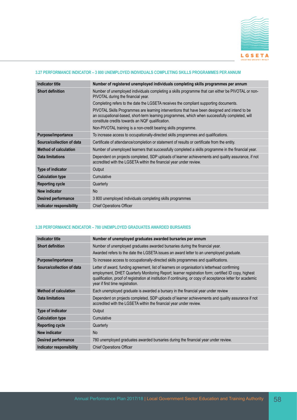

#### **3.27 PERFORMANCE INDICATOR – 3 800 UNEMPLOYED INDIVIDUALS COMPLETING SKILLS PROGRAMMES PER ANNUM**

| <b>Indicator title</b>          | Number of registered unemployed individuals completing skills programmes per annum                                                                                                                                                                  |
|---------------------------------|-----------------------------------------------------------------------------------------------------------------------------------------------------------------------------------------------------------------------------------------------------|
| <b>Short definition</b>         | Number of unemployed individuals completing a skills programme that can either be PIVOTAL or non-<br>PIVOTAL during the financial year.                                                                                                             |
|                                 | Completing refers to the date the LGSETA receives the compliant supporting documents.                                                                                                                                                               |
|                                 | PIVOTAL Skills Programmes are learning interventions that have been designed and intend to be<br>an occupational-based, short-term learning programmes, which when successfully completed, will<br>constitute credits towards an NQF qualification. |
|                                 | Non-PIVOTAL training is a non-credit bearing skills programme.                                                                                                                                                                                      |
| Purpose/importance              | To increase access to occupationally-directed skills programmes and qualifications.                                                                                                                                                                 |
| Source/collection of data       | Certificate of attendance/completion or statement of results or certificate from the entity.                                                                                                                                                        |
| <b>Method of calculation</b>    | Number of unemployed learners that successfully completed a skills programme in the financial year.                                                                                                                                                 |
| Data limitations                | Dependent on projects completed, SDP uploads of learner achievements and quality assurance, if not<br>accredited with the LGSETA within the financial year under review.                                                                            |
| Type of indicator               | Output                                                                                                                                                                                                                                              |
| <b>Calculation type</b>         | Cumulative                                                                                                                                                                                                                                          |
| <b>Reporting cycle</b>          | Quarterly                                                                                                                                                                                                                                           |
| New indicator                   | <b>No</b>                                                                                                                                                                                                                                           |
| <b>Desired performance</b>      | 3 800 unemployed individuals completing skills programmes                                                                                                                                                                                           |
| <b>Indicator responsibility</b> | <b>Chief Operations Officer</b>                                                                                                                                                                                                                     |

## **3.28 PERFORMANCE INDICATOR – 780 UNEMPLOYED GRADUATES AWARDED BURSARIES**

| <b>Indicator title</b>       | Number of unemployed graduates awarded bursaries per annum                                                                                                                                                                                                                                                                                              |
|------------------------------|---------------------------------------------------------------------------------------------------------------------------------------------------------------------------------------------------------------------------------------------------------------------------------------------------------------------------------------------------------|
| <b>Short definition</b>      | Number of unemployed graduates awarded bursaries during the financial year.<br>Awarded refers to the date the LGSETA issues an award letter to an unemployed graduate.                                                                                                                                                                                  |
| Purpose/importance           | To increase access to occupationally-directed skills programmes and qualifications.                                                                                                                                                                                                                                                                     |
| Source/collection of data    | Letter of award, funding agreement, list of learners on organisation's letterhead confirming<br>employment, DHET Quarterly Monitoring Report; learner registration form; certified ID copy, highest<br>qualification, proof of registration at institution if continuing, or copy of acceptance letter for academic<br>year if first time registration. |
| <b>Method of calculation</b> | Each unemployed graduate is awarded a bursary in the financial year under review                                                                                                                                                                                                                                                                        |
| <b>Data limitations</b>      | Dependent on projects completed, SDP uploads of learner achievements and quality assurance if not<br>accredited with the LGSETA within the financial year under review.                                                                                                                                                                                 |
| Type of indicator            | Output                                                                                                                                                                                                                                                                                                                                                  |
| <b>Calculation type</b>      | Cumulative                                                                                                                                                                                                                                                                                                                                              |
| <b>Reporting cycle</b>       | Quarterly                                                                                                                                                                                                                                                                                                                                               |
| New indicator                | <b>No</b>                                                                                                                                                                                                                                                                                                                                               |
| <b>Desired performance</b>   | 780 unemployed graduates awarded bursaries during the financial year under review.                                                                                                                                                                                                                                                                      |
| Indicator responsibility     | <b>Chief Operations Officer</b>                                                                                                                                                                                                                                                                                                                         |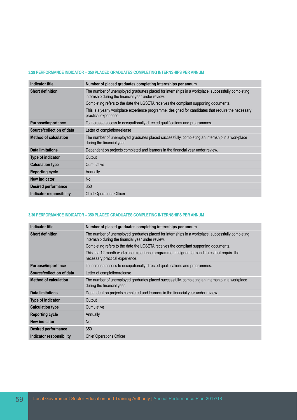#### **3.29 PERFORMANCE INDICATOR – 350 PLACED GRADUATES COMPLETING INTERNSHIPS PER ANNUM**

| Indicator title              | Number of placed graduates completing internships per annum                                                                                             |
|------------------------------|---------------------------------------------------------------------------------------------------------------------------------------------------------|
| <b>Short definition</b>      | The number of unemployed graduates placed for internships in a workplace, successfully completing<br>internship during the financial year under review. |
|                              | Completing refers to the date the LGSETA receives the compliant supporting documents.                                                                   |
|                              | This is a yearly workplace experience programme, designed for candidates that require the necessary<br>practical experience.                            |
| Purpose/importance           | To increase access to occupationally-directed qualifications and programmes.                                                                            |
| Source/collection of data    | Letter of completion/release                                                                                                                            |
| <b>Method of calculation</b> | The number of unemployed graduates placed successfully, completing an internship in a workplace<br>during the financial year.                           |
| Data limitations             | Dependent on projects completed and learners in the financial year under review.                                                                        |
| <b>Type of indicator</b>     | Output                                                                                                                                                  |
| <b>Calculation type</b>      | Cumulative                                                                                                                                              |
| <b>Reporting cycle</b>       | Annually                                                                                                                                                |
| New indicator                | <b>No</b>                                                                                                                                               |
| <b>Desired performance</b>   | 350                                                                                                                                                     |
| Indicator responsibility     | <b>Chief Operations Officer</b>                                                                                                                         |

## **3.30 PERFORMANCE INDICATOR – 350 PLACED GRADUATES COMPLETING INTERNSHIPS PER ANNUM**

| Indicator title              | Number of placed graduates completing internships per annum                                                                                             |
|------------------------------|---------------------------------------------------------------------------------------------------------------------------------------------------------|
| <b>Short definition</b>      | The number of unemployed graduates placed for internships in a workplace, successfully completing<br>internship during the financial year under review. |
|                              | Completing refers to the date the LGSETA receives the compliant supporting documents.                                                                   |
|                              | This is a 12-month workplace experience programme, designed for candidates that require the<br>necessary practical experience.                          |
| Purpose/importance           | To increase access to occupationally-directed qualifications and programmes.                                                                            |
| Source/collection of data    | Letter of completion/release                                                                                                                            |
| <b>Method of calculation</b> | The number of unemployed graduates placed successfully, completing an internship in a workplace<br>during the financial year.                           |
| Data limitations             | Dependent on projects completed and learners in the financial year under review.                                                                        |
| <b>Type of indicator</b>     | Output                                                                                                                                                  |
| <b>Calculation type</b>      | Cumulative                                                                                                                                              |
| <b>Reporting cycle</b>       | Annually                                                                                                                                                |
| New indicator                | <b>No</b>                                                                                                                                               |
| <b>Desired performance</b>   | 350                                                                                                                                                     |
| Indicator responsibility     | <b>Chief Operations Officer</b>                                                                                                                         |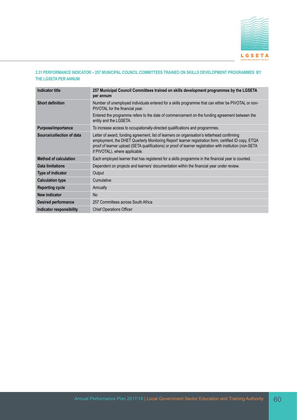

## **3.31 PERFORMANCE INDICATOR – 257 MUNICIPAL COUNCIL COMMITTEES TRAINED ON SKILLS DEVELOPMENT PROGRAMMES BY THE LGSETA PER ANNUM**

| <b>Indicator title</b>       | 257 Municipal Council Committees trained on skills development programmes by the LGSETA<br>per annum                                                                                                                                                                                                                                                |
|------------------------------|-----------------------------------------------------------------------------------------------------------------------------------------------------------------------------------------------------------------------------------------------------------------------------------------------------------------------------------------------------|
| <b>Short definition</b>      | Number of unemployed individuals entered for a skills programme that can either be PIVOTAL or non-<br>PIVOTAL for the financial year.                                                                                                                                                                                                               |
|                              | Entered the programme refers to the date of commencement on the funding agreement between the<br>entity and the LGSETA.                                                                                                                                                                                                                             |
| Purpose/importance           | To increase access to occupationally-directed qualifications and programmes.                                                                                                                                                                                                                                                                        |
| Source/collection of data    | Letter of award, funding agreement, list of learners on organisation's letterhead confirming<br>employment, the DHET Quarterly Monitoring Report' learner registration form, certified ID copy, ETQA<br>proof of learner upload (SETA qualifications) or proof of learner registration with institution (non-SETA<br>if PIVOTAL), where applicable. |
| <b>Method of calculation</b> | Each employed learner that has registered for a skills programme in the financial year is counted.                                                                                                                                                                                                                                                  |
| Data limitations             | Dependent on projects and learners' documentation within the financial year under review.                                                                                                                                                                                                                                                           |
| <b>Type of indicator</b>     | Output                                                                                                                                                                                                                                                                                                                                              |
| <b>Calculation type</b>      | Cumulative                                                                                                                                                                                                                                                                                                                                          |
| <b>Reporting cycle</b>       | Annually                                                                                                                                                                                                                                                                                                                                            |
| New indicator                | <b>No</b>                                                                                                                                                                                                                                                                                                                                           |
| <b>Desired performance</b>   | 257 Committees across South Africa                                                                                                                                                                                                                                                                                                                  |
| Indicator responsibility     | <b>Chief Operations Officer</b>                                                                                                                                                                                                                                                                                                                     |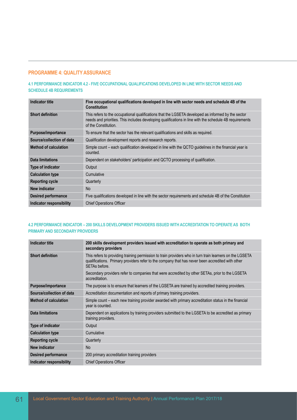# **PROGRAMME 4: QUALITY ASSURANCE**

**4.1 PERFORMANCE INDICATOR 4.2 - FIVE OCCUPATIONAL QUALIFICATIONS DEVELOPED IN LINE WITH SECTOR NEEDS AND SCHEDULE 4B REQUIREMENTS**

| Indicator title              | Five occupational qualifications developed in line with sector needs and schedule 4B of the<br><b>Constitution</b>                                                                                                                    |
|------------------------------|---------------------------------------------------------------------------------------------------------------------------------------------------------------------------------------------------------------------------------------|
| <b>Short definition</b>      | This refers to the occupational qualifications that the LGSETA developed as informed by the sector<br>needs and priorities. This includes developing qualifications in line with the schedule 4B requirements<br>of the Constitution. |
| Purpose/importance           | To ensure that the sector has the relevant qualifications and skills as required.                                                                                                                                                     |
| Source/collection of data    | Qualification development reports and research reports.                                                                                                                                                                               |
| <b>Method of calculation</b> | Simple count – each qualification developed in line with the QCTO guidelines in the financial year is<br>counted.                                                                                                                     |
| Data limitations             | Dependent on stakeholders' participation and QCTO processing of qualification.                                                                                                                                                        |
| <b>Type of indicator</b>     | Output                                                                                                                                                                                                                                |
| <b>Calculation type</b>      | Cumulative                                                                                                                                                                                                                            |
| <b>Reporting cycle</b>       | Quarterly                                                                                                                                                                                                                             |
| New indicator                | <b>No</b>                                                                                                                                                                                                                             |
| <b>Desired performance</b>   | Five qualifications developed in line with the sector requirements and schedule 4B of the Constitution                                                                                                                                |
| Indicator responsibility     | <b>Chief Operations Officer</b>                                                                                                                                                                                                       |

# **4.2 PERFORMANCE INDICATOR – 200 SKILLS DEVELOPMENT PROVIDERS ISSUED WITH ACCREDITATION TO OPERATE AS BOTH PRIMARY AND SECONDARY PROVIDERS**

| <b>Indicator title</b>       | 200 skills development providers issued with accreditation to operate as both primary and<br>secondary providers                                                                                                              |
|------------------------------|-------------------------------------------------------------------------------------------------------------------------------------------------------------------------------------------------------------------------------|
| <b>Short definition</b>      | This refers to providing training permission to train providers who in turn train learners on the LGSETA<br>qualifications. Primary providers refer to the company that has never been accredited with other<br>SETAs before. |
|                              | Secondary providers refer to companies that were accredited by other SETAs, prior to the LGSETA<br>accreditation.                                                                                                             |
| Purpose/importance           | The purpose is to ensure that learners of the LGSETA are trained by accredited training providers.                                                                                                                            |
| Source/collection of data    | Accreditation documentation and reports of primary training providers.                                                                                                                                                        |
| <b>Method of calculation</b> | Simple count – each new training provider awarded with primary accreditation status in the financial<br>year is counted.                                                                                                      |
| Data limitations             | Dependent on applications by training providers submitted to the LGSETA to be accredited as primary<br>training providers.                                                                                                    |
| Type of indicator            | Output                                                                                                                                                                                                                        |
| <b>Calculation type</b>      | Cumulative                                                                                                                                                                                                                    |
| <b>Reporting cycle</b>       | Quarterly                                                                                                                                                                                                                     |
| <b>New indicator</b>         | <b>No</b>                                                                                                                                                                                                                     |
| <b>Desired performance</b>   | 200 primary accreditation training providers                                                                                                                                                                                  |
| Indicator responsibility     | <b>Chief Operations Officer</b>                                                                                                                                                                                               |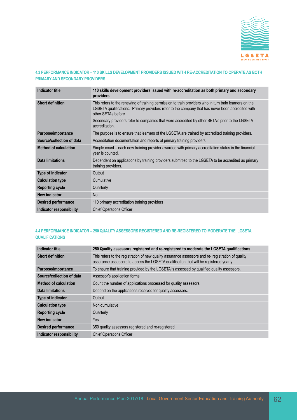

## **4.3 PERFORMANCE INDICATOR – 110 SKILLS DEVELOPMENT PROVIDERS ISSUED WITH RE-ACCREDITATION TO OPERATE AS BOTH PRIMARY AND SECONDARY PROVIDERS**

| Indicator title              | 110 skills development providers issued with re-accreditation as both primary and secondary<br>providers                                                                                                                            |
|------------------------------|-------------------------------------------------------------------------------------------------------------------------------------------------------------------------------------------------------------------------------------|
| <b>Short definition</b>      | This refers to the renewing of training permission to train providers who in turn train learners on the<br>LGSETA qualifications. Primary providers refer to the company that has never been accredited with<br>other SETAs before. |
|                              | Secondary providers refer to companies that were accredited by other SETA's prior to the LGSETA<br>accreditation.                                                                                                                   |
| Purpose/importance           | The purpose is to ensure that learners of the LGSETA are trained by accredited training providers.                                                                                                                                  |
| Source/collection of data    | Accreditation documentation and reports of primary training providers.                                                                                                                                                              |
| <b>Method of calculation</b> | Simple count – each new training provider awarded with primary accreditation status in the financial<br>year is counted.                                                                                                            |
| <b>Data limitations</b>      | Dependent on applications by training providers submitted to the LGSETA to be accredited as primary<br>training providers.                                                                                                          |
| Type of indicator            | Output                                                                                                                                                                                                                              |
| <b>Calculation type</b>      | Cumulative                                                                                                                                                                                                                          |
| <b>Reporting cycle</b>       | Quarterly                                                                                                                                                                                                                           |
| <b>New indicator</b>         | <b>No</b>                                                                                                                                                                                                                           |
| <b>Desired performance</b>   | 110 primary accreditation training providers                                                                                                                                                                                        |
| Indicator responsibility     | <b>Chief Operations Officer</b>                                                                                                                                                                                                     |

#### **4.4 PERFORMANCE INDICATOR – 250 QUALITY ASSESSORS REGISTERED AND RE-REGISTERED TO MODERATE THE LGSETA QUALIFICATIONS**

| <b>Indicator title</b>       | 250 Quality assessors registered and re-registered to moderate the LGSETA qualifications                                                                                                     |
|------------------------------|----------------------------------------------------------------------------------------------------------------------------------------------------------------------------------------------|
| <b>Short definition</b>      | This refers to the registration of new quality assurance assessors and re- registration of quality<br>assurance assessors to assess the LGSETA qualification that will be registered yearly. |
| Purpose/importance           | To ensure that training provided by the LGSETA is assessed by qualified quality assessors.                                                                                                   |
| Source/collection of data    | Assessor's application forms                                                                                                                                                                 |
| <b>Method of calculation</b> | Count the number of applications processed for quality assessors.                                                                                                                            |
| Data limitations             | Depend on the applications received for quality assessors.                                                                                                                                   |
| <b>Type of indicator</b>     | Output                                                                                                                                                                                       |
| <b>Calculation type</b>      | Non-cumulative                                                                                                                                                                               |
| <b>Reporting cycle</b>       | Quarterly                                                                                                                                                                                    |
| New indicator                | Yes                                                                                                                                                                                          |
| <b>Desired performance</b>   | 350 quality assessors registered and re-registered                                                                                                                                           |
| Indicator responsibility     | <b>Chief Operations Officer</b>                                                                                                                                                              |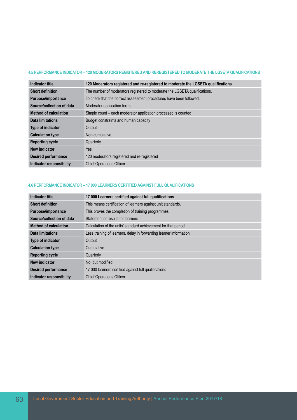### **4.5 PERFORMANCE INDICATOR – 120 MODERATORS REGISTERED AND REREGISTERED TO MODERATE THE LGSETA QUALIFICATIONS**

| <b>Indicator title</b>       | 120 Moderators registered and re-registered to moderate the LGSETA qualifications |
|------------------------------|-----------------------------------------------------------------------------------|
| <b>Short definition</b>      | The number of moderators registered to moderate the LGSETA qualifications.        |
| Purpose/importance           | To check that the correct assessment procedures have been followed.               |
| Source/collection of data    | Moderator application forms                                                       |
| <b>Method of calculation</b> | Simple count – each moderator application processed is counted                    |
| <b>Data limitations</b>      | Budget constraints and human capacity                                             |
| <b>Type of indicator</b>     | Output                                                                            |
| <b>Calculation type</b>      | Non-cumulative                                                                    |
| <b>Reporting cycle</b>       | Quarterly                                                                         |
| New indicator                | Yes                                                                               |
| <b>Desired performance</b>   | 120 moderators registered and re-registered                                       |
| Indicator responsibility     | <b>Chief Operations Officer</b>                                                   |

#### **4.6 PERFORMANCE INDICATOR – 17 000 LEARNERS CERTIFIED AGAINST FULL QUALIFICATIONS**

| <b>Indicator title</b>       | 17 000 Learners certified against full qualifications               |
|------------------------------|---------------------------------------------------------------------|
| <b>Short definition</b>      | This means certification of learners against unit standards.        |
| Purpose/importance           | This proves the completion of training programmes.                  |
| Source/collection of data    | Statement of results for learners                                   |
| <b>Method of calculation</b> | Calculation of the units' standard achievement for that period.     |
| <b>Data limitations</b>      | Less training of learners, delay in forwarding learner information. |
| <b>Type of indicator</b>     | Output                                                              |
| <b>Calculation type</b>      | Cumulative                                                          |
| <b>Reporting cycle</b>       | Quarterly                                                           |
| New indicator                | No. but modified                                                    |
| <b>Desired performance</b>   | 17 000 learners certified against full qualifications               |
| Indicator responsibility     | <b>Chief Operations Officer</b>                                     |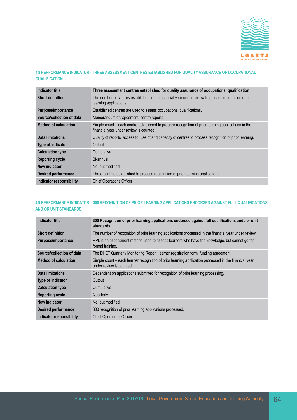

## **4.8 PERFORMANCE INDICATOR - THREE ASSESSMENT CENTRES ESTABLISHED FOR QUALITY ASSURANCE OF OCCUPATIONAL QUALIFICATION**

| Indicator title              | Three assessment centres established for quality assurance of occupational qualification                                                      |
|------------------------------|-----------------------------------------------------------------------------------------------------------------------------------------------|
| <b>Short definition</b>      | The number of centres established in the financial year under review to process recognition of prior<br>learning applications.                |
| Purpose/importance           | Established centres are used to assess occupational qualifications.                                                                           |
| Source/collection of data    | Memorandum of Agreement; centre reports                                                                                                       |
| <b>Method of calculation</b> | Simple count – each centre established to process recognition of prior learning applications in the<br>financial year under review is counted |
| Data limitations             | Quality of reports; access to, use of and capacity of centres to process recognition of prior learning.                                       |
| Type of indicator            | Output                                                                                                                                        |
| <b>Calculation type</b>      | Cumulative                                                                                                                                    |
| <b>Reporting cycle</b>       | Bi-annual                                                                                                                                     |
| New indicator                | No, but modified                                                                                                                              |
| <b>Desired performance</b>   | Three centres established to process recognition of prior learning applications.                                                              |
| Indicator responsibility     | <b>Chief Operations Officer</b>                                                                                                               |

# **4.9 PERFORMANCE INDICATOR – 300 RECOGNITION OF PRIOR LEARNING APPLICATIONS ENDORSED AGAINST FULL QUALIFICATIONS AND OR UNIT STANDARDS**

| <b>Indicator title</b>       | 300 Recognition of prior learning applications endorsed against full qualifications and / or unit<br>standards                    |
|------------------------------|-----------------------------------------------------------------------------------------------------------------------------------|
| <b>Short definition</b>      | The number of recognition of prior learning applications processed in the financial year under review.                            |
| Purpose/importance           | RPL is an assessment method used to assess learners who have the knowledge, but cannot go for<br>formal training.                 |
| Source/collection of data    | The DHET Quarterly Monitoring Report; learner registration form; funding agreement.                                               |
| <b>Method of calculation</b> | Simple count – each learner recognition of prior learning application processed in the financial year<br>under review is counted. |
| <b>Data limitations</b>      | Dependent on applications submitted for recognition of prior learning processing.                                                 |
| Type of indicator            | Output                                                                                                                            |
| <b>Calculation type</b>      | Cumulative                                                                                                                        |
| <b>Reporting cycle</b>       | Quarterly                                                                                                                         |
| New indicator                | No, but modified                                                                                                                  |
| <b>Desired performance</b>   | 300 recognition of prior learning applications processed.                                                                         |
| Indicator responsibility     | <b>Chief Operations Officer</b>                                                                                                   |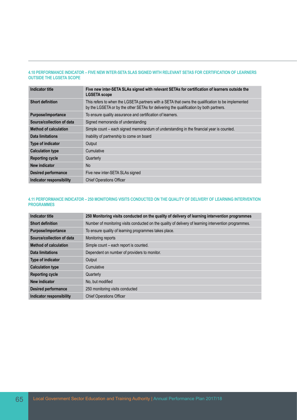#### **4.10 PERFORMANCE INDICATOR – FIVE NEW INTER-SETA SLAS SIGNED WITH RELEVANT SETAS FOR CERTIFICATION OF LEARNERS OUTSIDE THE LGSETA SCOPE**

| Indicator title                 | Five new inter-SETA SLAs signed with relevant SETAs for certification of learners outside the<br><b>LGSETA</b> scope                                                                        |
|---------------------------------|---------------------------------------------------------------------------------------------------------------------------------------------------------------------------------------------|
| <b>Short definition</b>         | This refers to when the LGSETA partners with a SETA that owns the qualification to be implemented<br>by the LGSETA or by the other SETAs for delivering the qualification by both partners. |
| Purpose/importance              | To ensure quality assurance and certification of learners.                                                                                                                                  |
| Source/collection of data       | Signed memoranda of understanding                                                                                                                                                           |
| <b>Method of calculation</b>    | Simple count – each signed memorandum of understanding in the financial year is counted.                                                                                                    |
| Data limitations                | Inability of partnership to come on board                                                                                                                                                   |
| <b>Type of indicator</b>        | Output                                                                                                                                                                                      |
| <b>Calculation type</b>         | Cumulative                                                                                                                                                                                  |
| <b>Reporting cycle</b>          | Quarterly                                                                                                                                                                                   |
| New indicator                   | <b>No</b>                                                                                                                                                                                   |
| <b>Desired performance</b>      | Five new inter-SETA SLAs signed                                                                                                                                                             |
| <b>Indicator responsibility</b> | <b>Chief Operations Officer</b>                                                                                                                                                             |

## **4.11 PERFORMANCE INDICATOR – 250 MONITORING VISITS CONDUCTED ON THE QUALITY OF DELIVERY OF LEARNING INTERVENTION PROGRAMMES**

| Indicator title              | 250 Monitoring visits conducted on the quality of delivery of learning intervention programmes        |
|------------------------------|-------------------------------------------------------------------------------------------------------|
| <b>Short definition</b>      | Number of monitoring visits conducted on the quality of delivery of learning intervention programmes. |
| Purpose/importance           | To ensure quality of learning programmes takes place.                                                 |
| Source/collection of data    | Monitoring reports                                                                                    |
| <b>Method of calculation</b> | Simple count – each report is counted.                                                                |
| Data limitations             | Dependent on number of providers to monitor.                                                          |
| <b>Type of indicator</b>     | Output                                                                                                |
| <b>Calculation type</b>      | Cumulative                                                                                            |
| <b>Reporting cycle</b>       | Quarterly                                                                                             |
| New indicator                | No, but modified                                                                                      |
| <b>Desired performance</b>   | 250 monitoring visits conducted                                                                       |
| Indicator responsibility     | <b>Chief Operations Officer</b>                                                                       |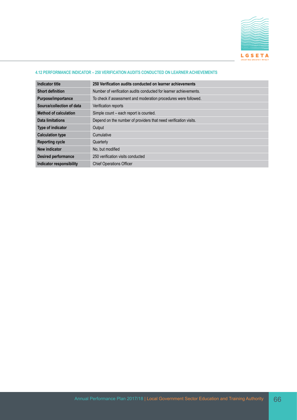

## **4.12 PERFORMANCE INDICATOR – 250 VERIFICATION AUDITS CONDUCTED ON LEARNER ACHIEVEMENTS**

| Indicator title              | 250 Verification audits conducted on learner achievements         |
|------------------------------|-------------------------------------------------------------------|
| <b>Short definition</b>      | Number of verification audits conducted for learner achievements. |
| Purpose/importance           | To check if assessment and moderation procedures were followed.   |
| Source/collection of data    | Verification reports                                              |
| <b>Method of calculation</b> | Simple count - each report is counted.                            |
| Data limitations             | Depend on the number of providers that need verification visits.  |
| Type of indicator            | Output                                                            |
| <b>Calculation type</b>      | Cumulative                                                        |
| <b>Reporting cycle</b>       | Quarterly                                                         |
| New indicator                | No, but modified                                                  |
| <b>Desired performance</b>   | 250 verification visits conducted                                 |
| Indicator responsibility     | <b>Chief Operations Officer</b>                                   |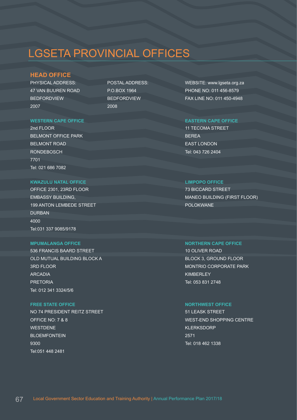# LGSETA PROVINCIAL OFFICES

# **HEAD OFFICE**

PHYSICAL ADDRESS: 47 VAN BUUREN ROAD BEDFORDVIEW 2007

POSTAL ADDRESS: P.O.BOX 1964 BEDFORDVIEW 2008

WEBSITE: www.lgseta.org.za PHONE NO: 011 456-8579 FAX LINE NO: 011 450-4948

11 TECOMA STREET BEREA EAST LONDON Tel: 043 726 2404

73 BICCARD STREET MANEO BUILDING (FIRST FLOOR) POLOKWANE

# **MPUMALANGA OFFICE NORTHERN CAPE OFFICE**

10 OLIVER ROAD BLOCK 3, GROUND FLOOR MONTRIO CORPORATE PARK **KIMBERLEY** Tel: 053 831 2748

51 LEASK STREET WEST-END SHOPPING CENTRE KLERKSDORP 2571 Tel: 018 462 1338

### **WESTERN CAPE OFFICE EASTERN CAPE OFFICE**

2nd FLOOR BELMONT OFFICE PARK BELMONT ROAD **RONDEBOSCH** 7701 Tel: 021 686 7082

### **KWAZULU NATAL OFFICE LIMPOPO OFFICE**

OFFICE 2301, 23RD FLOOR EMBASSY BUILDING, 199 ANTON LEMBEDE STREET DURBAN 4000 Tel:031 337 9085/9178

536 FRANCIS BAARD STREET OLD MUTUAL BUILDING BLOCK A 3RD FLOOR ARCADIA PRETORIA Tel: 012 341 3324/5/6

# **FREE STATE OFFICE NORTHWEST OFFICE**

NO 74 PRESIDENT REITZ STREET OFFICE NO: 7 & 8 WESTDENE BLOEMFONTEIN 9300 Tel:051 448 2481